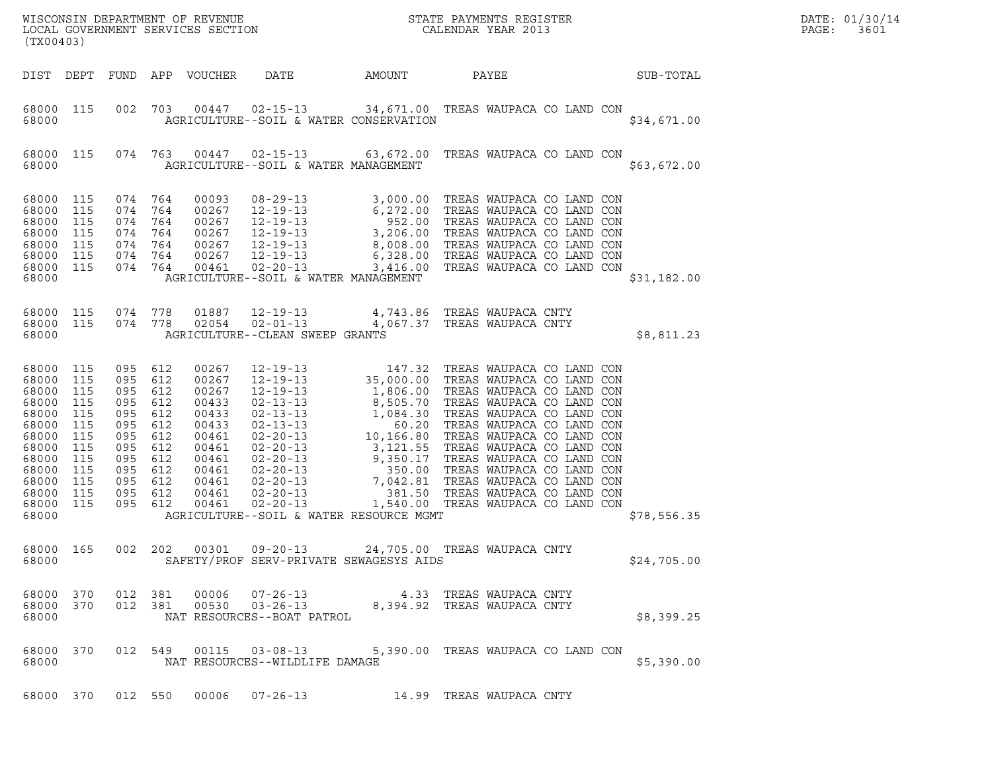| (TX00403)                                                                                                                      |                                                                                  |                                                                                             |                                                                                  |                                                                                                                   | ${\tt WISCONSIN} \begin{tabular}{l} DEPARTMENT OF REVIEW \\ LOCAL GOVERIMENT SERVICES SECTION \\ \end{tabular} \begin{tabular}{l} \multicolumn{2}{c}{\textbf{S}} \\ \multicolumn{2}{c}{\textbf{S}} \\ \multicolumn{2}{c}{\textbf{S}} \\ \multicolumn{2}{c}{\textbf{A}} \\ \multicolumn{2}{c}{\textbf{A}} \\ \multicolumn{2}{c}{\textbf{A}} \\ \multicolumn{2}{c}{\textbf{A}} \\ \multicolumn{2}{c}{\textbf{A}} \\ \multicolumn{2}{c}{\textbf{A}} \\ \multicolumn{2}{c}{\textbf{A}} \\ \multicolumn{2}{c}{\textbf{$ |                                                 |                                                            |                                                                                                                                                                          |             | DATE: 01/30/14<br>PAGE:<br>3601 |
|--------------------------------------------------------------------------------------------------------------------------------|----------------------------------------------------------------------------------|---------------------------------------------------------------------------------------------|----------------------------------------------------------------------------------|-------------------------------------------------------------------------------------------------------------------|--------------------------------------------------------------------------------------------------------------------------------------------------------------------------------------------------------------------------------------------------------------------------------------------------------------------------------------------------------------------------------------------------------------------------------------------------------------------------------------------------------------------|-------------------------------------------------|------------------------------------------------------------|--------------------------------------------------------------------------------------------------------------------------------------------------------------------------|-------------|---------------------------------|
|                                                                                                                                |                                                                                  |                                                                                             |                                                                                  | DIST DEPT FUND APP VOUCHER                                                                                        | DATE                                                                                                                                                                                                                                                                                                                                                                                                                                                                                                               | AMOUNT                                          | PAYEE                                                      | SUB-TOTAL                                                                                                                                                                |             |                                 |
| 68000 115<br>68000                                                                                                             |                                                                                  | 002                                                                                         | 703                                                                              |                                                                                                                   | 00447 02-15-13<br>AGRICULTURE--SOIL & WATER CONSERVATION                                                                                                                                                                                                                                                                                                                                                                                                                                                           |                                                 |                                                            | 34,671.00 TREAS WAUPACA CO LAND CON                                                                                                                                      | \$34,671.00 |                                 |
| 68000 115<br>68000                                                                                                             |                                                                                  |                                                                                             | 074 763                                                                          |                                                                                                                   | 00447  02-15-13  63,672.00 TREAS WAUPACA CO LAND CON<br>AGRICULTURE--SOIL & WATER MANAGEMENT                                                                                                                                                                                                                                                                                                                                                                                                                       |                                                 |                                                            |                                                                                                                                                                          | \$63,672.00 |                                 |
| 68000 115<br>68000<br>68000<br>68000<br>68000<br>68000<br>68000 115<br>68000                                                   | 115<br>115<br>115<br>115<br>115                                                  | 074 764<br>074<br>074<br>074<br>074 764<br>074 764<br>074 764                               | 764<br>764<br>764                                                                | 00093<br>00267<br>00267<br>00267<br>00267<br>00267<br>00461                                                       | 08-29-13<br>12-19-13<br>5, 000.00 TREAS WAUPACA CO LAND CON<br>12-19-13<br>552.00 TREAS WAUPACA CO LAND CON<br>12-19-13<br>3, 206.00 TREAS WAUPACA CO LAND CON<br>12-19-13<br>6, 328.00 TREAS WAUPACA CO LAND CON<br>12-19-13<br>6, 328.00 TREAS W<br>$02 - 20 - 13$<br>AGRICULTURE--SOIL & WATER MANAGEMENT                                                                                                                                                                                                       |                                                 |                                                            | 3,416.00 TREAS WAUPACA CO LAND CON                                                                                                                                       | \$31,182.00 |                                 |
| 68000 115<br>68000 115<br>68000                                                                                                |                                                                                  | 074 778<br>074 778                                                                          |                                                                                  | 01887<br>02054                                                                                                    | $12 - 19 - 13$<br>$02 - 01 - 13$<br>AGRICULTURE--CLEAN SWEEP GRANTS                                                                                                                                                                                                                                                                                                                                                                                                                                                |                                                 | 4,743.86 TREAS WAUPACA CNTY<br>4,067.37 TREAS WAUPACA CNTY |                                                                                                                                                                          | \$8,811.23  |                                 |
| 68000 115<br>68000<br>68000<br>68000<br>68000<br>68000<br>68000<br>68000<br>68000<br>68000<br>68000<br>68000<br>68000<br>68000 | 115<br>115<br>115<br>115<br>115<br>115<br>115<br>115<br>115<br>115<br>115<br>115 | 095<br>095<br>095<br>095<br>095<br>095<br>095<br>095<br>095<br>095<br>095<br>095<br>095 612 | 612<br>612<br>612<br>612<br>612<br>612<br>612<br>612<br>612<br>612<br>612<br>612 | 00267<br>00267<br>00267<br>00433<br>00433<br>00433<br>00461<br>00461<br>00461<br>00461<br>00461<br>00461<br>00461 | 12-19-13 147.32 TREAS WAUPACA CO LAND CON<br>12-19-13 35,000.00 TREAS WAUPACA CO LAND CON<br>12-19-13<br>1,806.00 TREAS WAUPACA CO LAND CON<br>02-13-13<br>1,084.30 TREAS WAUPACA CO LAND CON<br>02-13-13<br>1,084.30 TREAS WAUPACA CO LAND CON<br>02-20-13<br>10,166.80 TREAS WAUPACA CO LAND CON<br>02-20-13<br>3,121.55 TREAS WAUPACA CO L<br>$02 - 20 - 13$<br>$02 - 20 - 13$<br>$02 - 20 - 13$<br>$02 - 20 - 13$<br>$02 - 20 - 13$<br>$02 - 20 - 13$<br>AGRICULTURE--SOIL & WATER RESOURCE MGMT               | 350.00<br>$75.81$<br>381.50<br>1 F <sup>1</sup> |                                                            | 9,350.17 TREAS WAUPACA CO LAND CON<br>TREAS WAUPACA CO LAND CON<br>7,042.81 TREAS WAUPACA CO LAND CON<br>TREAS WAUPACA CO LAND CON<br>1,540.00 TREAS WAUPACA CO LAND CON | \$78,556.35 |                                 |
| 68000 165<br>68000                                                                                                             |                                                                                  | 002 202                                                                                     |                                                                                  |                                                                                                                   | 00301  09-20-13  24,705.00 TREAS WAUPACA CNTY<br>SAFETY/PROF SERV-PRIVATE SEWAGESYS AIDS                                                                                                                                                                                                                                                                                                                                                                                                                           |                                                 |                                                            |                                                                                                                                                                          | \$24,705.00 |                                 |
| 68000 370<br>68000 370<br>68000                                                                                                |                                                                                  | 012 381<br>012 381                                                                          |                                                                                  | 00006                                                                                                             | $07 - 26 - 13$<br>00530 03-26-13<br>NAT RESOURCES--BOAT PATROL                                                                                                                                                                                                                                                                                                                                                                                                                                                     |                                                 | 4.33 TREAS WAUPACA CNTY<br>8,394.92 TREAS WAUPACA CNTY     |                                                                                                                                                                          | \$8,399.25  |                                 |
| 68000 370<br>68000                                                                                                             |                                                                                  |                                                                                             |                                                                                  | 012 549 00115                                                                                                     | $03 - 08 - 13$<br>NAT RESOURCES--WILDLIFE DAMAGE                                                                                                                                                                                                                                                                                                                                                                                                                                                                   |                                                 |                                                            | 5,390.00 TREAS WAUPACA CO LAND CON                                                                                                                                       | \$5,390.00  |                                 |
| 68000 370                                                                                                                      |                                                                                  | 012 550                                                                                     |                                                                                  | 00006                                                                                                             | 07-26-13                                                                                                                                                                                                                                                                                                                                                                                                                                                                                                           |                                                 | 14.99 TREAS WAUPACA CNTY                                   |                                                                                                                                                                          |             |                                 |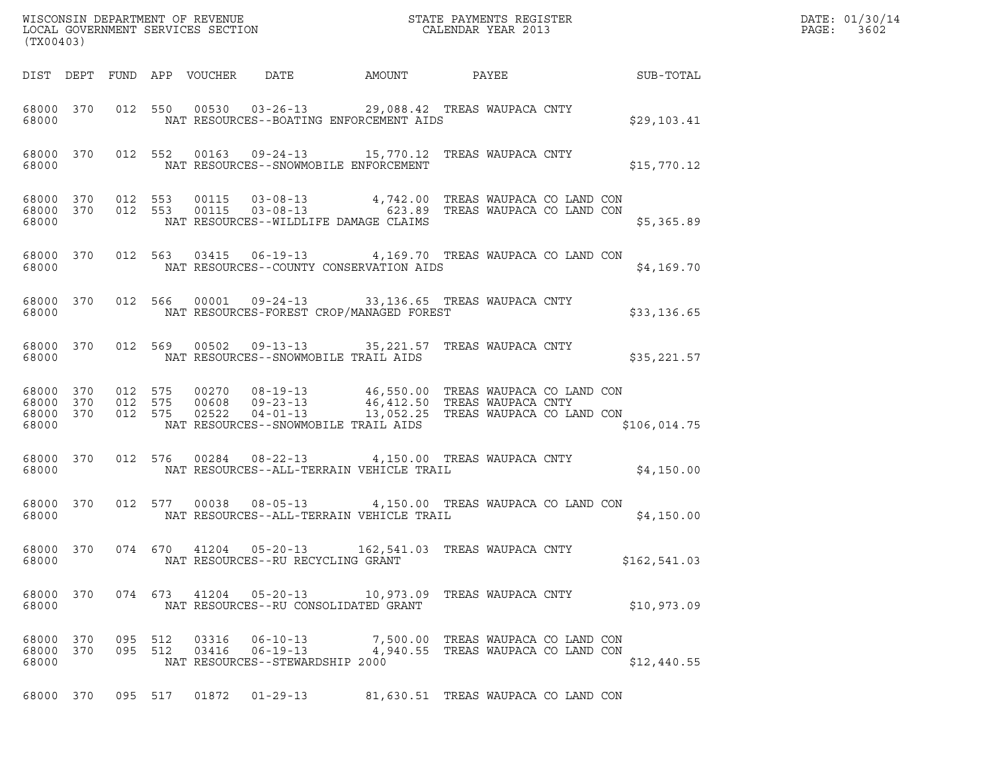| (TX00403)                                    |         |         |                                 |                                                                                                                                                                                                               |                                     |  | WISCONSIN DEPARTMENT OF REVENUE<br>LOCAL GOVERNMENT SERVICES SECTION<br>CALENDAR YEAR 2013 | DATE: 01/30/14<br>PAGE:<br>3602 |
|----------------------------------------------|---------|---------|---------------------------------|---------------------------------------------------------------------------------------------------------------------------------------------------------------------------------------------------------------|-------------------------------------|--|--------------------------------------------------------------------------------------------|---------------------------------|
|                                              |         |         | DIST DEPT FUND APP VOUCHER DATE |                                                                                                                                                                                                               | AMOUNT                              |  | PAYEE SUB-TOTAL                                                                            |                                 |
| 68000                                        |         |         |                                 | 68000 370 012 550 00530 03-26-13 29,088.42 TREAS WAUPACA CNTY<br>NAT RESOURCES--BOATING ENFORCEMENT AIDS                                                                                                      |                                     |  | \$29,103.41                                                                                |                                 |
| 68000                                        |         |         |                                 | 68000 370 012 552 00163 09-24-13 15,770.12 TREAS WAUPACA CNTY<br>NAT RESOURCES--SNOWMOBILE ENFORCEMENT                                                                                                        |                                     |  | \$15,770.12                                                                                |                                 |
| 68000                                        |         |         |                                 | NAT RESOURCES--WILDLIFE DAMAGE CLAIMS                                                                                                                                                                         |                                     |  | \$5,365.89                                                                                 |                                 |
|                                              |         |         |                                 | 68000 370 012 563 03415 06-19-13 4,169.70 TREAS WAUPACA CO LAND CON                                                                                                                                           |                                     |  | \$4,169.70                                                                                 |                                 |
|                                              |         |         |                                 | 68000 370 012 566 00001 09-24-13 33,136.65 TREAS WAUPACA CNTY<br>68000 NAT RESOURCES-FOREST CROP/MANAGED FOREST                                                                                               |                                     |  | \$33,136.65                                                                                |                                 |
|                                              |         |         |                                 | 68000 370 012 569 00502 09-13-13 35,221.57 TREAS WAUPACA CNTY<br>68000 MAT RESOURCES--SNOWMOBILE TRAIL AIDS                                                                                                   |                                     |  | \$35,221.57                                                                                |                                 |
| 68000 370<br>68000 370<br>68000 370<br>68000 |         |         |                                 | 012 575 00270 08-19-13 46,550.00 TREASWAUPACACOLANDCON<br>012 575 00608 09-23-13 46,412.50 TREASWAUPACACNTY<br>012 575 02522 04-01-13 13,052.25 TREASWAUPACACOLANDCON<br>NAT RESOURCES--SNOWMOBILE TRAIL AIDS |                                     |  | \$106,014.75                                                                               |                                 |
| 68000 370<br>68000                           |         |         |                                 | 012 576 00284 08-22-13 4,150.00 TREAS WAUPACA CNTY<br>NAT RESOURCES--ALL-TERRAIN VEHICLE TRAIL                                                                                                                |                                     |  | \$4,150.00                                                                                 |                                 |
| 68000 370<br>68000                           |         |         |                                 | 012 577 00038 08-05-13 4,150.00 TREAS WAUPACA CO LAND CON<br>NAT RESOURCES--ALL-TERRAIN VEHICLE TRAIL                                                                                                         |                                     |  | \$4,150.00                                                                                 |                                 |
| 68000                                        |         |         |                                 | 68000 370 074 670 41204 05-20-13 162,541.03 TREAS WAUPACA CNTY<br>NAT RESOURCES--RU RECYCLING GRANT                                                                                                           |                                     |  | \$162,541.03                                                                               |                                 |
| 68000 370<br>68000                           |         |         |                                 | 074  673  41204  05-20-13  10,973.09  TREAS WAUPACA CNTY<br>NAT RESOURCES--RU CONSOLIDATED GRANT                                                                                                              |                                     |  | \$10,973.09                                                                                |                                 |
| 68000 370<br>68000 370<br>68000              | 095 512 | 095 512 | 03316                           | 06-10-13 7,500.00 TREAS WAUPACA CO LAND CON<br>03416  06-19-13  4,940.55  TREAS WAUPACA CO LAND CON<br>NAT RESOURCES--STEWARDSHIP 2000                                                                        |                                     |  | \$12,440.55                                                                                |                                 |
| 68000 370                                    |         | 095 517 | 01872                           | 01-29-13                                                                                                                                                                                                      | 81,630.51 TREAS WAUPACA CO LAND CON |  |                                                                                            |                                 |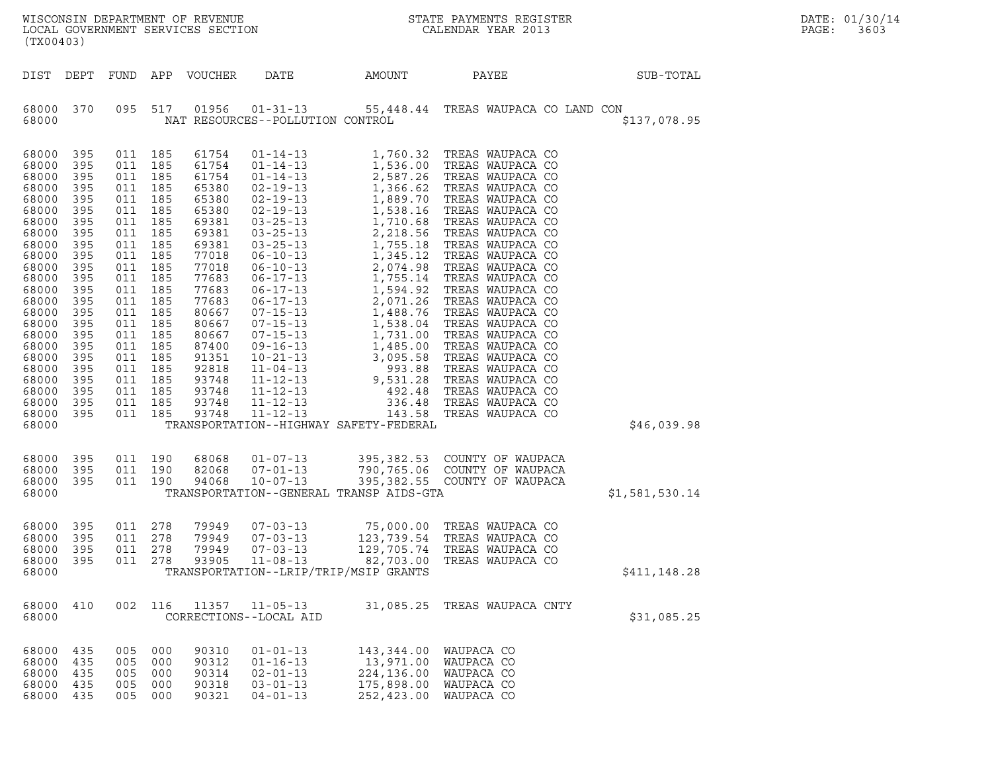| ${\tt WISCONSIN} \begin{tabular}{l} DEPARTMENT OF REVIEW \\ LOCAL GOVERIMENT SERVICES SECTION \\ \end{tabular} \begin{tabular}{l} \multicolumn{2}{c}{\textbf{S}} \\ \multicolumn{2}{c}{\textbf{S}} \\ \multicolumn{2}{c}{\textbf{S}} \\ \multicolumn{2}{c}{\textbf{A}} \\ \multicolumn{2}{c}{\textbf{A}} \\ \multicolumn{2}{c}{\textbf{A}} \\ \multicolumn{2}{c}{\textbf{A}} \\ \multicolumn{2}{c}{\textbf{A}} \\ \multicolumn{2}{c}{\textbf{A}} \\ \multicolumn{2}{c}{\textbf{A}} \\ \multicolumn{2}{c}{\textbf{$<br>LOCAL GOVERNMENT SERVICES SECTION<br>(TX00403) |                                                                                                                                                               |                                                                                                                                                                                                                                                                  |                          |                                                                                                                                                                                                                      |                                                                                        |                                                                   |                                                                                                   |                | DATE: 01/30/14<br>PAGE:<br>3603 |
|----------------------------------------------------------------------------------------------------------------------------------------------------------------------------------------------------------------------------------------------------------------------------------------------------------------------------------------------------------------------------------------------------------------------------------------------------------------------------------------------------------------------------------------------------------------------|---------------------------------------------------------------------------------------------------------------------------------------------------------------|------------------------------------------------------------------------------------------------------------------------------------------------------------------------------------------------------------------------------------------------------------------|--------------------------|----------------------------------------------------------------------------------------------------------------------------------------------------------------------------------------------------------------------|----------------------------------------------------------------------------------------|-------------------------------------------------------------------|---------------------------------------------------------------------------------------------------|----------------|---------------------------------|
|                                                                                                                                                                                                                                                                                                                                                                                                                                                                                                                                                                      |                                                                                                                                                               |                                                                                                                                                                                                                                                                  |                          | DIST DEPT FUND APP VOUCHER                                                                                                                                                                                           | DATE                                                                                   | AMOUNT                                                            | PAYEE                                                                                             | SUB-TOTAL      |                                 |
| 68000 370<br>68000                                                                                                                                                                                                                                                                                                                                                                                                                                                                                                                                                   |                                                                                                                                                               | 095 517                                                                                                                                                                                                                                                          |                          |                                                                                                                                                                                                                      | 01956 01-31-13<br>NAT RESOURCES--POLLUTION CONTROL                                     |                                                                   | 55,448.44 TREAS WAUPACA CO LAND CON                                                               | \$137,078.95   |                                 |
| 68000<br>68000<br>68000<br>68000<br>68000<br>68000<br>68000<br>68000<br>68000<br>68000<br>68000<br>68000<br>68000<br>68000<br>68000<br>68000<br>68000<br>68000<br>68000<br>68000<br>68000<br>68000<br>68000<br>68000 395<br>68000                                                                                                                                                                                                                                                                                                                                    | 395<br>395<br>395<br>395<br>395<br>395<br>395<br>395<br>395<br>395<br>395<br>395<br>395<br>395<br>395<br>395<br>395<br>395<br>395<br>395<br>395<br>395<br>395 | 011 185<br>011 185<br>011 185<br>011 185<br>011 185<br>011 185<br>011 185<br>011 185<br>011 185<br>011<br>011 185<br>011 185<br>011 185<br>011 185<br>011 185<br>011 185<br>011 185<br>011 185<br>011 185<br>011 185<br>011 185<br>011 185<br>011 185<br>011 185 | 185                      | 61754<br>61754<br>61754<br>65380<br>65380<br>65380<br>69381<br>69381<br>69381<br>77018<br>77018<br>77683<br>77683<br>77683<br>80667<br>80667<br>80667<br>87400<br>91351<br>92818<br>93748<br>93748<br>93748<br>93748 |                                                                                        | TRANSPORTATION--HIGHWAY SAFETY-FEDERAL                            | 01-14-13 1,760.32 TREAS WAUPACA CO                                                                | \$46,039.98    |                                 |
| 68000<br>68000 395<br>68000 395<br>68000                                                                                                                                                                                                                                                                                                                                                                                                                                                                                                                             | 395                                                                                                                                                           | 011 190<br>011 190<br>011 190                                                                                                                                                                                                                                    |                          | 68068<br>82068<br>94068                                                                                                                                                                                              | $01 - 07 - 13$<br>$07 - 01 - 13$<br>10-07-13                                           | TRANSPORTATION--GENERAL TRANSP AIDS-GTA                           | 395,382.53 COUNTY OF WAUPACA<br>790,765.06 COUNTY OF WAUPACA<br>395,382.55 COUNTY OF WAUPACA      | \$1,581,530.14 |                                 |
| 68000 395<br>68000 395<br>68000<br>68000<br>68000                                                                                                                                                                                                                                                                                                                                                                                                                                                                                                                    | 395<br>395                                                                                                                                                    | 011 278<br>011 278<br>011<br>011 278                                                                                                                                                                                                                             | 278                      | 79949<br>79949<br>79949<br>93905                                                                                                                                                                                     | $07 - 03 - 13$<br>$07 - 03 - 13$<br>$07 - 03 - 13$<br>$11 - 08 - 13$                   | 129,705.74<br>82,703.00<br>TRANSPORTATION--LRIP/TRIP/MSIP GRANTS  | 75,000.00 TREAS WAUPACA CO<br>123,739.54 TREAS WAUPACA CO<br>TREAS WAUPACA CO<br>TREAS WAUPACA CO | \$411,148.28   |                                 |
| 68000 410<br>68000                                                                                                                                                                                                                                                                                                                                                                                                                                                                                                                                                   |                                                                                                                                                               | 002 116                                                                                                                                                                                                                                                          |                          | 11357                                                                                                                                                                                                                | $11 - 05 - 13$<br>CORRECTIONS--LOCAL AID                                               | 31,085.25                                                         | TREAS WAUPACA CNTY                                                                                | \$31,085.25    |                                 |
| 68000 435<br>68000<br>68000<br>68000<br>68000 435                                                                                                                                                                                                                                                                                                                                                                                                                                                                                                                    | 435<br>435<br>435                                                                                                                                             | 005 000<br>005<br>005<br>005<br>005                                                                                                                                                                                                                              | 000<br>000<br>000<br>000 | 90310<br>90312<br>90314<br>90318<br>90321                                                                                                                                                                            | $01 - 01 - 13$<br>$01 - 16 - 13$<br>$02 - 01 - 13$<br>$03 - 01 - 13$<br>$04 - 01 - 13$ | 143,344.00<br>13,971.00<br>224,136.00<br>175,898.00<br>252,423.00 | WAUPACA CO<br>WAUPACA CO<br>WAUPACA CO<br>WAUPACA CO<br>WAUPACA CO                                |                |                                 |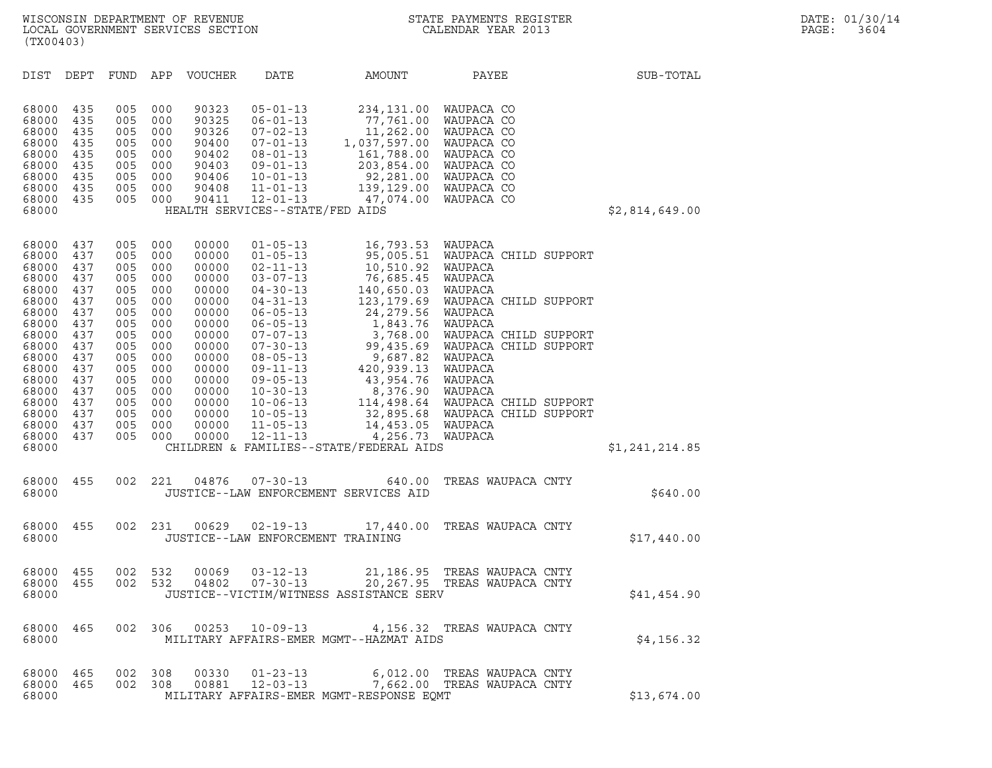| (TX00403)                                                                                                                                                               |                                                                                                                            |                                                                                                                            |                                                                                                                            |                                                                                                                                                                |                                                                                                                                                                                                                                                                                                                            |                                                                                                                                                                                                                                                       |                                                                                                                                                                                                                                                                                                             |                |  |
|-------------------------------------------------------------------------------------------------------------------------------------------------------------------------|----------------------------------------------------------------------------------------------------------------------------|----------------------------------------------------------------------------------------------------------------------------|----------------------------------------------------------------------------------------------------------------------------|----------------------------------------------------------------------------------------------------------------------------------------------------------------|----------------------------------------------------------------------------------------------------------------------------------------------------------------------------------------------------------------------------------------------------------------------------------------------------------------------------|-------------------------------------------------------------------------------------------------------------------------------------------------------------------------------------------------------------------------------------------------------|-------------------------------------------------------------------------------------------------------------------------------------------------------------------------------------------------------------------------------------------------------------------------------------------------------------|----------------|--|
| DIST                                                                                                                                                                    | DEPT                                                                                                                       | FUND APP                                                                                                                   |                                                                                                                            | <b>VOUCHER</b>                                                                                                                                                 | DATE                                                                                                                                                                                                                                                                                                                       | AMOUNT                                                                                                                                                                                                                                                | PAYEE                                                                                                                                                                                                                                                                                                       | SUB-TOTAL      |  |
| 68000<br>68000<br>68000<br>68000<br>68000<br>68000<br>68000<br>68000<br>68000<br>68000                                                                                  | 435<br>435<br>435<br>435<br>435<br>435<br>435<br>435<br>435                                                                | 005<br>005<br>005<br>005<br>005<br>005<br>005<br>005<br>005                                                                | 000<br>000<br>000<br>000<br>000<br>000<br>000<br>000<br>000                                                                | 90323<br>90325<br>90326<br>90400<br>90402<br>90403<br>90406<br>90408<br>90411                                                                                  | $05 - 01 - 13$<br>$06 - 01 - 13$<br>$07 - 02 - 13$<br>07-01-13<br>$08 - 01 - 13$<br>$09 - 01 - 13$<br>$10 - 01 - 13$<br>$11 - 01 - 13$<br>$12 - 01 - 13$<br>HEALTH SERVICES--STATE/FED AIDS                                                                                                                                | 234, 131.00<br>77,761.00<br>11,262.00<br>1,037,597.00<br>161,788.00<br>203,854.00<br>47,074.00                                                                                                                                                        | WAUPACA CO<br>WAUPACA CO<br>WAUPACA CO<br>WAUPACA CO<br>WAUPACA CO<br>WAUPACA CO<br>92,281.00 WAUPACA CO<br>139,129.00 WAUPACA CO<br>WAUPACA CO                                                                                                                                                             | \$2,814,649.00 |  |
| 68000<br>68000<br>68000<br>68000<br>68000<br>68000<br>68000<br>68000<br>68000<br>68000<br>68000<br>68000<br>68000<br>68000<br>68000<br>68000<br>68000<br>68000<br>68000 | 437<br>437<br>437<br>437<br>437<br>437<br>437<br>437<br>437<br>437<br>437<br>437<br>437<br>437<br>437<br>437<br>437<br>437 | 005<br>005<br>005<br>005<br>005<br>005<br>005<br>005<br>005<br>005<br>005<br>005<br>005<br>005<br>005<br>005<br>005<br>005 | 000<br>000<br>000<br>000<br>000<br>000<br>000<br>000<br>000<br>000<br>000<br>000<br>000<br>000<br>000<br>000<br>000<br>000 | 00000<br>00000<br>00000<br>00000<br>00000<br>00000<br>00000<br>00000<br>00000<br>00000<br>00000<br>00000<br>00000<br>00000<br>00000<br>00000<br>00000<br>00000 | $01 - 05 - 13$<br>$01 - 05 - 13$<br>$02 - 11 - 13$<br>$03 - 07 - 13$<br>$04 - 30 - 13$<br>04-31-13<br>$06 - 05 - 13$<br>$06 - 05 - 13$<br>$07 - 07 - 13$<br>$07 - 30 - 13$<br>$08 - 05 - 13$<br>$09 - 11 - 13$<br>$09 - 05 - 13$<br>$10 - 30 - 13$<br>$10 - 06 - 13$<br>$10 - 05 - 13$<br>$11 - 05 - 13$<br>$12 - 11 - 13$ | 16,793.53<br>95,005.51<br>10,510.92<br>76,685.45<br>140,650.03<br>123,179.69<br>24,279.56<br>1,843.76<br>3,768.00<br>99,435.69<br>9,687.82<br>420,939.13<br>43,954.76<br>8,376.90<br>14,453.05<br>4,256.73<br>CHILDREN & FAMILIES--STATE/FEDERAL AIDS | WAUPACA<br>WAUPACA CHILD SUPPORT<br>WAUPACA<br>WAUPACA<br>WAUPACA<br>WAUPACA CHILD SUPPORT<br>WAUPACA<br>WAUPACA<br>WAUPACA CHILD SUPPORT<br>WAUPACA CHILD SUPPORT<br>WAUPACA<br>WAUPACA<br>WAUPACA<br>WAUPACA<br>114,498.64 WAUPACA CHILD SUPPORT<br>32,895.68 WAUPACA CHILD SUPPORT<br>WAUPACA<br>WAUPACA | \$1,241,214.85 |  |
| 68000<br>68000                                                                                                                                                          | 455                                                                                                                        | 002                                                                                                                        | 221                                                                                                                        | 04876                                                                                                                                                          | $07 - 30 - 13$                                                                                                                                                                                                                                                                                                             | 640.00<br>JUSTICE--LAW ENFORCEMENT SERVICES AID                                                                                                                                                                                                       | TREAS WAUPACA CNTY                                                                                                                                                                                                                                                                                          | \$640.00       |  |
| 68000<br>68000                                                                                                                                                          | 455                                                                                                                        | 002                                                                                                                        | 231                                                                                                                        | 00629                                                                                                                                                          | $02 - 19 - 13$<br>JUSTICE--LAW ENFORCEMENT TRAINING                                                                                                                                                                                                                                                                        | 17,440.00                                                                                                                                                                                                                                             | TREAS WAUPACA CNTY                                                                                                                                                                                                                                                                                          | \$17,440.00    |  |
| 68000<br>68000<br>68000                                                                                                                                                 | 455<br>455                                                                                                                 | 002<br>002                                                                                                                 | 532<br>532                                                                                                                 | 00069<br>04802                                                                                                                                                 | $03 - 12 - 13$<br>$07 - 30 - 13$                                                                                                                                                                                                                                                                                           | JUSTICE--VICTIM/WITNESS ASSISTANCE SERV                                                                                                                                                                                                               | 21,186.95 TREAS WAUPACA CNTY<br>20,267.95 TREAS WAUPACA CNTY                                                                                                                                                                                                                                                | \$41,454.90    |  |
| 68000<br>68000                                                                                                                                                          | 465                                                                                                                        | 002                                                                                                                        | 306                                                                                                                        | 00253                                                                                                                                                          | $10 - 09 - 13$                                                                                                                                                                                                                                                                                                             | MILITARY AFFAIRS-EMER MGMT--HAZMAT AIDS                                                                                                                                                                                                               | 4,156.32 TREAS WAUPACA CNTY                                                                                                                                                                                                                                                                                 | \$4,156.32     |  |
| 68000<br>68000<br>68000                                                                                                                                                 | 465<br>465                                                                                                                 | 002<br>002                                                                                                                 | 308<br>308                                                                                                                 | 00330<br>00881                                                                                                                                                 | $01 - 23 - 13$<br>12-03-13                                                                                                                                                                                                                                                                                                 | MILITARY AFFAIRS-EMER MGMT-RESPONSE EQMT                                                                                                                                                                                                              | 6,012.00 TREAS WAUPACA CNTY<br>7,662.00 TREAS WAUPACA CNTY                                                                                                                                                                                                                                                  | \$13,674.00    |  |
|                                                                                                                                                                         |                                                                                                                            |                                                                                                                            |                                                                                                                            |                                                                                                                                                                |                                                                                                                                                                                                                                                                                                                            |                                                                                                                                                                                                                                                       |                                                                                                                                                                                                                                                                                                             |                |  |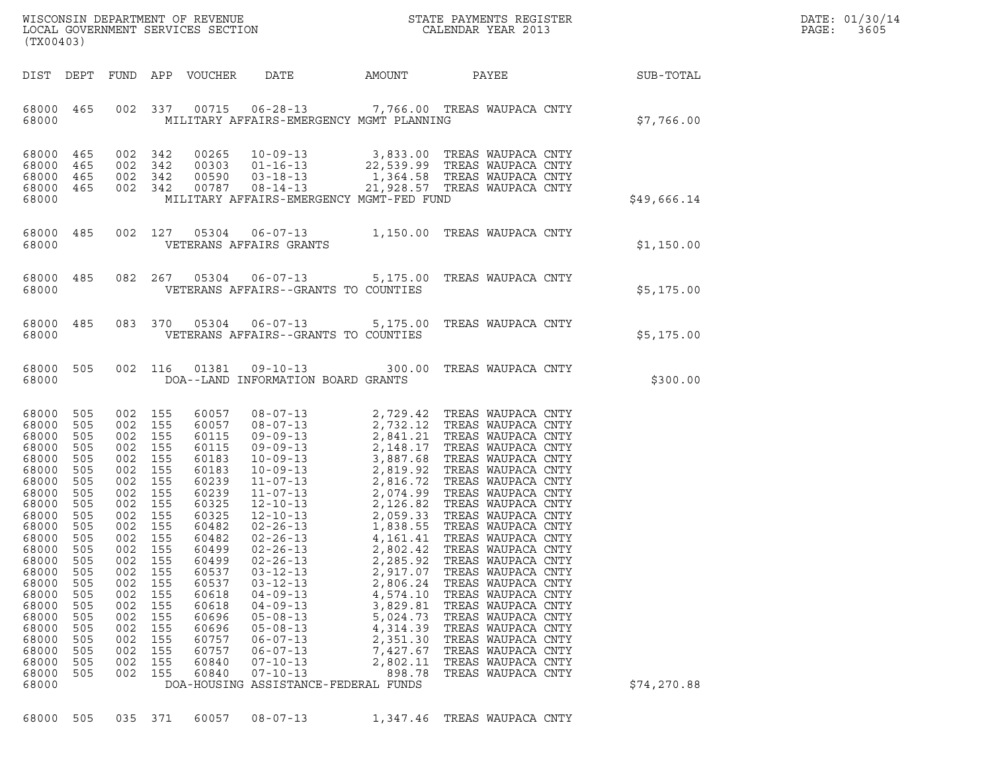| WISCONSIN DEPARTMENT OF REVENUE   | STATE PAYMENTS REGISTER | DATE: 01/30/14 |
|-----------------------------------|-------------------------|----------------|
| LOCAL GOVERNMENT SERVICES SECTION | CALENDAR YEAR 2013      | PAGE:<br>3605  |

| DIST DEPT FUND APP VOUCHER DATE AMOUNT PAYEE SUB-TOTAL<br>68000 465 002 337 00715 06-28-13 7,766.00 TREAS WAUPACA CNTY<br>MILITARY AFFAIRS-EMERGENCY MGMT PLANNING<br>68000<br>$\begin{array}{cccc} 002 & 342 & 00265 & 10-09-13 & 3,833.00 & \text{TREAS WAUPACA CNTY} \\ 002 & 342 & 00303 & 01-16-13 & 22,539.99 & \text{TREAS WAUPACA CNTY} \\ 002 & 342 & 00590 & 03-18-13 & 1,364.58 & \text{TREAS WAUPACA CNTY} \\ 002 & 342 & 00787 & 08-14-13 & 21,928.57 & \text{TREAS WAUPACA CNTY} \end{array}$<br>68000 465<br>68000 465<br>68000 465<br>68000 465<br>MILITARY AFFAIRS-EMERGENCY MGMT-FED FUND<br>68000                                                                                                                                                                                                                                                                                                                                                                                                                                                                                                                                                                                                                                                                                                                                                                                                                                                                                                                                               |             |
|--------------------------------------------------------------------------------------------------------------------------------------------------------------------------------------------------------------------------------------------------------------------------------------------------------------------------------------------------------------------------------------------------------------------------------------------------------------------------------------------------------------------------------------------------------------------------------------------------------------------------------------------------------------------------------------------------------------------------------------------------------------------------------------------------------------------------------------------------------------------------------------------------------------------------------------------------------------------------------------------------------------------------------------------------------------------------------------------------------------------------------------------------------------------------------------------------------------------------------------------------------------------------------------------------------------------------------------------------------------------------------------------------------------------------------------------------------------------------------------------------------------------------------------------------------------------|-------------|
|                                                                                                                                                                                                                                                                                                                                                                                                                                                                                                                                                                                                                                                                                                                                                                                                                                                                                                                                                                                                                                                                                                                                                                                                                                                                                                                                                                                                                                                                                                                                                                    |             |
|                                                                                                                                                                                                                                                                                                                                                                                                                                                                                                                                                                                                                                                                                                                                                                                                                                                                                                                                                                                                                                                                                                                                                                                                                                                                                                                                                                                                                                                                                                                                                                    | \$7,766.00  |
|                                                                                                                                                                                                                                                                                                                                                                                                                                                                                                                                                                                                                                                                                                                                                                                                                                                                                                                                                                                                                                                                                                                                                                                                                                                                                                                                                                                                                                                                                                                                                                    | \$49,666.14 |
| $\begin{tabular}{lllllll} 68000& 485& 002& 127& 05304& 06-07-13& 1,150.00 & \text{TREAS WAUPACA CNTY} \\ 68000 & \text{VETERANS AFFAIRS GRANTS} & \end{tabular}$                                                                                                                                                                                                                                                                                                                                                                                                                                                                                                                                                                                                                                                                                                                                                                                                                                                                                                                                                                                                                                                                                                                                                                                                                                                                                                                                                                                                   | \$1,150.00  |
| 68000 485 082 267 05304 06-07-13 5,175.00 TREAS WAUPACA CNTY<br>VETERANS AFFAIRS--GRANTS TO COUNTIES<br>68000                                                                                                                                                                                                                                                                                                                                                                                                                                                                                                                                                                                                                                                                                                                                                                                                                                                                                                                                                                                                                                                                                                                                                                                                                                                                                                                                                                                                                                                      | \$5,175.00  |
| 68000 485 083 370 05304 06-07-13 5,175.00 TREAS WAUPACA CNTY<br>VETERANS AFFAIRS--GRANTS TO COUNTIES<br>68000                                                                                                                                                                                                                                                                                                                                                                                                                                                                                                                                                                                                                                                                                                                                                                                                                                                                                                                                                                                                                                                                                                                                                                                                                                                                                                                                                                                                                                                      | \$5,175.00  |
| 68000 505 002 116 01381 09-10-13 300.00 TREAS WAUPACA CNTY<br>68000 DOA--LAND INFORMATION BOARD GRANTS                                                                                                                                                                                                                                                                                                                                                                                                                                                                                                                                                                                                                                                                                                                                                                                                                                                                                                                                                                                                                                                                                                                                                                                                                                                                                                                                                                                                                                                             | \$300.00    |
| 68000 505<br>002 155<br>60057<br>002 155<br>68000<br>505<br>60057<br>002 155<br>68000<br>505<br>60115<br>68000<br>505<br>002 155<br>60115<br>68000<br>505<br>002 155<br>60183<br>68000<br>505<br>002 155<br>60183<br>68000<br>505<br>002 155<br>60239<br>68000<br>505<br>002 155<br>60239<br>68000<br>505<br>002 155<br>60325<br>68000<br>505<br>002 155<br>60325<br>68000<br>505<br>002 155<br>60482<br>68000<br>505<br>002 155<br>60482<br>002 155<br>68000 505<br>60499<br>68000<br>505<br>002<br>155<br>60499<br>$02 - 26 - 13$<br>2,285.92<br>TREAS WAUPACA CNTY<br>68000<br>505<br>155<br>60537<br>$03 - 12 - 13$<br>2,917.07<br>TREAS WAUPACA CNTY<br>002<br>68000<br>505<br>002<br>155<br>60537<br>$03 - 12 - 13$<br>2,806.24<br>TREAS WAUPACA CNTY<br>68000<br>505<br>002<br>155<br>60618<br>$04 - 09 - 13$<br>4,574.10<br>TREAS WAUPACA CNTY<br>68000<br>002<br>155<br>60618<br>$04 - 09 - 13$<br>3,829.81<br>TREAS WAUPACA CNTY<br>505<br>68000<br>002<br>155<br>60696<br>$05 - 08 - 13$<br>5,024.73<br>TREAS WAUPACA CNTY<br>505<br>68000<br>002<br>155<br>60696<br>$05 - 08 - 13$<br>4,314.39<br>TREAS WAUPACA CNTY<br>505<br>68000<br>505<br>002<br>155<br>60757<br>$06 - 07 - 13$<br>2,351.30<br>TREAS WAUPACA CNTY<br>68000<br>002<br>155<br>60757<br>$06 - 07 - 13$<br>7,427.67<br>TREAS WAUPACA CNTY<br>505<br>68000<br>002<br>155<br>60840<br>$07 - 10 - 13$<br>2,802.11<br>TREAS WAUPACA CNTY<br>505<br>68000<br>002<br>155<br>60840<br>$07 - 10 - 13$<br>898.78<br>TREAS WAUPACA CNTY<br>505<br>68000<br>DOA-HOUSING ASSISTANCE-FEDERAL FUNDS | \$74,270.88 |

68000 505 035 371 60057 08-07-13 1,347.46 TREAS WAUPACA CNTY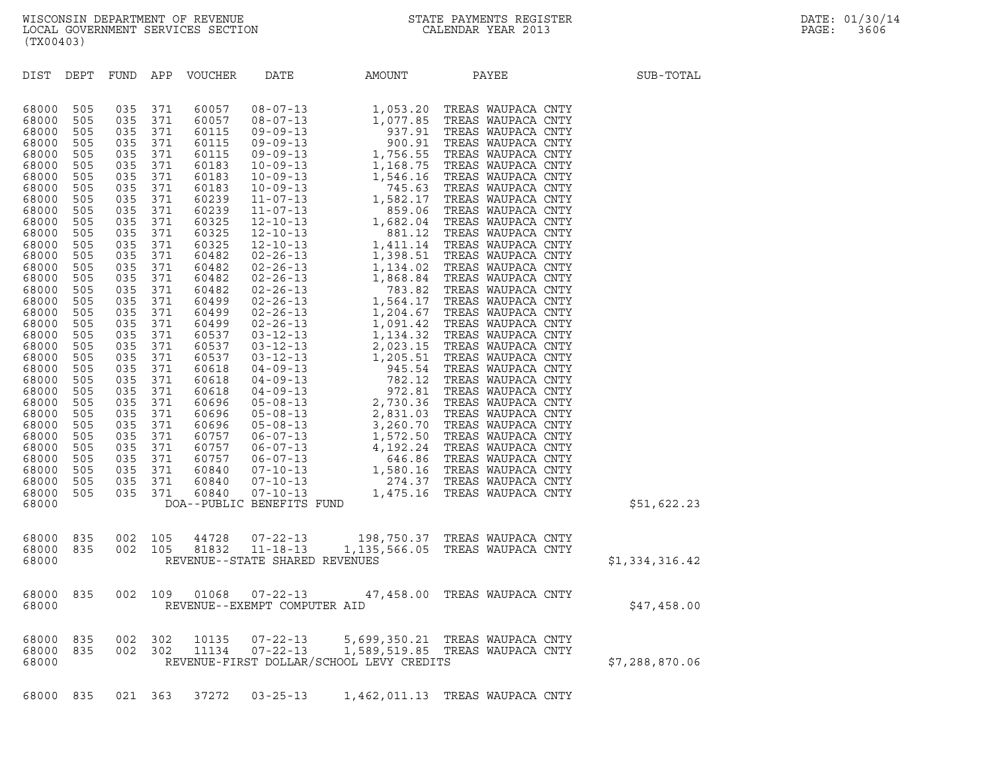| (TX00403)                                                                                                                                                                                                                                                                                                                                                                                                                                                                                                                                                                             |                                                                                                                                                                                                                                                                                                                                                                                                                                                                                                        |                                                                                                                                                                                                                                                                                                                         |                                                                    |                                          |                                                                    |                |
|---------------------------------------------------------------------------------------------------------------------------------------------------------------------------------------------------------------------------------------------------------------------------------------------------------------------------------------------------------------------------------------------------------------------------------------------------------------------------------------------------------------------------------------------------------------------------------------|--------------------------------------------------------------------------------------------------------------------------------------------------------------------------------------------------------------------------------------------------------------------------------------------------------------------------------------------------------------------------------------------------------------------------------------------------------------------------------------------------------|-------------------------------------------------------------------------------------------------------------------------------------------------------------------------------------------------------------------------------------------------------------------------------------------------------------------------|--------------------------------------------------------------------|------------------------------------------|--------------------------------------------------------------------|----------------|
| DIST<br>DEPT                                                                                                                                                                                                                                                                                                                                                                                                                                                                                                                                                                          | APP<br>FUND                                                                                                                                                                                                                                                                                                                                                                                                                                                                                            | VOUCHER                                                                                                                                                                                                                                                                                                                 | DATE                                                               | AMOUNT                                   | PAYEE                                                              | SUB-TOTAL      |
| 68000<br>505<br>68000<br>505<br>68000<br>505<br>68000<br>505<br>68000<br>505<br>68000<br>505<br>68000<br>505<br>68000<br>505<br>68000<br>505<br>68000<br>505<br>68000<br>505<br>68000<br>505<br>68000<br>505<br>68000<br>505<br>68000<br>505<br>68000<br>505<br>68000<br>505<br>68000<br>505<br>68000<br>505<br>68000<br>505<br>68000<br>505<br>68000<br>505<br>68000<br>505<br>68000<br>505<br>68000<br>505<br>68000<br>505<br>68000<br>505<br>68000<br>505<br>68000<br>505<br>68000<br>505<br>68000<br>505<br>68000<br>505<br>68000<br>505<br>68000<br>505<br>505<br>68000<br>68000 | 035<br>371<br>035<br>371<br>035<br>371<br>035<br>371<br>035<br>371<br>035<br>371<br>035<br>371<br>035<br>371<br>035<br>371<br>035<br>371<br>035<br>371<br>035<br>371<br>035<br>371<br>035<br>371<br>035<br>371<br>035<br>371<br>035<br>371<br>035<br>371<br>035<br>371<br>035<br>371<br>035<br>371<br>035<br>371<br>035<br>371<br>035<br>371<br>035<br>371<br>035<br>371<br>035<br>371<br>035<br>371<br>035<br>371<br>035<br>371<br>035<br>371<br>035<br>371<br>035<br>371<br>035<br>371<br>035<br>371 | 60057<br>60057<br>60115<br>60115<br>60115<br>60183<br>60183<br>60183<br>60239<br>60239<br>60325<br>60325<br>60325<br>60482<br>60482<br>60482<br>60482<br>60499<br>60499<br>60499<br>60537<br>60537<br>60537<br>60618<br>60618<br>60618<br>60696<br>60696<br>60696<br>60757<br>60757<br>60757<br>60840<br>60840<br>60840 | DOA--PUBLIC BENEFITS FUND                                          |                                          |                                                                    | \$51,622.23    |
| 68000<br>835<br>835<br>68000<br>68000                                                                                                                                                                                                                                                                                                                                                                                                                                                                                                                                                 | 002<br>105<br>002<br>105                                                                                                                                                                                                                                                                                                                                                                                                                                                                               |                                                                                                                                                                                                                                                                                                                         | 44728 07-22-13<br>81832 11-18-13<br>REVENUE--STATE SHARED REVENUES |                                          | 198,750.37 TREAS WAUPACA CNTY<br>1,135,566.05 TREAS WAUPACA CNTY   | \$1,334,316.42 |
| 68000<br>835<br>68000                                                                                                                                                                                                                                                                                                                                                                                                                                                                                                                                                                 | 002<br>109                                                                                                                                                                                                                                                                                                                                                                                                                                                                                             | 01068                                                                                                                                                                                                                                                                                                                   | $07 - 22 - 13$<br>REVENUE--EXEMPT COMPUTER AID                     |                                          | 47,458.00 TREAS WAUPACA CNTY                                       | \$47,458.00    |
| 68000<br>835<br>68000<br>835<br>68000                                                                                                                                                                                                                                                                                                                                                                                                                                                                                                                                                 | 002<br>302<br>002<br>302                                                                                                                                                                                                                                                                                                                                                                                                                                                                               | 10135<br>11134                                                                                                                                                                                                                                                                                                          | $07 - 22 - 13$<br>$07 - 22 - 13$                                   | REVENUE-FIRST DOLLAR/SCHOOL LEVY CREDITS | 5,699,350.21 TREAS WAUPACA CNTY<br>1,589,519.85 TREAS WAUPACA CNTY | \$7,288,870.06 |
| 835<br>68000                                                                                                                                                                                                                                                                                                                                                                                                                                                                                                                                                                          | 021 363                                                                                                                                                                                                                                                                                                                                                                                                                                                                                                | 37272                                                                                                                                                                                                                                                                                                                   | $03 - 25 - 13$                                                     |                                          | 1,462,011.13 TREAS WAUPACA CNTY                                    |                |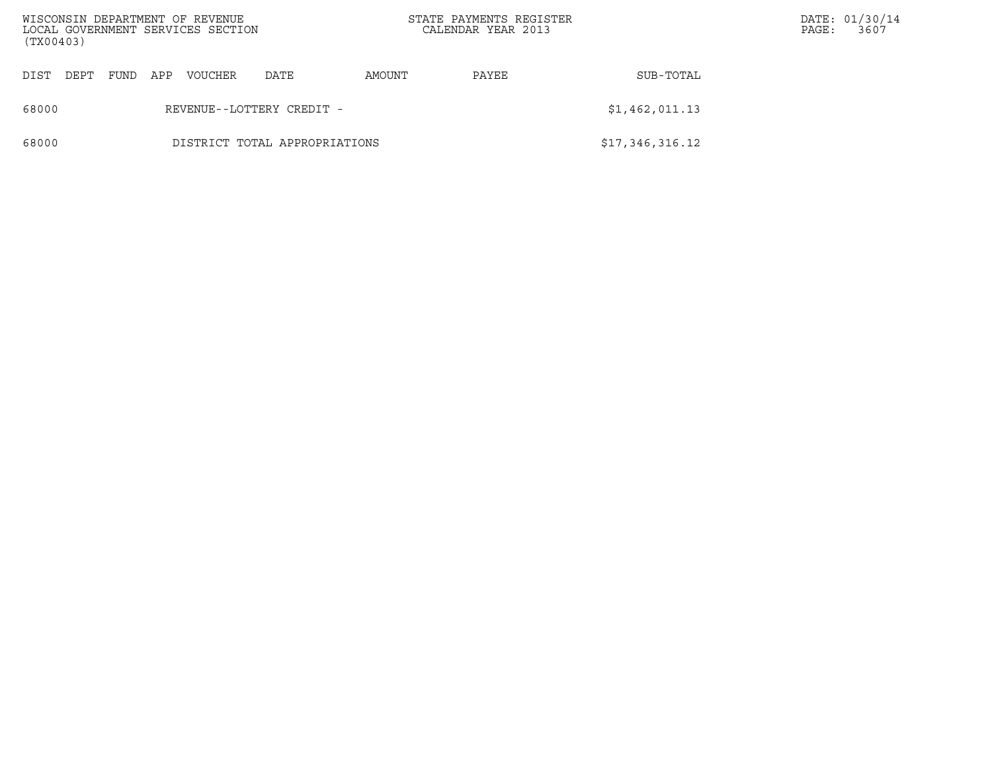| WISCONSIN DEPARTMENT OF REVENUE<br>LOCAL GOVERNMENT SERVICES SECTION<br>(TX00403) |                               |             |     |         |      |        | STATE PAYMENTS REGISTER<br>CALENDAR YEAR 2013 |                 | PAGE: | DATE: 01/30/14<br>3607 |
|-----------------------------------------------------------------------------------|-------------------------------|-------------|-----|---------|------|--------|-----------------------------------------------|-----------------|-------|------------------------|
| DIST<br>DEPT                                                                      |                               | <b>FUND</b> | APP | VOUCHER | DATE | AMOUNT | PAYEE                                         | SUB-TOTAL       |       |                        |
| 68000                                                                             | REVENUE--LOTTERY CREDIT -     |             |     |         |      |        |                                               | \$1,462,011.13  |       |                        |
| 68000                                                                             | DISTRICT TOTAL APPROPRIATIONS |             |     |         |      |        |                                               | \$17,346,316.12 |       |                        |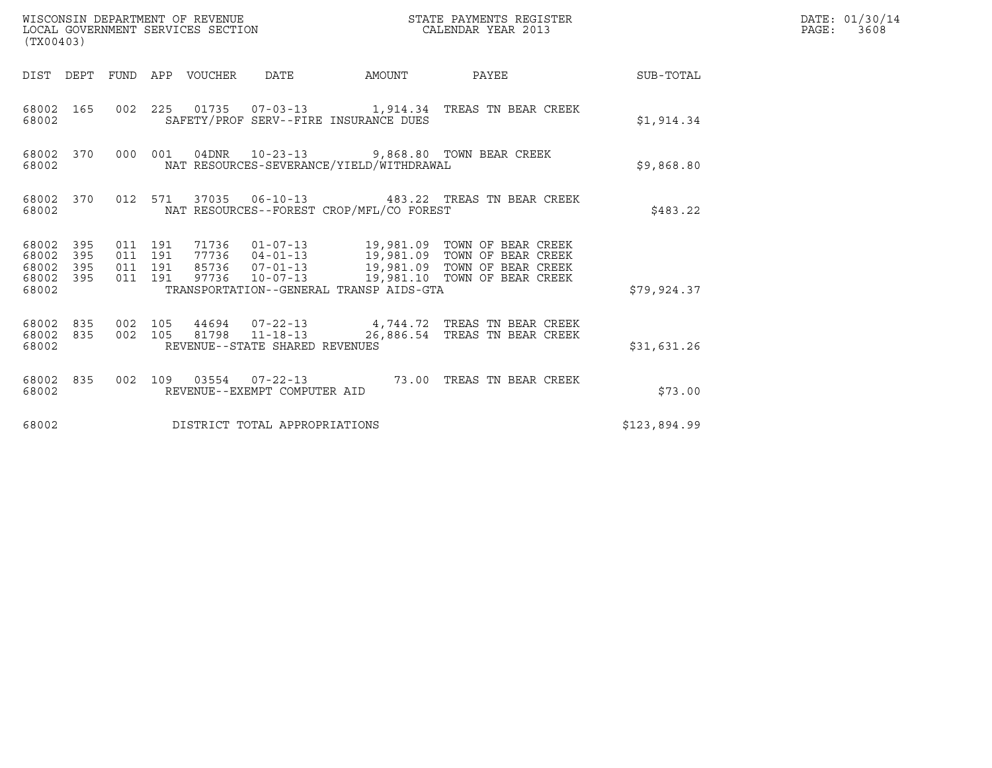| WISCONSIN DEPARTMENT OF REVENUE<br>LOCAL GOVERNMENT SERVICES SECTION<br>(TX00403) |                  |                               |         |                                 |                                |                                          | STATE PAYMENTS REGISTER<br>CALENDAR YEAR 2013                                                                                                                                                     |              | DATE: 01/30/14<br>PAGE: 3608 |
|-----------------------------------------------------------------------------------|------------------|-------------------------------|---------|---------------------------------|--------------------------------|------------------------------------------|---------------------------------------------------------------------------------------------------------------------------------------------------------------------------------------------------|--------------|------------------------------|
|                                                                                   |                  |                               |         | DIST DEPT FUND APP VOUCHER DATE |                                |                                          | AMOUNT PAYEE SUB-TOTAL                                                                                                                                                                            |              |                              |
| 68002                                                                             | 68002 165        |                               |         |                                 |                                | SAFETY/PROF SERV--FIRE INSURANCE DUES    | 002  225  01735  07-03-13   1,914.34  TREAS TN BEAR CREEK                                                                                                                                         | \$1,914.34   |                              |
| 68002                                                                             |                  |                               |         |                                 |                                | NAT RESOURCES-SEVERANCE/YIELD/WITHDRAWAL | 68002 370 000 001 04DNR 10-23-13 9,868.80 TOWN BEAR CREEK                                                                                                                                         | \$9,868.80   |                              |
| 68002                                                                             |                  |                               |         |                                 |                                | NAT RESOURCES--FOREST CROP/MFL/CO FOREST | 68002 370 012 571 37035 06-10-13 483.22 TREAS TN BEAR CREEK                                                                                                                                       | \$483.22     |                              |
| 68002 395<br>68002<br>68002 395<br>68002                                          | 395<br>68002 395 | 011 191<br>011 191<br>011 191 | 011 191 |                                 |                                | TRANSPORTATION--GENERAL TRANSP AIDS-GTA  | 71736  01-07-13  19,981.09  TOWN OF BEAR CREEK<br>77736  04-01-13  19,981.09  TOWN OF BEAR CREEK<br>85736  07-01-13  19,981.09  TOWN OF BEAR CREEK<br>97736 10-07-13 19,981.10 TOWN OF BEAR CREEK | \$79,924.37  |                              |
| 68002                                                                             | 68002 835        |                               |         |                                 | REVENUE--STATE SHARED REVENUES |                                          | 68002 835 002 105 44694 07-22-13 4,744.72 TREAS TN BEAR CREEK<br>002 105 81798 11-18-13 26,886.54 TREAS TN BEAR CREEK                                                                             | \$31,631.26  |                              |
| 68002                                                                             |                  |                               |         |                                 | REVENUE--EXEMPT COMPUTER AID   |                                          | 68002 835 002 109 03554 07-22-13 73.00 TREAS TN BEAR CREEK                                                                                                                                        | \$73.00      |                              |
| 68002                                                                             |                  |                               |         |                                 | DISTRICT TOTAL APPROPRIATIONS  |                                          |                                                                                                                                                                                                   | \$123,894.99 |                              |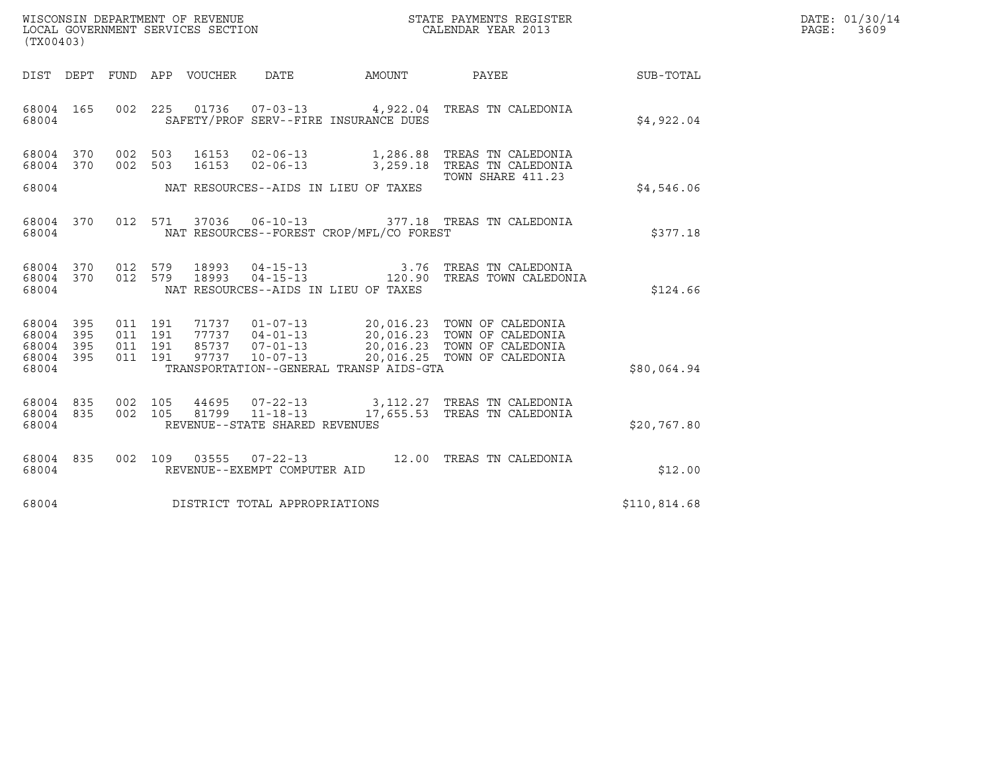| WISCONSIN DEPARTMENT OF REVENUE   | STATE PAYMENTS REGISTER | DATE: 01/30/14 |
|-----------------------------------|-------------------------|----------------|
| LOCAL GOVERNMENT SERVICES SECTION | CALENDAR YEAR 2013      | PAGE:<br>3609  |

| (TX00403)                                                             |                                                                                                                                                                                                             |                       |                                                                                                                |              |
|-----------------------------------------------------------------------|-------------------------------------------------------------------------------------------------------------------------------------------------------------------------------------------------------------|-----------------------|----------------------------------------------------------------------------------------------------------------|--------------|
| DEPT<br>DIST                                                          | FUND<br>APP<br>VOUCHER<br>DATE                                                                                                                                                                              | AMOUNT                | PAYEE                                                                                                          | SUB-TOTAL    |
| 68004<br>165<br>68004                                                 | 002<br>225<br>01736<br>$07 - 03 - 13$<br>SAFETY/PROF SERV--FIRE INSURANCE DUES                                                                                                                              |                       | 4,922.04 TREAS TN CALEDONIA                                                                                    | \$4,922.04   |
| 68004<br>370<br>370<br>68004                                          | 002<br>$02 - 06 - 13$<br>503<br>16153<br>002<br>503<br>16153<br>$02 - 06 - 13$                                                                                                                              | 1,286.88<br>3,259.18  | TREAS TN CALEDONIA<br>TREAS TN CALEDONIA<br>TOWN SHARE 411.23                                                  |              |
| 68004                                                                 | NAT RESOURCES--AIDS IN LIEU OF TAXES                                                                                                                                                                        |                       |                                                                                                                | \$4,546.06   |
| 370<br>68004<br>68004                                                 | 012<br>571<br>37036<br>$06 - 10 - 13$<br>NAT RESOURCES--FOREST CROP/MFL/CO FOREST                                                                                                                           |                       | 377.18 TREAS TN CALEDONIA                                                                                      | \$377.18     |
| 370<br>68004<br>370<br>68004<br>68004                                 | 012<br>579<br>18993<br>$04 - 15 - 13$<br>579<br>18993<br>$04 - 15 - 13$<br>012<br>NAT RESOURCES--AIDS IN LIEU OF TAXES                                                                                      | 3.76<br>120.90        | TREAS TN CALEDONIA<br>TREAS TOWN CALEDONIA                                                                     | \$124.66     |
| 395<br>68004<br>68004<br>395<br>68004<br>395<br>395<br>68004<br>68004 | 71737<br>$01 - 07 - 13$<br>011<br>191<br>011<br>191<br>77737<br>$04 - 01 - 13$<br>85737<br>$07 - 01 - 13$<br>011<br>191<br>191<br>97737<br>$10 - 07 - 13$<br>011<br>TRANSPORTATION--GENERAL TRANSP AIDS-GTA | 20,016.25             | 20,016.23 TOWN OF CALEDONIA<br>20,016.23 TOWN OF CALEDONIA<br>20,016.23 TOWN OF CALEDONIA<br>TOWN OF CALEDONIA | \$80,064.94  |
| 68004<br>835<br>68004<br>835<br>68004                                 | 002<br>105<br>$07 - 22 - 13$<br>44695<br>$11 - 18 - 13$<br>002<br>81799<br>105<br>REVENUE--STATE SHARED REVENUES                                                                                            | 3,112.27<br>17,655.53 | TREAS TN CALEDONIA<br>TREAS TN CALEDONIA                                                                       | \$20,767.80  |
| 68004<br>835<br>68004                                                 | 002<br>109<br>03555<br>$07 - 22 - 13$<br>REVENUE--EXEMPT COMPUTER AID                                                                                                                                       | 12.00                 | TREAS TN CALEDONIA                                                                                             | \$12.00      |
| 68004                                                                 | DISTRICT TOTAL APPROPRIATIONS                                                                                                                                                                               |                       |                                                                                                                | \$110,814.68 |

(TX00403)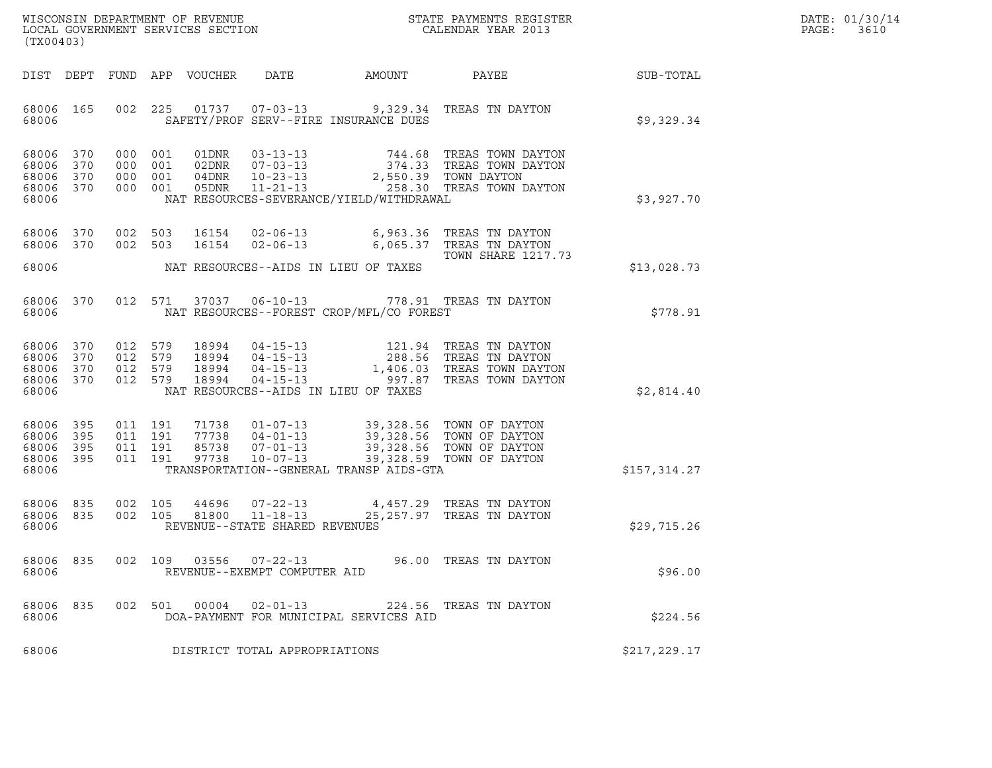| WISCONSIN DEPARTMENT OF REVENUE   | STATE PAYMENTS REGISTER | DATE: 01/30/14 |
|-----------------------------------|-------------------------|----------------|
| LOCAL GOVERNMENT SERVICES SECTION | CALENDAR YEAR 2013      | PAGE:<br>3610  |

| (TX00403)                                             |            |         |       |                                                        |                                                                                                                                                                                                                                                                                                                                                                                                     | WISCONSIN DEPARTMENT OF REVENUE<br>LOCAL GOVERNMENT SERVICES SECTION THE SERVICES OF CALENDAR YEAR 2013                                                                                                                                                                              |              | DATE: 01/30/14<br>PAGE: 3610 |
|-------------------------------------------------------|------------|---------|-------|--------------------------------------------------------|-----------------------------------------------------------------------------------------------------------------------------------------------------------------------------------------------------------------------------------------------------------------------------------------------------------------------------------------------------------------------------------------------------|--------------------------------------------------------------------------------------------------------------------------------------------------------------------------------------------------------------------------------------------------------------------------------------|--------------|------------------------------|
|                                                       |            |         |       |                                                        |                                                                                                                                                                                                                                                                                                                                                                                                     | DIST DEPT FUND APP VOUCHER DATE AMOUNT PAYEE                                                                                                                                                                                                                                         | SUB-TOTAL    |                              |
| 68006 165<br>68006                                    |            |         |       |                                                        | SAFETY/PROF SERV--FIRE INSURANCE DUES                                                                                                                                                                                                                                                                                                                                                               | 002 225 01737 07-03-13 9,329.34 TREAS TN DAYTON                                                                                                                                                                                                                                      | \$9,329.34   |                              |
| 68006 370<br>68006 370<br>68006<br>68006 370<br>68006 | 370        |         |       |                                                        | NAT RESOURCES-SEVERANCE/YIELD/WITHDRAWAL                                                                                                                                                                                                                                                                                                                                                            | $\begin{tabular}{cccccc} 000 & 001 & 01DNR & 03-13-13 & 744.68 & TREAS TOWN DAYTON \\ 000 & 001 & 02DNR & 07-03-13 & 374.33 & TREAS TOWN DAYTON \\ 000 & 001 & 04DNR & 10-23-13 & 2,550.39 & TOWN DAYTON \\ 000 & 001 & 05DNR & 11-21-13 & 258.30 & TREAS TOWN DAYTON \end{tabular}$ | \$3,927.70   |                              |
| 68006 370<br>68006 370                                |            |         |       |                                                        |                                                                                                                                                                                                                                                                                                                                                                                                     | 002 503 16154 02-06-13 6,963.36 TREAS TN DAYTON<br>002 503 16154 02-06-13 6,065.37 TREAS TN DAYTON<br>TOWN SHARE 1217.73                                                                                                                                                             | \$13,028.73  |                              |
|                                                       |            |         |       |                                                        |                                                                                                                                                                                                                                                                                                                                                                                                     | 68006 370 012 571 37037 06-10-13 778.91 TREAS TN DAYTON                                                                                                                                                                                                                              |              |                              |
| 68006                                                 |            |         |       |                                                        | NAT RESOURCES--FOREST CROP/MFL/CO FOREST                                                                                                                                                                                                                                                                                                                                                            |                                                                                                                                                                                                                                                                                      | \$778.91     |                              |
| 68006 370<br>68006<br>68006 370<br>68006 370<br>68006 | 370        |         |       |                                                        | NAT RESOURCES--AIDS IN LIEU OF TAXES                                                                                                                                                                                                                                                                                                                                                                | 012 579 18994 04-15-13 121.94 TREAS TN DAYTON<br>012 579 18994 04-15-13 288.56 TREAS TN DAYTON<br>012 579 18994 04-15-13 1,406.03 TREAS TOWN DAYTON<br>012 579 18994 04-15-13 997.87 TREAS TOWN DAYTON                                                                               | \$2,814.40   |                              |
| 68006<br>68006 395<br>68006<br>68006 395<br>68006     | 395<br>395 |         |       |                                                        | $\begin{array}{cccccc} 011 & 191 & 71738 & 01\texttt{-}07\texttt{-}13 & 39,328.56 & \texttt{TOWN OF DATTON} \\ 011 & 191 & 77738 & 04\texttt{-}01\texttt{-}13 & 39,328.56 & \texttt{TOWN OF DATTON} \\ 011 & 191 & 85738 & 07\texttt{-}01\texttt{-}13 & 39,328.56 & \texttt{TOWN OF DATTON} \\ 011 & 191 & 97738 & 10\texttt{-}07\texttt{-}13 & 39,328.$<br>TRANSPORTATION--GENERAL TRANSP AIDS-GTA |                                                                                                                                                                                                                                                                                      | \$157,314.27 |                              |
| 68006 835<br>68006 835<br>68006                       |            |         |       | REVENUE--STATE SHARED REVENUES                         |                                                                                                                                                                                                                                                                                                                                                                                                     | $002$ 105 44696 $07-22-13$ 4,457.29 TREAS TN DAYTON<br>$002$ 105 81800 11-18-13 25,257.97 TREAS TN DAYTON                                                                                                                                                                            | \$29,715.26  |                              |
| 68006<br>68006                                        | 835        |         |       | 002 109 03556 07-22-13<br>REVENUE--EXEMPT COMPUTER AID |                                                                                                                                                                                                                                                                                                                                                                                                     | 96.00 TREAS TN DAYTON                                                                                                                                                                                                                                                                | \$96.00      |                              |
| 68006<br>68006                                        | 835        | 002 501 | 00004 | 02-01-13                                               | DOA-PAYMENT FOR MUNICIPAL SERVICES AID                                                                                                                                                                                                                                                                                                                                                              | 224.56 TREAS TN DAYTON                                                                                                                                                                                                                                                               | \$224.56     |                              |
| 68006                                                 |            |         |       | DISTRICT TOTAL APPROPRIATIONS                          |                                                                                                                                                                                                                                                                                                                                                                                                     |                                                                                                                                                                                                                                                                                      | \$217,229.17 |                              |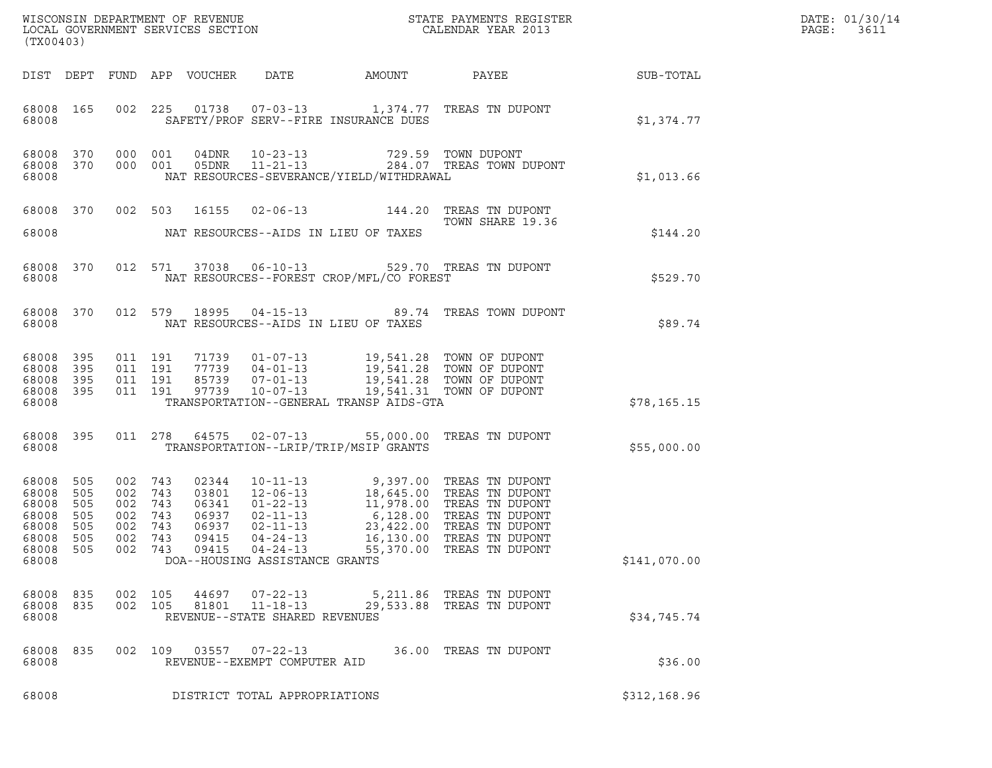| (TX00403)                                                                |                                        |                                            |                                            |                                                    |                                                                                      |                                          | $\tt WISCONSIM DEPARTMENT OF REVENUE$ $\tt WISCONSIM EN THE BAYMENTS REGISTERLOCAL GOVERNMENT SERVICES SECTION CALENDAR YEAR 2013$                                                                                                                     |                  | DATE: 01/30/14<br>PAGE:<br>3611 |
|--------------------------------------------------------------------------|----------------------------------------|--------------------------------------------|--------------------------------------------|----------------------------------------------------|--------------------------------------------------------------------------------------|------------------------------------------|--------------------------------------------------------------------------------------------------------------------------------------------------------------------------------------------------------------------------------------------------------|------------------|---------------------------------|
|                                                                          |                                        |                                            |                                            | DIST DEPT FUND APP VOUCHER                         | DATE                                                                                 | AMOUNT                                   | PAYEE                                                                                                                                                                                                                                                  | <b>SUB-TOTAL</b> |                                 |
| 68008 165<br>68008                                                       |                                        |                                            |                                            |                                                    |                                                                                      | SAFETY/PROF SERV--FIRE INSURANCE DUES    | 002 225 01738 07-03-13 1,374.77 TREAS TN DUPONT                                                                                                                                                                                                        | \$1,374.77       |                                 |
| 68008 370<br>68008 370<br>68008                                          |                                        | 000 001                                    | 000 001                                    |                                                    | 04DNR 10-23-13<br>05DNR 11-21-13                                                     | NAT RESOURCES-SEVERANCE/YIELD/WITHDRAWAL | 729.59 TOWN DUPONT<br>284.07 TREAS TOWN DUPONT                                                                                                                                                                                                         | \$1,013.66       |                                 |
| 68008 370                                                                |                                        |                                            | 002 503                                    | 16155                                              |                                                                                      | $02 - 06 - 13$ 144.20                    | TREAS TN DUPONT<br>TOWN SHARE 19.36                                                                                                                                                                                                                    |                  |                                 |
| 68008                                                                    |                                        |                                            |                                            |                                                    |                                                                                      | NAT RESOURCES--AIDS IN LIEU OF TAXES     |                                                                                                                                                                                                                                                        | \$144.20         |                                 |
| 68008 370<br>68008                                                       |                                        |                                            |                                            |                                                    | 012 571 37038 06-10-13                                                               | NAT RESOURCES--FOREST CROP/MFL/CO FOREST | 529.70 TREAS TN DUPONT                                                                                                                                                                                                                                 | \$529.70         |                                 |
| 68008 370<br>68008                                                       |                                        |                                            | 012 579 18995                              |                                                    |                                                                                      | NAT RESOURCES--AIDS IN LIEU OF TAXES     | 04-15-13 89.74 TREAS TOWN DUPONT                                                                                                                                                                                                                       | \$89.74          |                                 |
| 68008 395<br>68008<br>68008<br>68008 395<br>68008                        | 395<br>395                             | 011 191                                    | 011 191<br>011 191<br>011 191              |                                                    |                                                                                      | TRANSPORTATION--GENERAL TRANSP AIDS-GTA  | 71739  01-07-13  19,541.28  TOWN OF DUPONT<br>77739  04-01-13  19,541.28  TOWN OF DUPONT<br>85739  07-01-13  19,541.28  TOWN OF DUPONT<br>97739  10-07-13  19,541.31  TOWN OF DUPONT                                                                   | \$78, 165.15     |                                 |
| 68008 395<br>68008                                                       |                                        |                                            | 011 278                                    | 64575                                              |                                                                                      | TRANSPORTATION--LRIP/TRIP/MSIP GRANTS    | 02-07-13 55,000.00 TREAS TN DUPONT                                                                                                                                                                                                                     | \$55,000.00      |                                 |
| 68008<br>68008<br>68008<br>68008<br>68008<br>68008<br>68008 505<br>68008 | 505<br>505<br>505<br>505<br>505<br>505 | 002<br>002<br>002<br>002<br>002<br>002 743 | 743<br>743<br>743<br>743<br>743<br>002 743 | 02344<br>03801<br>06341<br>06937<br>06937<br>09415 | $02 - 11 - 13$<br>$02 - 11 - 13$<br>$04 - 24 - 13$<br>DOA--HOUSING ASSISTANCE GRANTS | 23,422.00<br>16,130.00                   | 10-11-13 9,397.00 TREAS TN DUPONT<br>12-06-13 18,645.00 TREAS TN DUPONT<br>01-22-13 11,978.00 TREAS TN DUPONT<br>6,128.00 TREAS TN DUPONT<br>TREAS TN DUPONT<br>TREAS TN DUPONT<br>09415     04-24-13                   55,370.00    TREAS  TN  DUPONT | \$141,070.00     |                                 |
| 68008 835<br>68008 835<br>68008                                          |                                        | 002 105<br>002 105                         |                                            | 44697<br>81801                                     | $07 - 22 - 13$<br>$11 - 18 - 13$<br>REVENUE--STATE SHARED REVENUES                   |                                          | 5,211.86 TREAS TN DUPONT<br>29,533.88 TREAS TN DUPONT                                                                                                                                                                                                  | \$34,745.74      |                                 |
| 68008 835<br>68008                                                       |                                        |                                            |                                            |                                                    | 002 109 03557 07-22-13<br>REVENUE--EXEMPT COMPUTER AID                               |                                          | 36.00 TREAS TN DUPONT                                                                                                                                                                                                                                  | \$36.00          |                                 |
| 68008                                                                    |                                        |                                            |                                            |                                                    | DISTRICT TOTAL APPROPRIATIONS                                                        |                                          |                                                                                                                                                                                                                                                        | \$312,168.96     |                                 |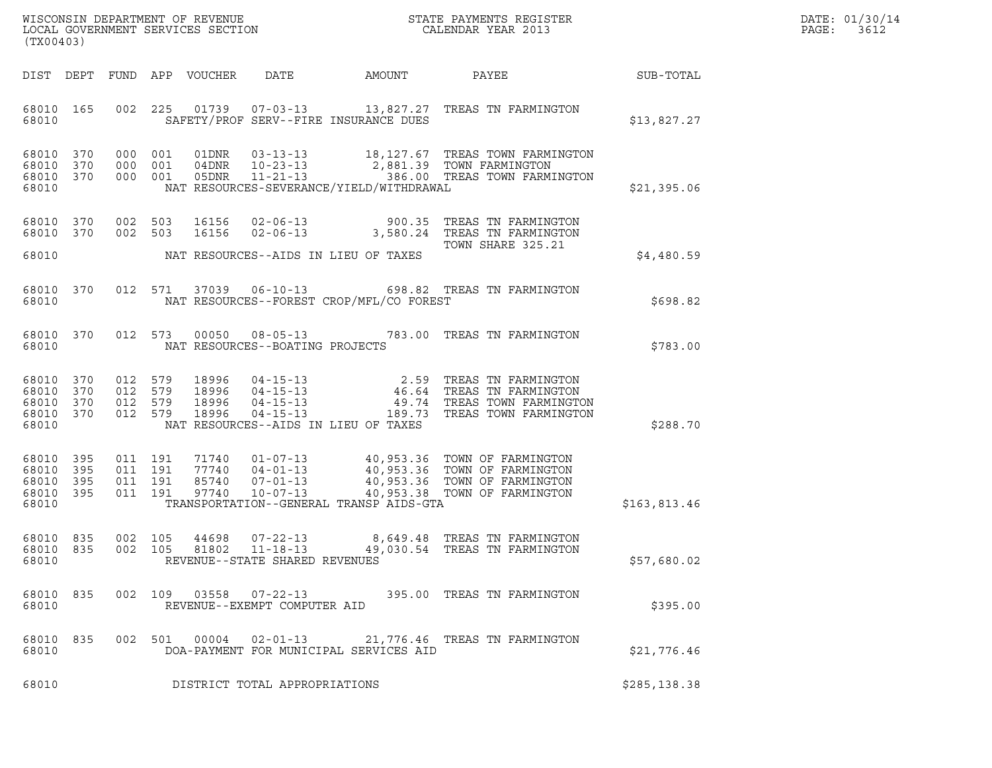| WISCONSIN DEPARTMENT OF REVENUE   | STATE PAYMENTS REGISTER | DATE: 01/30/14 |
|-----------------------------------|-------------------------|----------------|
| LOCAL GOVERNMENT SERVICES SECTION | CALENDAR YEAR 2013      | PAGE:<br>3612  |

| (TX00403)                                             |           |                                          |                                 |                                 |                                          | WISCONSIN DEPARTMENT OF REVENUE<br>LOCAL GOVERNMENT SERVICES SECTION<br>CALENDAR YEAR 2013                                                                                                                                                                                                                             |              | DATE: 01/30/14<br>PAGE: 3612 |
|-------------------------------------------------------|-----------|------------------------------------------|---------------------------------|---------------------------------|------------------------------------------|------------------------------------------------------------------------------------------------------------------------------------------------------------------------------------------------------------------------------------------------------------------------------------------------------------------------|--------------|------------------------------|
|                                                       |           |                                          | DIST DEPT FUND APP VOUCHER DATE |                                 |                                          | AMOUNT PAYEE SUB-TOTAL                                                                                                                                                                                                                                                                                                 |              |                              |
| 68010                                                 |           |                                          |                                 |                                 | SAFETY/PROF SERV--FIRE INSURANCE DUES    | 68010 165 002 225 01739 07-03-13 13,827.27 TREAS TN FARMINGTON                                                                                                                                                                                                                                                         | \$13,827.27  |                              |
| 68010 370<br>68010 370<br>68010                       |           | 68010 370 000 001                        |                                 |                                 | NAT RESOURCES-SEVERANCE/YIELD/WITHDRAWAL | 000 001 01DNR 03-13-13 18,127.67 TREAS TOWN FARMINGTON<br>000 001 04DNR 10-23-13 2,881.39 TOWN FARMINGTON<br>000 001 05DNR 11-21-13 . 386.00 TREAS TOWN FARMINGTON                                                                                                                                                     | \$21,395.06  |                              |
|                                                       |           | 68010 370 002 503<br>68010 370 002 503   |                                 |                                 |                                          | 16156  02-06-13  900.35  TREAS TN FARMINGTON<br>16156  02-06-13  3,580.24  TREAS TN FARMINGTON<br>TOWN SHARE 325.21                                                                                                                                                                                                    |              |                              |
| 68010                                                 |           |                                          |                                 |                                 | NAT RESOURCES--AIDS IN LIEU OF TAXES     |                                                                                                                                                                                                                                                                                                                        | \$4,480.59   |                              |
| 68010                                                 |           |                                          |                                 |                                 | NAT RESOURCES--FOREST CROP/MFL/CO FOREST | 68010 370 012 571 37039 06-10-13 698.82 TREAS TN FARMINGTON                                                                                                                                                                                                                                                            | \$698.82     |                              |
| 68010                                                 |           |                                          |                                 | NAT RESOURCES--BOATING PROJECTS |                                          | 68010 370 012 573 00050 08-05-13 783.00 TREAS TN FARMINGTON                                                                                                                                                                                                                                                            | \$783.00     |                              |
| 68010 370<br>68010 370<br>68010<br>68010 370<br>68010 | 370       |                                          |                                 |                                 | NAT RESOURCES--AIDS IN LIEU OF TAXES     | $\begin{array}{cccc} 012 & 579 & 18996 & 04-15-13 & 2.59 & \text{TREAS TN FARMINGTON} \\ 012 & 579 & 18996 & 04-15-13 & 46.64 & \text{TREAS TN FARMINGTON} \\ 012 & 579 & 18996 & 04-15-13 & 49.74 & \text{TREAS TOWN FARMINGTON} \\ 012 & 579 & 18996 & 04-15-13 & 189.73 & \text{TREAS TOWN FARMINGTON} \end{array}$ | \$288.70     |                              |
| 68010 395<br>68010<br>68010 395<br>68010 395<br>68010 | 395       | 011 191<br>011 191<br>011 191<br>011 191 |                                 |                                 | TRANSPORTATION--GENERAL TRANSP AIDS-GTA  | 71740  01-07-13  40,953.36 TOWN OF FARMINGTON<br>77740  04-01-13  40,953.36 TOWN OF FARMINGTON<br>85740  07-01-13  40,953.36 TOWN OF FARMINGTON<br>97740  10-07-13  40,953.38 TOWN OF FARMINGTON                                                                                                                       | \$163,813.46 |                              |
| 68010 835<br>68010 835<br>68010                       |           | 002 105<br>002 105                       |                                 | REVENUE--STATE SHARED REVENUES  |                                          | 44698  07-22-13  8,649.48  TREAS TN FARMINGTON<br>81802  11-18-13  49,030.54  TREAS TN FARMINGTON                                                                                                                                                                                                                      | \$57,680.02  |                              |
| 68010                                                 | 68010 835 |                                          |                                 | REVENUE--EXEMPT COMPUTER AID    |                                          | 002 109 03558 07-22-13 395.00 TREAS TN FARMINGTON                                                                                                                                                                                                                                                                      | \$395.00     |                              |
| 68010                                                 | 68010 835 |                                          |                                 |                                 | DOA-PAYMENT FOR MUNICIPAL SERVICES AID   | 002 501 00004 02-01-13 21,776.46 TREAS TN FARMINGTON                                                                                                                                                                                                                                                                   | \$21,776.46  |                              |
| 68010                                                 |           |                                          |                                 | DISTRICT TOTAL APPROPRIATIONS   |                                          |                                                                                                                                                                                                                                                                                                                        | \$285,138.38 |                              |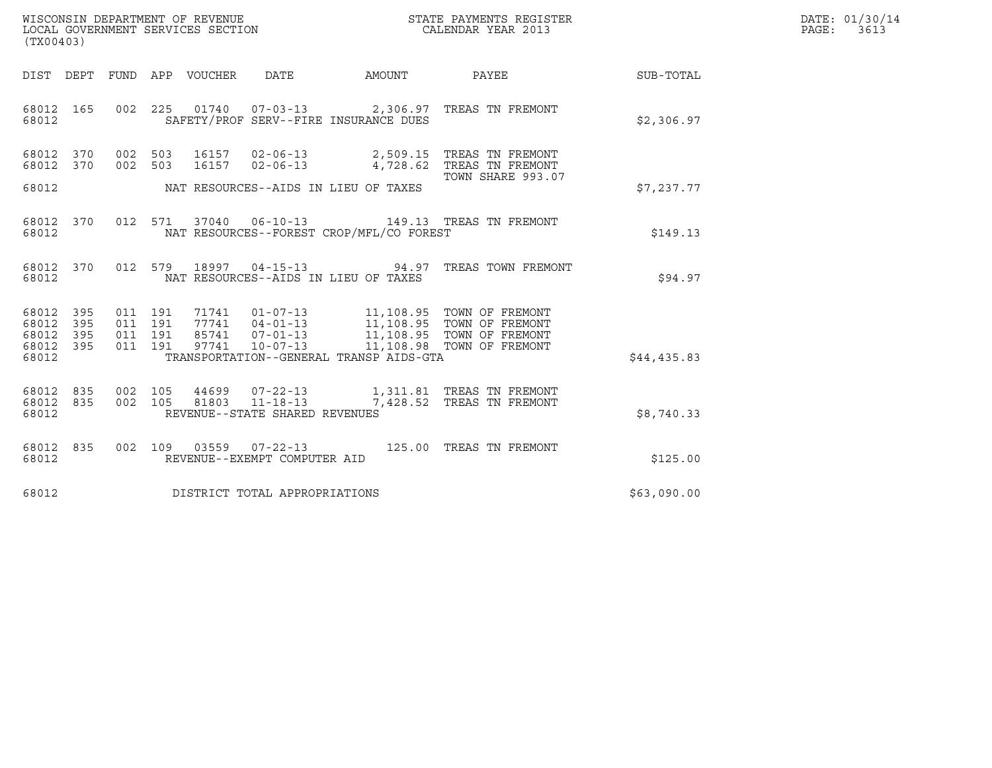| DATE: | 01/30/14 |
|-------|----------|
| PAGE: | 3613     |

| (TX00403)                                                                                                | WISCONSIN DEPARTMENT OF REVENUE<br>LOCAL GOVERNMENT SERVICES SECTION<br>CALENDAR YEAR 2013           |                        |             | DATE: 01/30/14<br>PAGE: 3613 |
|----------------------------------------------------------------------------------------------------------|------------------------------------------------------------------------------------------------------|------------------------|-------------|------------------------------|
| DIST DEPT FUND APP VOUCHER DATE                                                                          |                                                                                                      | AMOUNT PAYEE SUB-TOTAL |             |                              |
| 68012 165<br>68012                                                                                       | 002 225 01740 07-03-13 2,306.97 TREAS TN FREMONT<br>SAFETY/PROF SERV--FIRE INSURANCE DUES            |                        | \$2,306.97  |                              |
| 68012 370<br>002 503<br>68012 370<br>002 503                                                             | 16157  02-06-13  2,509.15 TREAS TN FREMONT<br>16157  02-06-13  4,728.62 TREAS TN FREMONT             |                        |             |                              |
| 68012                                                                                                    | NAT RESOURCES--AIDS IN LIEU OF TAXES                                                                 | TOWN SHARE 993.07      | \$7,237.77  |                              |
| 68012                                                                                                    | 68012 370 012 571 37040 06-10-13 149.13 TREAS TN FREMONT<br>NAT RESOURCES--FOREST CROP/MFL/CO FOREST |                        | \$149.13    |                              |
| 68012 370<br>68012                                                                                       | 012 579 18997 04-15-13 94.97 TREAS TOWN FREMONT<br>NAT RESOURCES--AIDS IN LIEU OF TAXES              |                        | \$94.97     |                              |
| 011 191<br>68012 395<br>395<br>011 191<br>68012<br>011 191<br>68012 395<br>011 191<br>68012 395<br>68012 | TRANSPORTATION--GENERAL TRANSP AIDS-GTA                                                              |                        | \$44,435.83 |                              |
| 68012 835<br>002 105<br>68012 835<br>002 105<br>68012                                                    | 81803    11-18-13    7,428.52    TREAS TN FREMONT<br>REVENUE--STATE SHARED REVENUES                  |                        | \$8,740.33  |                              |
| 68012 835<br>68012                                                                                       | 002 109 03559 07-22-13 125.00 TREAS TN FREMONT<br>REVENUE--EXEMPT COMPUTER AID                       |                        | \$125.00    |                              |
| 68012                                                                                                    | DISTRICT TOTAL APPROPRIATIONS                                                                        |                        | \$63,090.00 |                              |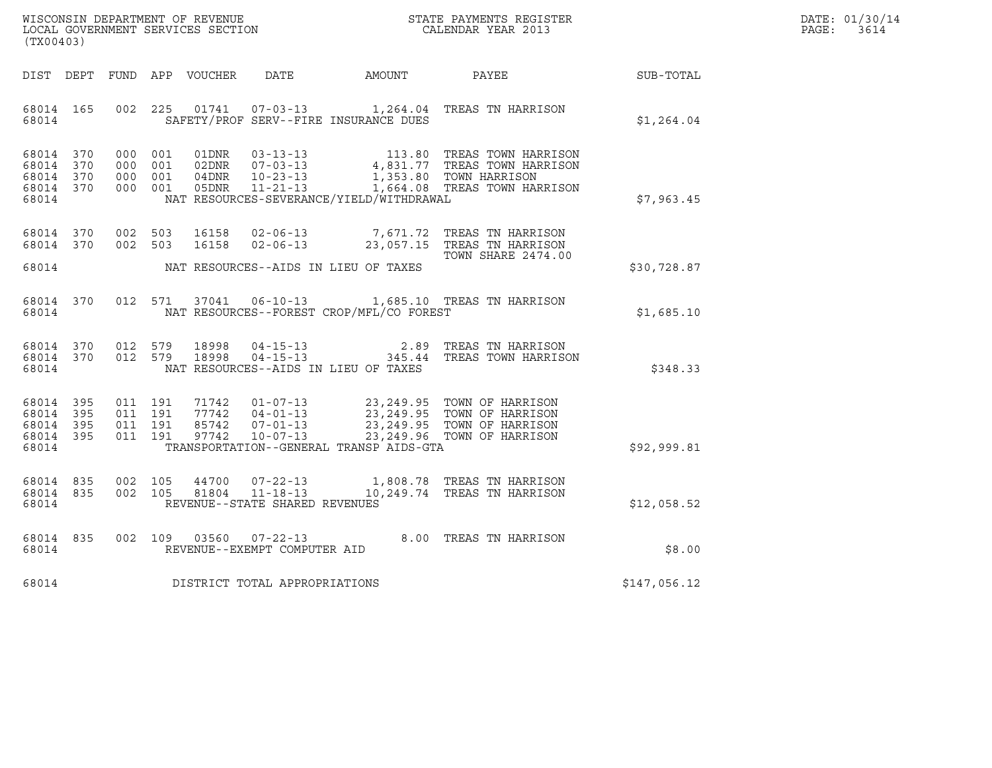| WISCONSIN DEPARTMENT OF REVENUE   | STATE PAYMENTS REGISTER | DATE: 01/30/14 |
|-----------------------------------|-------------------------|----------------|
| LOCAL GOVERNMENT SERVICES SECTION | CALENDAR YEAR 2013      | PAGE:<br>3614  |

| (TX00403)                                    |  |                   |  |                                                    |                                      |                                                |                                                                                                                                                                                                                                                                                                                                                          |              | DATE: 01/30/14<br>PAGE: 3614 |
|----------------------------------------------|--|-------------------|--|----------------------------------------------------|--------------------------------------|------------------------------------------------|----------------------------------------------------------------------------------------------------------------------------------------------------------------------------------------------------------------------------------------------------------------------------------------------------------------------------------------------------------|--------------|------------------------------|
|                                              |  |                   |  |                                                    |                                      |                                                |                                                                                                                                                                                                                                                                                                                                                          |              |                              |
|                                              |  |                   |  |                                                    |                                      | 68014 SAFETY/PROF SERV--FIRE INSURANCE DUES    | 68014 165 002 225 01741 07-03-13 1,264.04 TREAS TN HARRISON                                                                                                                                                                                                                                                                                              | \$1,264.04   |                              |
| 68014                                        |  |                   |  |                                                    |                                      | NAT RESOURCES-SEVERANCE/YIELD/WITHDRAWAL       | $\begin{tabular}{cccc} 68014 & 370 & 000 & 001 & 01DNR & 03-13-13 & 113.80 \end{tabular} \begin{tabular}{cccc} 68014 & 370 & 000 & 001 & 01DNR & 03-13-13 & 4,831.77 \end{tabular} \begin{tabular}{cccc} 48014 & 370 & 000 & 001 & 02DNR & 07-03-13 & 4,831.77 \end{tabular} \end{tabular} \begin{tabular}{cccc} 4831.77 TREAS TOWN HARRISON & 370 & 00$ | \$7,963.45   |                              |
|                                              |  | 68014 370 002 503 |  | 68014 370 002 503 16158<br>16158                   |                                      | 68014 NAT RESOURCES--AIDS IN LIEU OF TAXES     | 02-06-13 7,671.72 TREAS TN HARRISON<br>02-06-13 23,057.15 TREAS TN HARRISON<br>TOWN SHARE 2474.00                                                                                                                                                                                                                                                        | \$30,728.87  |                              |
|                                              |  |                   |  |                                                    |                                      | 68014 NAT RESOURCES--FOREST CROP/MFL/CO FOREST | 68014 370 012 571 37041 06-10-13 1,685.10 TREAS TN HARRISON                                                                                                                                                                                                                                                                                              | \$1,685.10   |                              |
| 68014                                        |  |                   |  | 68014 370 012 579 18998<br>68014 370 012 579 18998 |                                      | NAT RESOURCES--AIDS IN LIEU OF TAXES           | 04-15-13 2.89 TREAS TN HARRISON<br>04-15-13 345.44 TREAS TOWN HARRISON                                                                                                                                                                                                                                                                                   | \$348.33     |                              |
| 68014 395<br>68014 395<br>68014 395<br>68014 |  | 68014 395 011 191 |  |                                                    |                                      | TRANSPORTATION--GENERAL TRANSP AIDS-GTA        | 011 191 71742 01-07-13 23,249.95 TOWN OF HARRISON<br>011 191 77742 04-01-13 23,249.95 TOWN OF HARRISON<br>011 191 85742 07-01-13 23,249.95 TOWN OF HARRISON<br>011 191 97742 10-07-13 23,249.96 TOWN OF HARRISON                                                                                                                                         | \$92,999.81  |                              |
|                                              |  |                   |  |                                                    | 68014 REVENUE--STATE SHARED REVENUES |                                                | $\begin{array}{cccccc} 68014 & 835 & 002 & 105 & 44700 & 07-22-13 & & 1,808.78 & \text{TREAS TN HARRISON} \\ 68014 & 835 & 002 & 105 & 81804 & 11-18-13 & & 10,249.74 & \text{TREAS TN HARRISON} \end{array}$                                                                                                                                            | \$12,058.52  |                              |
| 68014                                        |  |                   |  |                                                    | REVENUE--EXEMPT COMPUTER AID         |                                                | 68014 835 002 109 03560 07-22-13 8.00 TREAS TN HARRISON                                                                                                                                                                                                                                                                                                  | \$8.00       |                              |
| 68014                                        |  |                   |  |                                                    | DISTRICT TOTAL APPROPRIATIONS        |                                                |                                                                                                                                                                                                                                                                                                                                                          | \$147,056.12 |                              |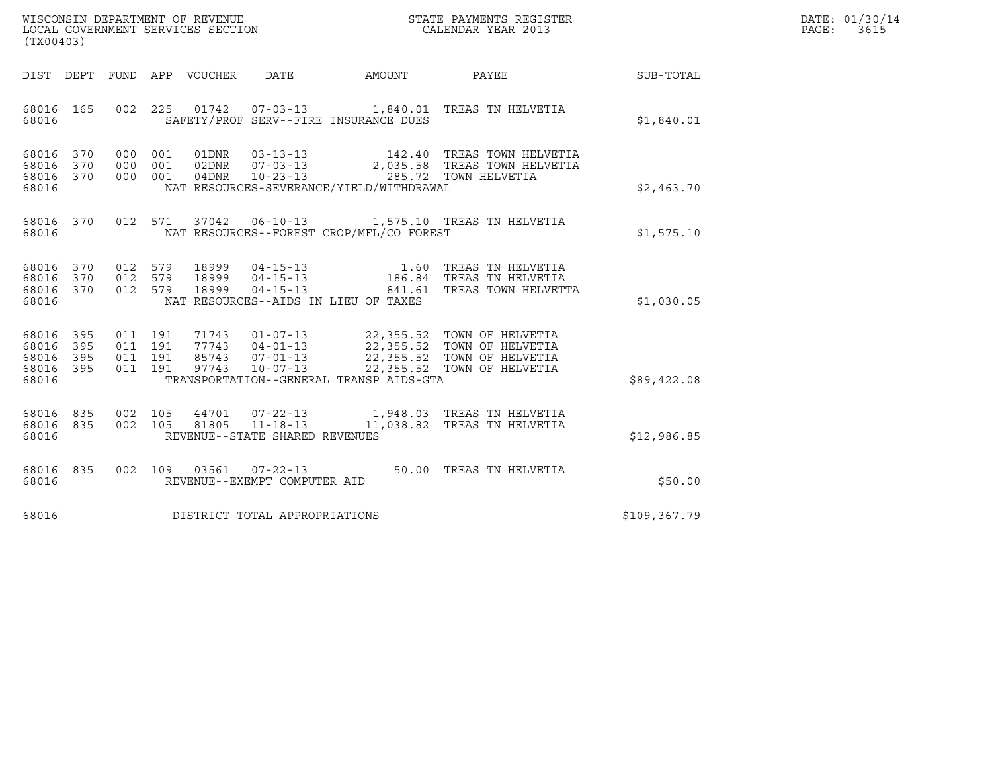| WISCONSIN DEPARTMENT OF REVENUE   | STATE PAYMENTS REGISTER | DATE: 01/30/14 |
|-----------------------------------|-------------------------|----------------|
| LOCAL GOVERNMENT SERVICES SECTION | CALENDAR YEAR 2013      | PAGE:<br>3615  |

| WISCONSIN DEPARTMENT OF REVENUE<br>LOCAL GOVERNMENT SERVICES SECTION CALENDAR YEAR 2013<br>(TX00403) |  |  |  |  |                                      |                                                |                                                                                                                                                                                                                                                                                                                       |              | DATE: 01/30/14<br>PAGE: 3615 |
|------------------------------------------------------------------------------------------------------|--|--|--|--|--------------------------------------|------------------------------------------------|-----------------------------------------------------------------------------------------------------------------------------------------------------------------------------------------------------------------------------------------------------------------------------------------------------------------------|--------------|------------------------------|
|                                                                                                      |  |  |  |  |                                      |                                                | DIST DEPT FUND APP VOUCHER DATE AMOUNT PAYEE SUB-TOTAL                                                                                                                                                                                                                                                                |              |                              |
|                                                                                                      |  |  |  |  |                                      | 68016 SAFETY/PROF SERV--FIRE INSURANCE DUES    | 68016 165 002 225 01742 07-03-13 1,840.01 TREAS TN HELVETIA                                                                                                                                                                                                                                                           | \$1,840.01   |                              |
| 68016                                                                                                |  |  |  |  |                                      | NAT RESOURCES-SEVERANCE/YIELD/WITHDRAWAL       | $\begin{array}{cccccccc} 68016 & 370 & 000 & 001 & 01\text{DNR} & 03-13-13 & & 142.40 & \text{TREAS TOWN HELVETIA} \\ 68016 & 370 & 000 & 001 & 02\text{DNR} & 07-03-13 & & 2,035.58 & \text{TREAS TOWN HELVETIA} \\ 68016 & 370 & 000 & 001 & 04\text{DNR} & 10-23-13 & & 285.72 & \text{TOWN HELVETIA} \end{array}$ | \$2,463.70   |                              |
|                                                                                                      |  |  |  |  |                                      | 68016 MAT RESOURCES--FOREST CROP/MFL/CO FOREST | 68016 370 012 571 37042 06-10-13 1,575.10 TREAS TN HELVETIA                                                                                                                                                                                                                                                           | \$1,575.10   |                              |
| 68016                                                                                                |  |  |  |  |                                      | NAT RESOURCES--AIDS IN LIEU OF TAXES           | 68016 370 012 579 18999 04-15-13 1.60 TREAS TN HELVETIA<br>68016 370 012 579 18999 04-15-13 186.84 TREAS TN HELVETIA<br>68016 370 012 579 18999 04-15-13 841.61 TREAS TOWN HELVETTA                                                                                                                                   | \$1,030.05   |                              |
| 68016 395<br>68016 395<br>68016 395<br>68016 395<br>68016                                            |  |  |  |  |                                      | TRANSPORTATION--GENERAL TRANSP AIDS-GTA        | 011 191 71743 01-07-13 22,355.52 TOWN OF HELVETIA<br>011 191 77743 04-01-13 22,355.52 TOWN OF HELVETIA<br>011 191 85743 07-01-13 22,355.52 TOWN OF HELVETIA<br>011 191 97743 10-07-13 22,355.52 TOWN OF HELVETIA                                                                                                      | \$89,422.08  |                              |
|                                                                                                      |  |  |  |  | 68016 REVENUE--STATE SHARED REVENUES |                                                | $\begin{array}{cccccc} 68016 & 835 & 002 & 105 & 44701 & 07-22-13 & & 1,948.03 & \text{TREAS TN HELVETIA} \\ 68016 & 835 & 002 & 105 & 81805 & 11-18-13 & & 11,038.82 & \text{TREAS TN HELVETIA} \end{array}$                                                                                                         | \$12,986.85  |                              |
| 68016                                                                                                |  |  |  |  | REVENUE--EXEMPT COMPUTER AID         |                                                | 68016 835 002 109 03561 07-22-13 50.00 TREAS TN HELVETIA                                                                                                                                                                                                                                                              | \$50.00      |                              |
| 68016                                                                                                |  |  |  |  | DISTRICT TOTAL APPROPRIATIONS        |                                                |                                                                                                                                                                                                                                                                                                                       | \$109,367.79 |                              |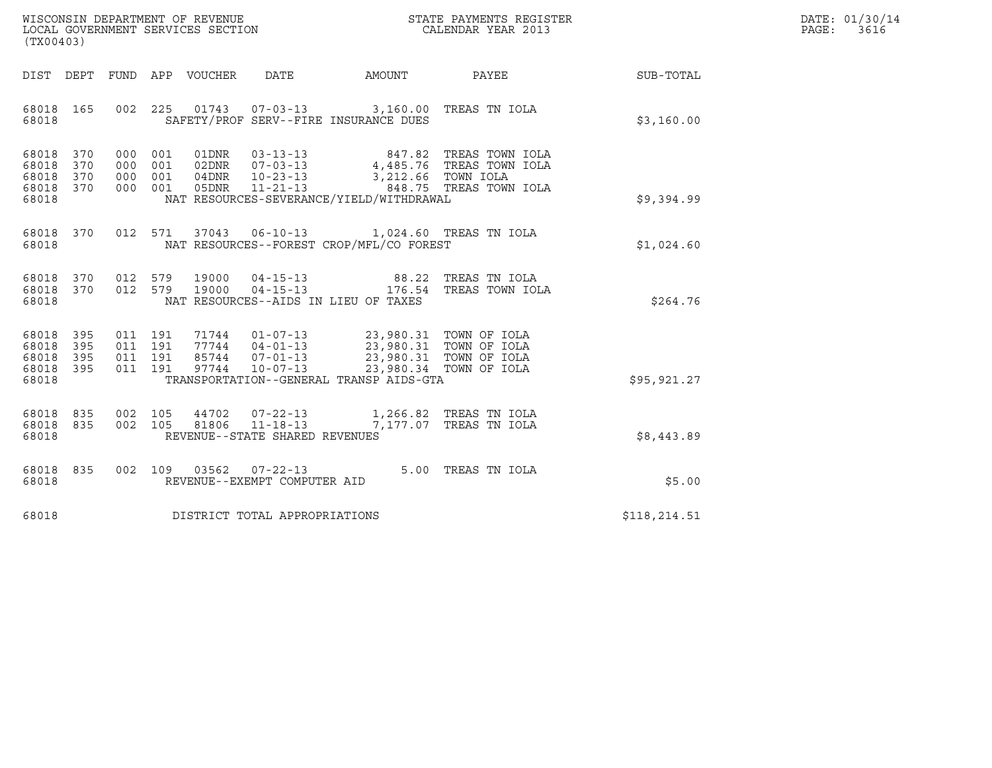| WISCONSIN DEPARTMENT OF REVENUE   | STATE PAYMENTS REGISTER | DATE: 01/30/14 |
|-----------------------------------|-------------------------|----------------|
| LOCAL GOVERNMENT SERVICES SECTION | CALENDAR YEAR 2013      | PAGE:<br>3616  |

| (TX00403)                                                 |  |                                | WISCONSIN DEPARTMENT OF REVENUE<br>LOCAL GOVERNMENT SERVICES SECTION<br>CALENDAR YEAR 2013                                                                                                                                                                                                                                        |                                                                                                                                                                                                                                                                                                |                                                             | DATE: 01/30/14<br>PAGE:<br>3616 |
|-----------------------------------------------------------|--|--------------------------------|-----------------------------------------------------------------------------------------------------------------------------------------------------------------------------------------------------------------------------------------------------------------------------------------------------------------------------------|------------------------------------------------------------------------------------------------------------------------------------------------------------------------------------------------------------------------------------------------------------------------------------------------|-------------------------------------------------------------|---------------------------------|
|                                                           |  |                                |                                                                                                                                                                                                                                                                                                                                   |                                                                                                                                                                                                                                                                                                | DIST DEPT FUND APP VOUCHER DATE AMOUNT PAYEE PATE SUB-TOTAL |                                 |
| 68018 165<br>68018                                        |  |                                | 002 225 01743 07-03-13 3,160.00 TREAS TN IOLA<br>SAFETY/PROF SERV--FIRE INSURANCE DUES                                                                                                                                                                                                                                            |                                                                                                                                                                                                                                                                                                | \$3,160.00                                                  |                                 |
| 68018 370<br>68018 370<br>68018 370<br>68018 370<br>68018 |  |                                | NAT RESOURCES-SEVERANCE/YIELD/WITHDRAWAL                                                                                                                                                                                                                                                                                          | $\begin{tabular}{cccc} 0.00 & 0.01 & 0.1DNR & 0.3-13-13 & 847.82 & TREAS TOWN IOLA \\ 0.00 & 0.01 & 0.2DNR & 0.7-0.3-13 & 4,485.76 & TREAS TOWN IOLA \\ 0.00 & 0.01 & 0.4DNR & 10-23-13 & 3,212.66 & TOWN IOLA \\ 0.00 & 0.01 & 0.5DNR & 11-21-13 & 848.75 & TREAS TOWN IOLA \\ \end{tabular}$ | \$9,394.99                                                  |                                 |
| 68018 370<br>68018                                        |  |                                | 012 571 37043 06-10-13 1,024.60 TREAS TN IOLA<br>NAT RESOURCES--FOREST CROP/MFL/CO FOREST                                                                                                                                                                                                                                         |                                                                                                                                                                                                                                                                                                | \$1,024.60                                                  |                                 |
| 68018 370<br>68018 370<br>68018                           |  |                                | NAT RESOURCES--AIDS IN LIEU OF TAXES                                                                                                                                                                                                                                                                                              |                                                                                                                                                                                                                                                                                                | \$264.76                                                    |                                 |
| 68018 395<br>68018 395<br>68018 395<br>68018 395<br>68018 |  |                                | $\begin{array}{cccccccc} 011 & 191 & 71744 & 01-07-13 & & 23,980.31 & TOWN OF IOLA \\ 011 & 191 & 77744 & 04-01-13 & & 23,980.31 & TOWN OF IOLA \\ 011 & 191 & 85744 & 07-01-13 & & 23,980.31 & TOWN OF IOLA \\ 011 & 191 & 97744 & 10-07-13 & & 23,980.34 & TOWN OF IOLA \end{array}$<br>TRANSPORTATION--GENERAL TRANSP AIDS-GTA |                                                                                                                                                                                                                                                                                                | \$95,921.27                                                 |                                 |
| 68018 835<br>68018 835<br>68018                           |  | REVENUE--STATE SHARED REVENUES | $\begin{array}{cccc} 002 & 105 & 44702 & 07\texttt{-}22\texttt{-}13 & 1,266.82 & \texttt{TREAS TN IOLA} \\ 002 & 105 & 81806 & 11\texttt{-}18\texttt{-}13 & 7,177.07 & \texttt{TREAS TN IOLA} \end{array}$                                                                                                                        |                                                                                                                                                                                                                                                                                                | \$8,443.89                                                  |                                 |
| 68018 835<br>68018                                        |  | REVENUE--EXEMPT COMPUTER AID   | 002 109 03562 07-22-13 5.00 TREAS TN IOLA                                                                                                                                                                                                                                                                                         |                                                                                                                                                                                                                                                                                                | \$5.00                                                      |                                 |
| 68018                                                     |  | DISTRICT TOTAL APPROPRIATIONS  |                                                                                                                                                                                                                                                                                                                                   |                                                                                                                                                                                                                                                                                                | \$118,214.51                                                |                                 |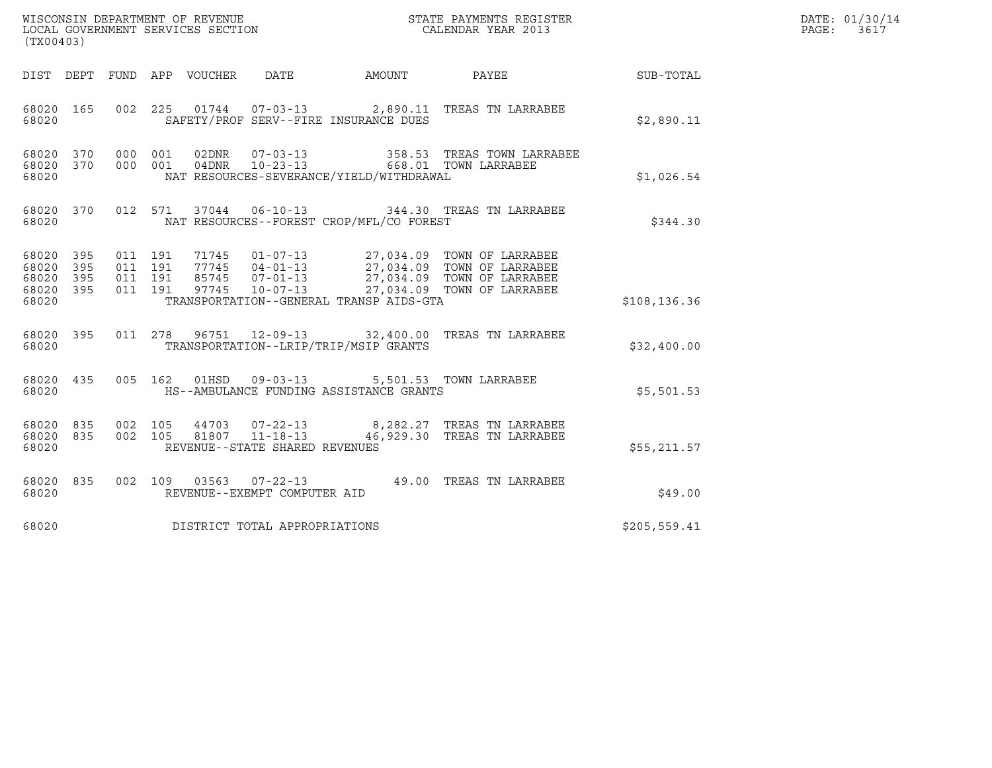| ${\tt WISCOONSIM} \begin{tabular}{lcccc} DEPARTMENT OF REVENUE & & & & & & \begin{tabular}{l} \bf STATE \end{tabular} \end{tabular} \begin{tabular}{lcccc} \bf STATE \end{tabular} \end{tabular} \begin{tabular}{lcccc} \bf STATE \end{tabular} \end{tabular} \begin{tabular}{lcccc} \bf STATE \end{tabular} \end{tabular} \begin{tabular}{lcccc} \bf STATE \end{tabular} \end{tabular} \begin{tabular}{lcccc} \bf STATE \end{tabular} \end{tabular} \begin{tabular}{lcccc} \bf STATE \end{tabular} \end{tabular} \begin{tabular}{lcccc} \bf STATE \end{$<br>(TX00403) |                          |                               |         |                            |                                |                                                                                               |                                                                                                                                                                                              |               | DATE: 01/30/14<br>PAGE:<br>3617 |
|------------------------------------------------------------------------------------------------------------------------------------------------------------------------------------------------------------------------------------------------------------------------------------------------------------------------------------------------------------------------------------------------------------------------------------------------------------------------------------------------------------------------------------------------------------------------|--------------------------|-------------------------------|---------|----------------------------|--------------------------------|-----------------------------------------------------------------------------------------------|----------------------------------------------------------------------------------------------------------------------------------------------------------------------------------------------|---------------|---------------------------------|
|                                                                                                                                                                                                                                                                                                                                                                                                                                                                                                                                                                        |                          |                               |         | DIST DEPT FUND APP VOUCHER | DATE                           |                                                                                               | AMOUNT PAYEE                                                                                                                                                                                 | SUB-TOTAL     |                                 |
| 68020 165<br>68020                                                                                                                                                                                                                                                                                                                                                                                                                                                                                                                                                     |                          |                               |         |                            |                                | SAFETY/PROF SERV--FIRE INSURANCE DUES                                                         | 002  225  01744  07-03-13  2,890.11 TREAS TN LARRABEE                                                                                                                                        | \$2,890.11    |                                 |
| 68020 370 000 001<br>68020 370<br>68020                                                                                                                                                                                                                                                                                                                                                                                                                                                                                                                                |                          | 000 001                       |         |                            |                                | NAT RESOURCES-SEVERANCE/YIELD/WITHDRAWAL                                                      | 358.53 TREAS TOWN LARRABEE                                                                                                                                                                   | \$1,026.54    |                                 |
| 68020 370<br>68020                                                                                                                                                                                                                                                                                                                                                                                                                                                                                                                                                     |                          |                               |         |                            |                                | NAT RESOURCES--FOREST CROP/MFL/CO FOREST                                                      | 012 571 37044 06-10-13 344.30 TREAS TN LARRABEE                                                                                                                                              | \$344.30      |                                 |
| 68020<br>68020<br>68020<br>68020<br>68020                                                                                                                                                                                                                                                                                                                                                                                                                                                                                                                              | 395<br>395<br>395<br>395 | 011 191<br>011 191<br>011 191 | 011 191 |                            |                                | TRANSPORTATION--GENERAL TRANSP AIDS-GTA                                                       | 71745  01-07-13  27,034.09  TOWN OF LARRABEE<br>77745  04-01-13  27,034.09  TOWN OF LARRABEE<br>85745  07-01-13  27,034.09  TOWN OF LARRABEE<br>97745  10-07-13  27,034.09  TOWN OF LARRABEE | \$108, 136.36 |                                 |
| 68020 395<br>68020                                                                                                                                                                                                                                                                                                                                                                                                                                                                                                                                                     |                          |                               |         |                            |                                | TRANSPORTATION--LRIP/TRIP/MSIP GRANTS                                                         | 011  278  96751  12-09-13  32,400.00 TREAS TN LARRABEE                                                                                                                                       | \$32,400.00   |                                 |
| 68020 435<br>68020                                                                                                                                                                                                                                                                                                                                                                                                                                                                                                                                                     |                          |                               |         |                            |                                | 005  162  01HSD  09-03-13  5,501.53  TOWN LARRABEE<br>HS--AMBULANCE FUNDING ASSISTANCE GRANTS |                                                                                                                                                                                              | \$5,501.53    |                                 |
| 68020 835<br>68020 835<br>68020                                                                                                                                                                                                                                                                                                                                                                                                                                                                                                                                        |                          |                               |         |                            | REVENUE--STATE SHARED REVENUES |                                                                                               | 002 105  44703  07-22-13  8,282.27  TREAS TN LARRABEE  002  105  81807  11-18-13  46,929.30  TREAS TN LARRABEE                                                                               | \$55,211.57   |                                 |
| 68020 835<br>68020                                                                                                                                                                                                                                                                                                                                                                                                                                                                                                                                                     |                          |                               |         |                            | REVENUE--EXEMPT COMPUTER AID   |                                                                                               | 002  109  03563  07-22-13  49.00  TREAS TN LARRABEE                                                                                                                                          | \$49.00       |                                 |
| 68020                                                                                                                                                                                                                                                                                                                                                                                                                                                                                                                                                                  |                          |                               |         |                            | DISTRICT TOTAL APPROPRIATIONS  |                                                                                               |                                                                                                                                                                                              | \$205,559.41  |                                 |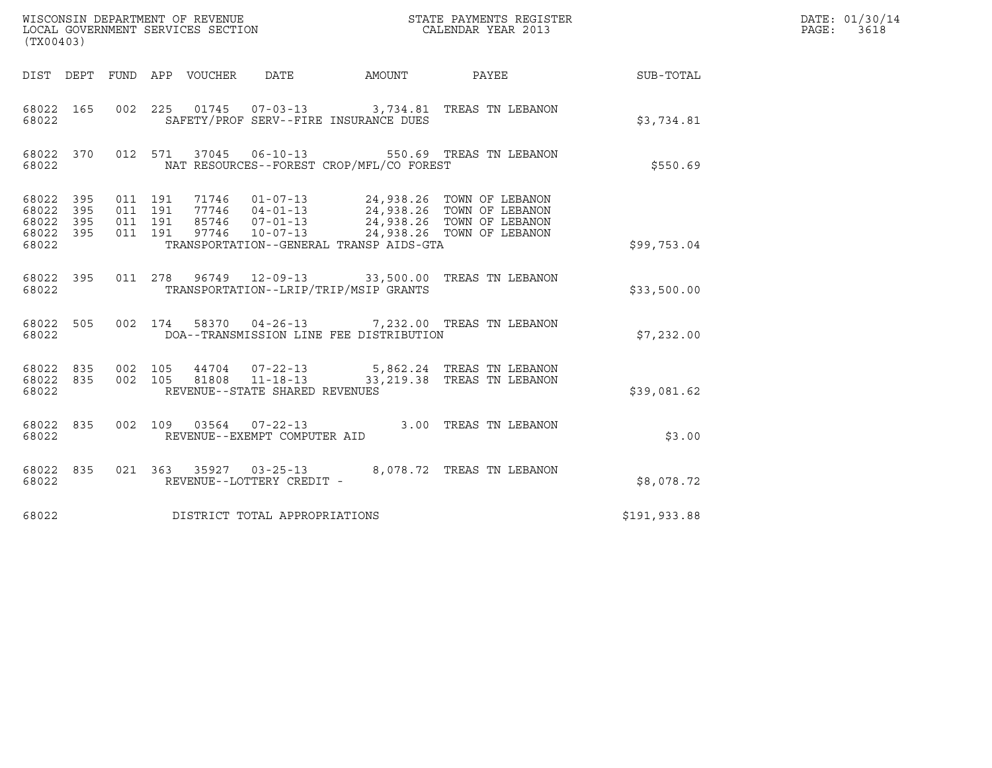| (TX00403)                                             |     |                                          | WISCONSIN DEPARTMENT OF REVENUE<br>LOCAL GOVERNMENT SERVICES SECTION |                                |                                          | STATE PAYMENTS REGISTER<br>CALENDAR YEAR 2013                                                                                                                                                                                                 |              | DATE: 01/30/14<br>$\mathtt{PAGE:}$<br>3618 |
|-------------------------------------------------------|-----|------------------------------------------|----------------------------------------------------------------------|--------------------------------|------------------------------------------|-----------------------------------------------------------------------------------------------------------------------------------------------------------------------------------------------------------------------------------------------|--------------|--------------------------------------------|
|                                                       |     |                                          | DIST DEPT FUND APP VOUCHER                                           | DATE                           |                                          |                                                                                                                                                                                                                                               |              |                                            |
| 68022 165<br>68022                                    |     | 002 225                                  |                                                                      |                                | SAFETY/PROF SERV--FIRE INSURANCE DUES    | 01745  07-03-13  3,734.81  TREAS TN LEBANON                                                                                                                                                                                                   | \$3,734.81   |                                            |
| 68022 370<br>68022                                    |     |                                          | 012 571 37045 06-10-13                                               |                                | NAT RESOURCES--FOREST CROP/MFL/CO FOREST | 550.69 TREAS TN LEBANON                                                                                                                                                                                                                       | \$550.69     |                                            |
| 68022 395<br>68022<br>68022 395<br>68022 395<br>68022 | 395 | 011 191<br>011 191<br>011 191<br>011 191 |                                                                      |                                | TRANSPORTATION--GENERAL TRANSP AIDS-GTA  | $\begin{tabular}{cccc} 71746 & 01-07-13 & 24,938.26 & TOWN OF LEBANON \\ 77746 & 04-01-13 & 24,938.26 & TOWN OF LEBANON \\ 85746 & 07-01-13 & 24,938.26 & TOWN OF LEBANON \\ 97746 & 10-07-13 & 24,938.26 & TOWN OF LEBANON \\ \end{tabular}$ | \$99,753.04  |                                            |
| 68022 395<br>68022                                    |     |                                          |                                                                      |                                | TRANSPORTATION--LRIP/TRIP/MSIP GRANTS    | 011 278 96749 12-09-13 33,500.00 TREAS TN LEBANON                                                                                                                                                                                             | \$33,500.00  |                                            |
| 68022 505<br>68022                                    |     |                                          |                                                                      |                                | DOA--TRANSMISSION LINE FEE DISTRIBUTION  | 002 174 58370 04-26-13 7,232.00 TREAS TN LEBANON                                                                                                                                                                                              | \$7,232.00   |                                            |
| 68022 835<br>68022                                    |     | 68022 835 002 105                        | 002 105 81808 11-18-13                                               | REVENUE--STATE SHARED REVENUES |                                          | 44704  07-22-13  5,862.24  TREAS TN LEBANON<br>33, 219.38 TREAS TN LEBANON                                                                                                                                                                    | \$39,081.62  |                                            |
| 68022 835<br>68022                                    |     | 002 109                                  |                                                                      | REVENUE--EXEMPT COMPUTER AID   |                                          | 03564  07-22-13  3.00 TREAS TN LEBANON                                                                                                                                                                                                        | \$3.00       |                                            |
| 68022 835<br>68022                                    |     |                                          |                                                                      | REVENUE--LOTTERY CREDIT -      |                                          | 021 363 35927 03-25-13 8,078.72 TREAS TN LEBANON                                                                                                                                                                                              | \$8,078.72   |                                            |
| 68022                                                 |     |                                          | DISTRICT TOTAL APPROPRIATIONS                                        |                                |                                          |                                                                                                                                                                                                                                               | \$191,933.88 |                                            |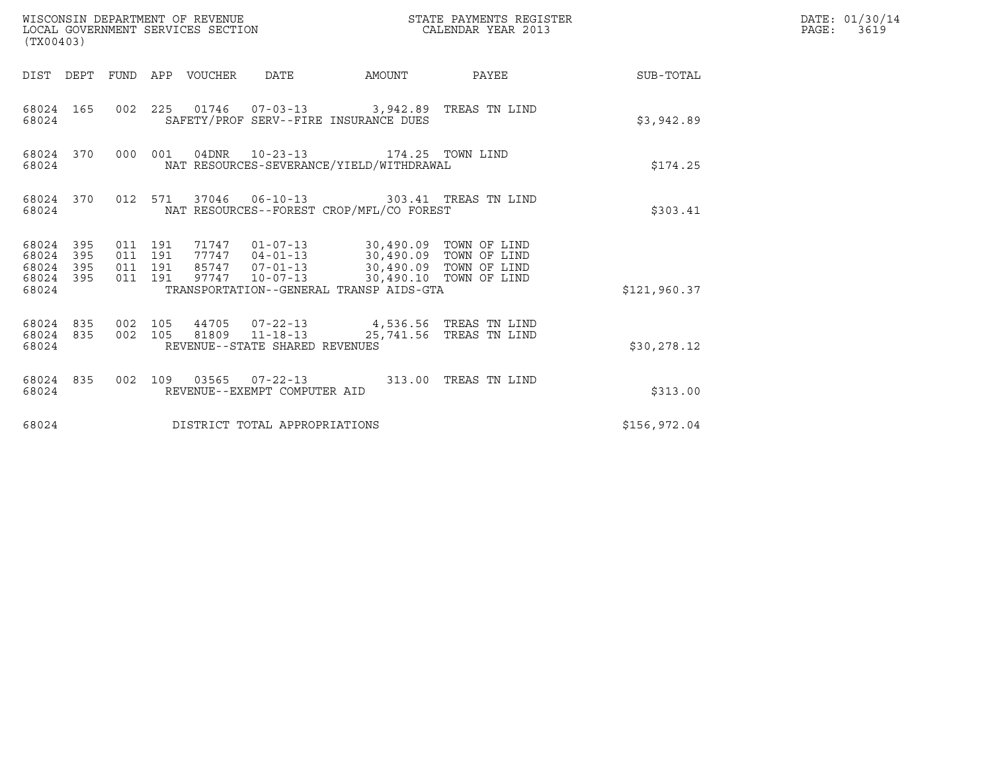| (TX00403)                                             |     |                                          | WISCONSIN DEPARTMENT OF REVENUE<br>LOCAL GOVERNMENT SERVICES SECTION |                                                          |                                                                             | STATE PAYMENTS REGISTER<br>CALENDAR YEAR 2013                                        |                        | DATE: 01/30/14<br>PAGE: 3619 |
|-------------------------------------------------------|-----|------------------------------------------|----------------------------------------------------------------------|----------------------------------------------------------|-----------------------------------------------------------------------------|--------------------------------------------------------------------------------------|------------------------|------------------------------|
|                                                       |     |                                          | DIST DEPT FUND APP VOUCHER DATE                                      |                                                          |                                                                             |                                                                                      | AMOUNT PAYEE SUB-TOTAL |                              |
| 68024 165<br>68024                                    |     |                                          |                                                                      |                                                          | SAFETY/PROF SERV--FIRE INSURANCE DUES                                       | 002 225 01746 07-03-13 3,942.89 TREAS TN LIND                                        | \$3,942.89             |                              |
| 68024 370<br>68024                                    |     | 000 001                                  |                                                                      |                                                          | 04DNR 10-23-13 174.25 TOWN LIND<br>NAT RESOURCES-SEVERANCE/YIELD/WITHDRAWAL |                                                                                      | \$174.25               |                              |
| 68024 370<br>68024                                    |     |                                          |                                                                      |                                                          | NAT RESOURCES--FOREST CROP/MFL/CO FOREST                                    | 012 571 37046 06-10-13 303.41 TREAS TN LIND                                          | \$303.41               |                              |
| 68024 395<br>68024<br>68024 395<br>68024 395<br>68024 | 395 | 011 191<br>011 191<br>011 191<br>011 191 |                                                                      |                                                          | TRANSPORTATION--GENERAL TRANSP AIDS-GTA                                     | 85747  07-01-13  30,490.09  TOWN OF LIND<br>97747  10-07-13  30,490.10  TOWN OF LIND | \$121,960.37           |                              |
| 68024 835<br>68024                                    |     |                                          |                                                                      | 002 105 81809 11-18-13<br>REVENUE--STATE SHARED REVENUES |                                                                             | 68024 835 002 105 44705 07-22-13 4,536.56 TREAS TN LIND<br>25,741.56 TREAS TN LIND   | \$30,278.12            |                              |
| 68024 835<br>68024                                    |     |                                          |                                                                      | REVENUE--EXEMPT COMPUTER AID                             |                                                                             | 002 109 03565 07-22-13 313.00 TREAS TN LIND                                          | \$313.00               |                              |
| 68024                                                 |     |                                          |                                                                      | DISTRICT TOTAL APPROPRIATIONS                            |                                                                             |                                                                                      | \$156,972.04           |                              |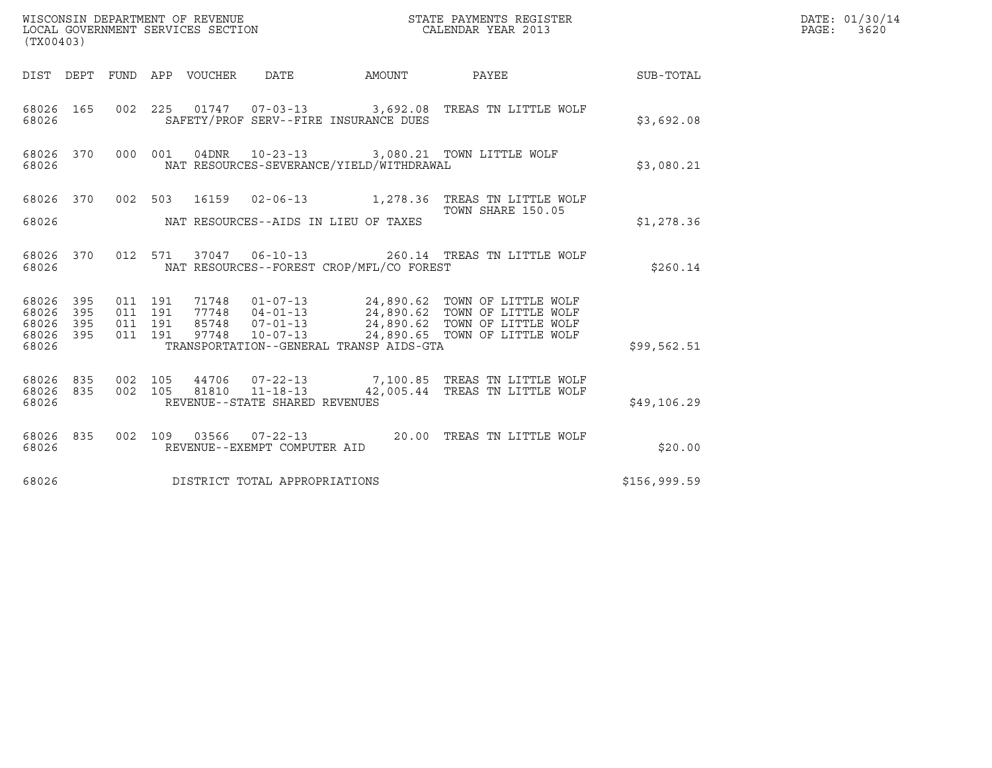| (TX00403)                                 |                          |                               |         |                                 | WISCONSIN DEPARTMENT OF REVENUE<br>LOCAL GOVERNMENT SERVICES SECTION |                                          | STATE PAYMENTS REGISTER<br>CALENDAR YEAR 2013                                                                                                                                          |              | DATE: 01/30/14<br>$\mathtt{PAGE:}$<br>3620 |
|-------------------------------------------|--------------------------|-------------------------------|---------|---------------------------------|----------------------------------------------------------------------|------------------------------------------|----------------------------------------------------------------------------------------------------------------------------------------------------------------------------------------|--------------|--------------------------------------------|
|                                           |                          |                               |         | DIST DEPT FUND APP VOUCHER DATE |                                                                      | AMOUNT                                   | <b>PAYEE</b>                                                                                                                                                                           | SUB-TOTAL    |                                            |
| 68026 165<br>68026                        |                          |                               |         |                                 |                                                                      | SAFETY/PROF SERV--FIRE INSURANCE DUES    | 002 225 01747 07-03-13 3,692.08 TREAS TN LITTLE WOLF                                                                                                                                   | \$3,692.08   |                                            |
| 68026 370<br>68026                        |                          |                               | 000 001 |                                 |                                                                      | NAT RESOURCES-SEVERANCE/YIELD/WITHDRAWAL | 04DNR  10-23-13  3,080.21 TOWN LITTLE WOLF                                                                                                                                             | \$3,080.21   |                                            |
| 68026 370<br>68026                        |                          |                               | 002 503 |                                 |                                                                      | NAT RESOURCES--AIDS IN LIEU OF TAXES     | 16159  02-06-13  1,278.36  TREAS TN LITTLE WOLF<br>TOWN SHARE 150.05                                                                                                                   | \$1,278.36   |                                            |
|                                           |                          |                               |         |                                 |                                                                      |                                          |                                                                                                                                                                                        |              |                                            |
| 68026 370<br>68026                        |                          |                               |         |                                 |                                                                      | NAT RESOURCES--FOREST CROP/MFL/CO FOREST | 012 571 37047 06-10-13 260.14 TREAS TN LITTLE WOLF                                                                                                                                     | \$260.14     |                                            |
| 68026<br>68026<br>68026<br>68026<br>68026 | 395<br>395<br>395<br>395 | 011 191<br>011 191<br>011 191 | 011 191 | 97748                           | $10 - 07 - 13$                                                       | TRANSPORTATION--GENERAL TRANSP AIDS-GTA  | 71748  01-07-13  24,890.62  TOWN OF LITTLE WOLF<br>77748  04-01-13  24,890.62  TOWN OF LITTLE WOLF<br>85748  07-01-13  24,890.62  TOWN OF LITTLE WOLF<br>24,890.65 TOWN OF LITTLE WOLF | \$99,562.51  |                                            |
| 68026<br>68026<br>68026                   | 835<br>835               | 002 105<br>002 105            |         |                                 | 44706 07-22-13<br>81810 11-18-13<br>REVENUE--STATE SHARED REVENUES   |                                          | 7,100.85 TREAS TN LITTLE WOLF<br>42,005.44 TREAS TN LITTLE WOLF                                                                                                                        | \$49,106.29  |                                            |
| 68026 835<br>68026                        |                          |                               |         |                                 | REVENUE--EXEMPT COMPUTER AID                                         |                                          | 002 109 03566 07-22-13 20.00 TREAS TN LITTLE WOLF                                                                                                                                      | \$20.00      |                                            |
| 68026                                     |                          |                               |         |                                 | DISTRICT TOTAL APPROPRIATIONS                                        |                                          |                                                                                                                                                                                        | \$156,999.59 |                                            |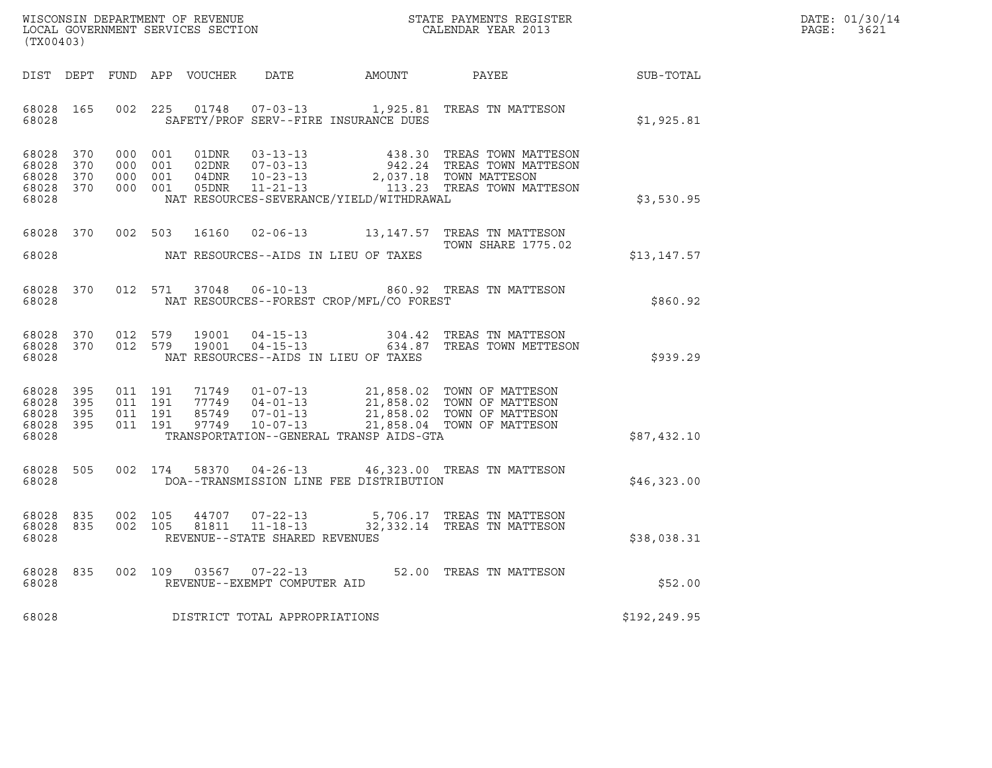| WISCONSIN DEPARTMENT OF REVENUE   | STATE PAYMENTS REGISTER | DATE: 01/30/14 |
|-----------------------------------|-------------------------|----------------|
| LOCAL GOVERNMENT SERVICES SECTION | CALENDAR YEAR 2013      | PAGE:<br>3621  |

| (TX00403)                                                 |  |                   |         |  |                                |                                          |                                                                                                                                                                                                                                                                                        |              | DATE: 01/30/14<br>$\mathtt{PAGE}$ :<br>3621 |
|-----------------------------------------------------------|--|-------------------|---------|--|--------------------------------|------------------------------------------|----------------------------------------------------------------------------------------------------------------------------------------------------------------------------------------------------------------------------------------------------------------------------------------|--------------|---------------------------------------------|
|                                                           |  |                   |         |  |                                |                                          | DIST DEPT FUND APP VOUCHER DATE AMOUNT PAYEE TO SUB-TOTAL                                                                                                                                                                                                                              |              |                                             |
| 68028 165<br>68028                                        |  |                   | 002 225 |  |                                | SAFETY/PROF SERV--FIRE INSURANCE DUES    | 01748  07-03-13    1,925.81    TREAS TN MATTESON                                                                                                                                                                                                                                       | \$1,925.81   |                                             |
| 68028 370<br>68028 370<br>68028 370<br>68028 370<br>68028 |  |                   |         |  |                                | NAT RESOURCES-SEVERANCE/YIELD/WITHDRAWAL | $\begin{tabular}{cccc} 000 & 001 & 01DNR & 03-13-13 & 438.30 TREAS TOWN MATTESON \\ 000 & 001 & 02DNR & 07-03-13 & 942.24 TREAS TOWN MATTESON \\ 000 & 001 & 04DNR & 10-23-13 & 2,037.18 TOWN MATTESON \\ 000 & 001 & 05DNR & 11-21-13 & 13.23 & TREAS TOWN MATTESON \\ \end{tabular}$ | \$3,530.95   |                                             |
| 68028                                                     |  |                   |         |  |                                | NAT RESOURCES--AIDS IN LIEU OF TAXES     | 68028 370 002 503 16160 02-06-13 13,147.57 TREAS TN MATTESON<br><b>TOWN SHARE 1775.02</b>                                                                                                                                                                                              | \$13,147.57  |                                             |
| 68028                                                     |  |                   |         |  |                                | NAT RESOURCES--FOREST CROP/MFL/CO FOREST | 68028 370 012 571 37048 06-10-13 860.92 TREAS TN MATTESON                                                                                                                                                                                                                              | \$860.92     |                                             |
| 68028 370<br>68028                                        |  | 68028 370 012 579 | 012 579 |  |                                | NAT RESOURCES--AIDS IN LIEU OF TAXES     |                                                                                                                                                                                                                                                                                        | \$939.29     |                                             |
| 68028 395<br>68028 395<br>68028 395<br>68028              |  | 68028 395 011 191 |         |  |                                | TRANSPORTATION--GENERAL TRANSP AIDS-GTA  | 011 191 71749 01-07-13 21,858.02 TOWN OF MATTESON<br>011 191 77749 04-01-13 21,858.02 TOWN OF MATTESON<br>011 191 85749 07-01-13 21,858.02 TOWN OF MATTESON<br>011 191 97749 10-07-13 21,858.04 TOWN OF MATTESON                                                                       | \$87,432.10  |                                             |
| 68028 505<br>68028                                        |  |                   |         |  |                                | DOA--TRANSMISSION LINE FEE DISTRIBUTION  | 002 174 58370 04-26-13 46,323.00 TREAS TN MATTESON                                                                                                                                                                                                                                     | \$46,323.00  |                                             |
| 68028                                                     |  |                   |         |  | REVENUE--STATE SHARED REVENUES |                                          | $\begin{array}{cccccc} 68028 & 835 & 002 & 105 & 44707 & 07-22-13 & & 5,706.17 & \text{TREAS TN MATTESON} \\ 68028 & 835 & 002 & 105 & 81811 & 11-18-13 & & 32,332.14 & \text{TREAS TN MATTESON} \end{array}$                                                                          | \$38,038.31  |                                             |
| 68028                                                     |  |                   |         |  | REVENUE--EXEMPT COMPUTER AID   |                                          | 68028 835 002 109 03567 07-22-13 52.00 TREAS TN MATTESON                                                                                                                                                                                                                               | \$52.00      |                                             |
| 68028                                                     |  |                   |         |  | DISTRICT TOTAL APPROPRIATIONS  |                                          |                                                                                                                                                                                                                                                                                        | \$192,249.95 |                                             |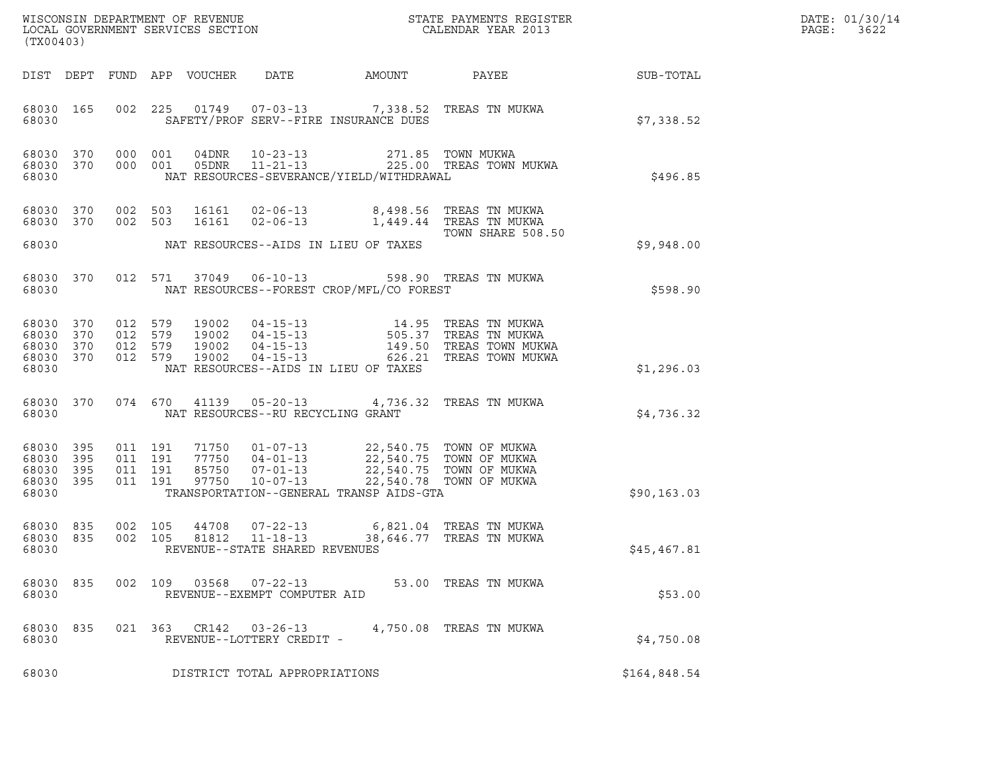| (TX00403)                                             |     |                                          |                                  | WISCONSIN DEPARTMENT OF REVENUE<br>LOCAL GOVERNMENT SERVICES SECTION |                                                                                                                                            | STATE PAYMENTS REGISTER<br>CALENDAR YEAR 2013           |              | DATE: 01/30/14<br>PAGE:<br>3622 |
|-------------------------------------------------------|-----|------------------------------------------|----------------------------------|----------------------------------------------------------------------|--------------------------------------------------------------------------------------------------------------------------------------------|---------------------------------------------------------|--------------|---------------------------------|
|                                                       |     |                                          | DIST DEPT FUND APP VOUCHER       | DATE                                                                 | <b>AMOUNT</b>                                                                                                                              | PAYEE                                                   | SUB-TOTAL    |                                 |
| 68030 165<br>68030                                    |     |                                          |                                  |                                                                      | 002 225 01749 07-03-13 7,338.52 TREAS TN MUKWA<br>SAFETY/PROF SERV--FIRE INSURANCE DUES                                                    |                                                         | \$7,338.52   |                                 |
| 68030 370<br>68030 370<br>68030                       |     | 000 001<br>000 001                       |                                  | 04DNR 10-23-13<br>05DNR 11-21-13                                     | NAT RESOURCES-SEVERANCE/YIELD/WITHDRAWAL                                                                                                   | 271.85 TOWN MUKWA<br>225.00 TREAS TOWN MUKWA            | \$496.85     |                                 |
| 68030 370<br>68030 370                                |     | 002 503<br>002 503                       | 16161<br>16161                   | $02 - 06 - 13$                                                       | 02-06-13 8,498.56 TREAS TN MUKWA                                                                                                           | 1,449.44   TREAS  TN  MUKWA                             |              |                                 |
| 68030                                                 |     |                                          |                                  |                                                                      | NAT RESOURCES--AIDS IN LIEU OF TAXES                                                                                                       | TOWN SHARE 508.50                                       | \$9,948.00   |                                 |
| 68030 370<br>68030                                    |     | 012 571                                  |                                  | 37049 06-10-13                                                       | NAT RESOURCES--FOREST CROP/MFL/CO FOREST                                                                                                   | 598.90 TREAS TN MUKWA                                   | \$598.90     |                                 |
| 68030 370<br>68030 370<br>68030<br>68030 370<br>68030 | 370 | 012 579<br>012 579<br>012 579<br>012 579 | 19002<br>19002<br>19002<br>19002 | $04 - 15 - 13$                                                       | 04-15-13 14.95 TREAS TN MUKWA<br>04-15-13 505.37 TREAS TN MUKWA<br>04-15-13 149.50 TREAS TOWN MUKW<br>NAT RESOURCES--AIDS IN LIEU OF TAXES | 149.50 TREAS TOWN MUKWA<br>626.21 TREAS TOWN MUKWA      | \$1,296.03   |                                 |
| 68030 370<br>68030                                    |     |                                          |                                  | NAT RESOURCES--RU RECYCLING GRANT                                    | 074 670 41139 05-20-13 4,736.32 TREAS TN MUKWA                                                                                             |                                                         | \$4,736.32   |                                 |
| 68030 395<br>68030<br>68030 395<br>68030 395<br>68030 | 395 | 011 191<br>011 191<br>011 191<br>011 191 | 77750<br>85750<br>97750          | $04 - 01 - 13$<br>07-01-13<br>10-07-13                               | 71750  01-07-13  22,540.75  TOWN OF MUKWA<br>22,540.75 TOWN OF MUKWA<br>TRANSPORTATION--GENERAL TRANSP AIDS-GTA                            | 22,540.75 TOWN OF MUKWA<br>22,540.78 TOWN OF MUKWA      | \$90, 163.03 |                                 |
| 68030 835<br>68030 835<br>68030                       |     | 002 105<br>002 105                       | 44708<br>81812                   | $07 - 22 - 13$<br>$11 - 18 - 13$<br>REVENUE--STATE SHARED REVENUES   |                                                                                                                                            | 6,821.04   TREAS  TN  MUKWA<br>38,646.77 TREAS TN MUKWA | \$45,467.81  |                                 |
| 68030 835<br>68030                                    |     | 002 109                                  |                                  | 03568  07-22-13<br>REVENUE--EXEMPT COMPUTER AID                      |                                                                                                                                            | 53.00   TREAS  TN  MUKWA                                | \$53.00      |                                 |
| 68030 835<br>68030                                    |     |                                          |                                  | REVENUE--LOTTERY CREDIT -                                            | 021 363 CR142 03-26-13 4,750.08 TREAS TN MUKWA                                                                                             |                                                         | \$4,750.08   |                                 |
| 68030                                                 |     |                                          |                                  | DISTRICT TOTAL APPROPRIATIONS                                        |                                                                                                                                            |                                                         | \$164,848.54 |                                 |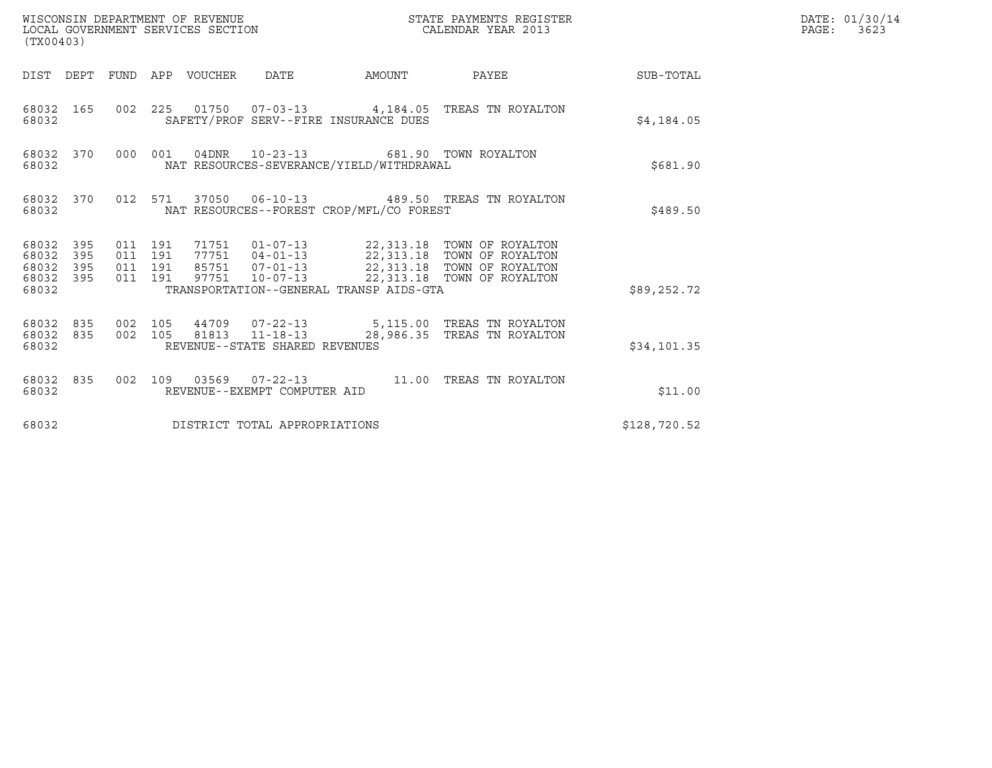| (TX00403)                                             |                                |                               |         | WISCONSIN DEPARTMENT OF REVENUE<br>LOCAL GOVERNMENT SERVICES SECTION |                                |                                          | STATE PAYMENTS REGISTER<br>CALENDAR YEAR 2013                                                                                                                                                |                 | DATE: 01/30/14<br>PAGE: 3623 |
|-------------------------------------------------------|--------------------------------|-------------------------------|---------|----------------------------------------------------------------------|--------------------------------|------------------------------------------|----------------------------------------------------------------------------------------------------------------------------------------------------------------------------------------------|-----------------|------------------------------|
|                                                       |                                |                               |         | DIST DEPT FUND APP VOUCHER DATE                                      |                                | AMOUNT                                   |                                                                                                                                                                                              | PAYEE SUB-TOTAL |                              |
| 68032 165<br>68032                                    |                                |                               |         |                                                                      |                                | SAFETY/PROF SERV--FIRE INSURANCE DUES    | 002 225 01750 07-03-13 4,184.05 TREAS TN ROYALTON                                                                                                                                            | \$4,184.05      |                              |
| 68032                                                 | 68032 370                      |                               | 000 001 |                                                                      |                                | NAT RESOURCES-SEVERANCE/YIELD/WITHDRAWAL | 04DNR 10-23-13 681.90 TOWN ROYALTON                                                                                                                                                          | \$681.90        |                              |
| 68032                                                 | 68032 370                      |                               |         |                                                                      |                                | NAT RESOURCES--FOREST CROP/MFL/CO FOREST | 012 571 37050 06-10-13 489.50 TREAS TN ROYALTON                                                                                                                                              | \$489.50        |                              |
| 68032 395<br>68032<br>68032 395<br>68032 395<br>68032 | 395                            | 011 191<br>011 191<br>011 191 | 011 191 |                                                                      |                                | TRANSPORTATION--GENERAL TRANSP AIDS-GTA  | 71751  01-07-13  22,313.18  TOWN OF ROYALTON<br>77751  04-01-13  22,313.18  TOWN OF ROYALTON<br>85751  07-01-13  22,313.18  TOWN OF ROYALTON<br>97751  10-07-13  22,313.18  TOWN OF ROYALTON | \$89,252.72     |                              |
| 68032                                                 | 68032 835 002 105<br>68032 835 |                               |         |                                                                      | REVENUE--STATE SHARED REVENUES |                                          | 44709  07-22-13  5,115.00 TREAS TN ROYALTON<br>002 105 81813 11-18-13 28,986.35 TREAS TN ROYALTON                                                                                            | \$34,101.35     |                              |
| 68032                                                 | 68032 835                      |                               |         |                                                                      | REVENUE--EXEMPT COMPUTER AID   |                                          | 002 109 03569 07-22-13 11.00 TREAS TN ROYALTON                                                                                                                                               | \$11.00         |                              |
| 68032                                                 |                                |                               |         |                                                                      | DISTRICT TOTAL APPROPRIATIONS  |                                          |                                                                                                                                                                                              | \$128,720.52    |                              |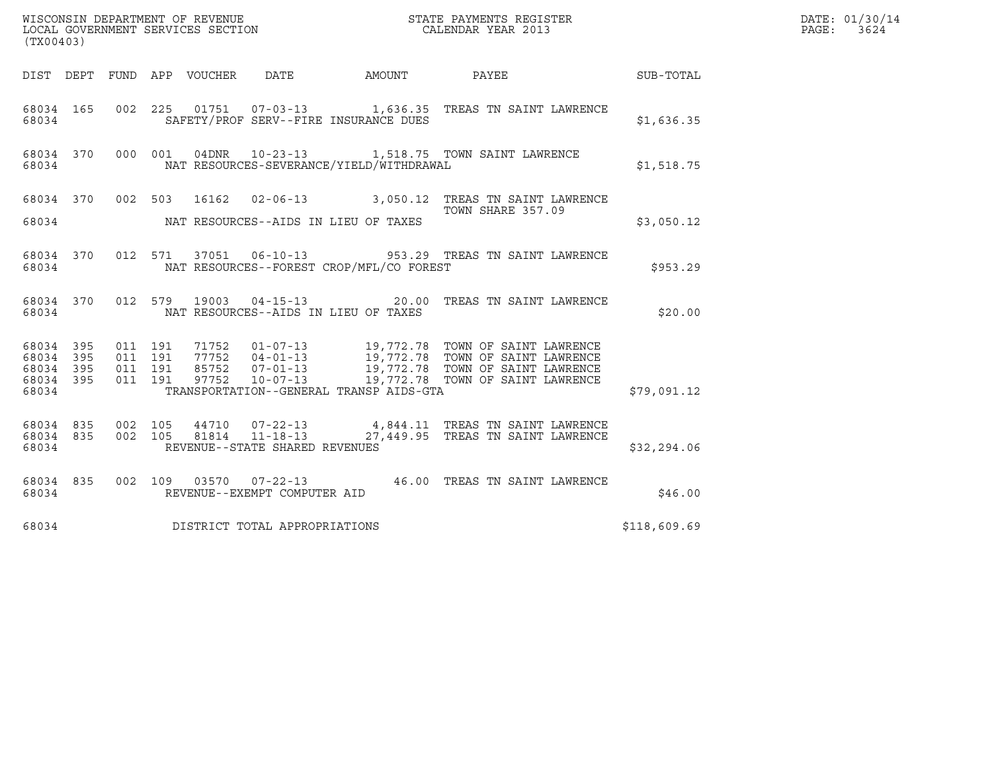| (TX00403)                                             |     |                                          |  |  |                                |                                          |                                                                                                                                                                                                                                         |              | DATE: 01/30/14<br>PAGE:<br>3624 |
|-------------------------------------------------------|-----|------------------------------------------|--|--|--------------------------------|------------------------------------------|-----------------------------------------------------------------------------------------------------------------------------------------------------------------------------------------------------------------------------------------|--------------|---------------------------------|
|                                                       |     |                                          |  |  |                                |                                          |                                                                                                                                                                                                                                         |              |                                 |
| 68034 165<br>68034                                    |     |                                          |  |  |                                | SAFETY/PROF SERV--FIRE INSURANCE DUES    | 002 225 01751 07-03-13 1,636.35 TREAS TN SAINT LAWRENCE                                                                                                                                                                                 | \$1,636.35   |                                 |
| 68034 370 000 001<br>68034                            |     |                                          |  |  |                                | NAT RESOURCES-SEVERANCE/YIELD/WITHDRAWAL | 04DNR  10-23-13   1,518.75  TOWN SAINT LAWRENCE                                                                                                                                                                                         | \$1,518.75   |                                 |
|                                                       |     |                                          |  |  |                                |                                          | 68034 370 002 503 16162 02-06-13 3,050.12 TREAS TN SAINT LAWRENCE<br>TOWN SHARE 357.09<br>TOWN SHARE 357.09                                                                                                                             |              |                                 |
| 68034                                                 |     |                                          |  |  |                                | NAT RESOURCES--AIDS IN LIEU OF TAXES     |                                                                                                                                                                                                                                         | \$3,050.12   |                                 |
| 68034 370<br>68034                                    |     |                                          |  |  |                                | NAT RESOURCES--FOREST CROP/MFL/CO FOREST | 012 571 37051 06-10-13 953.29 TREAS TN SAINT LAWRENCE                                                                                                                                                                                   | \$953.29     |                                 |
| 68034                                                 |     |                                          |  |  |                                | NAT RESOURCES--AIDS IN LIEU OF TAXES     | 68034 370 012 579 19003 04-15-13 20.00 TREAS TN SAINT LAWRENCE                                                                                                                                                                          | \$20.00      |                                 |
| 68034 395<br>68034<br>68034 395<br>68034 395<br>68034 | 395 | 011 191<br>011 191<br>011 191<br>011 191 |  |  |                                | TRANSPORTATION--GENERAL TRANSP AIDS-GTA  | 71752    01-07-13    19,772.78    TOWN OF SAINT LAWRENCE<br>77752    04-01-13    19,772.78    TOWN OF SAINT LAWRENCE<br>85752    07-01-13    19,772.78    TOWN OF SAINT LAWRENCE<br>97752    10-07-13    19,772.78    TOWN OF SAINT LAW | \$79,091.12  |                                 |
| 68034 835<br>68034 835<br>68034                       |     |                                          |  |  | REVENUE--STATE SHARED REVENUES |                                          | 002 105 44710 07-22-13 4,844.11 TREAS TN SAINT LAWRENCE<br>002 105 81814 11-18-13 27,449.95 TREAS TN SAINT LAWRENCE                                                                                                                     | \$32, 294.06 |                                 |
| 68034 835<br>68034                                    |     |                                          |  |  | REVENUE--EXEMPT COMPUTER AID   |                                          | 002 109 03570 07-22-13 46.00 TREAS TN SAINT LAWRENCE                                                                                                                                                                                    | \$46.00      |                                 |
| 68034                                                 |     |                                          |  |  | DISTRICT TOTAL APPROPRIATIONS  |                                          |                                                                                                                                                                                                                                         | \$118,609.69 |                                 |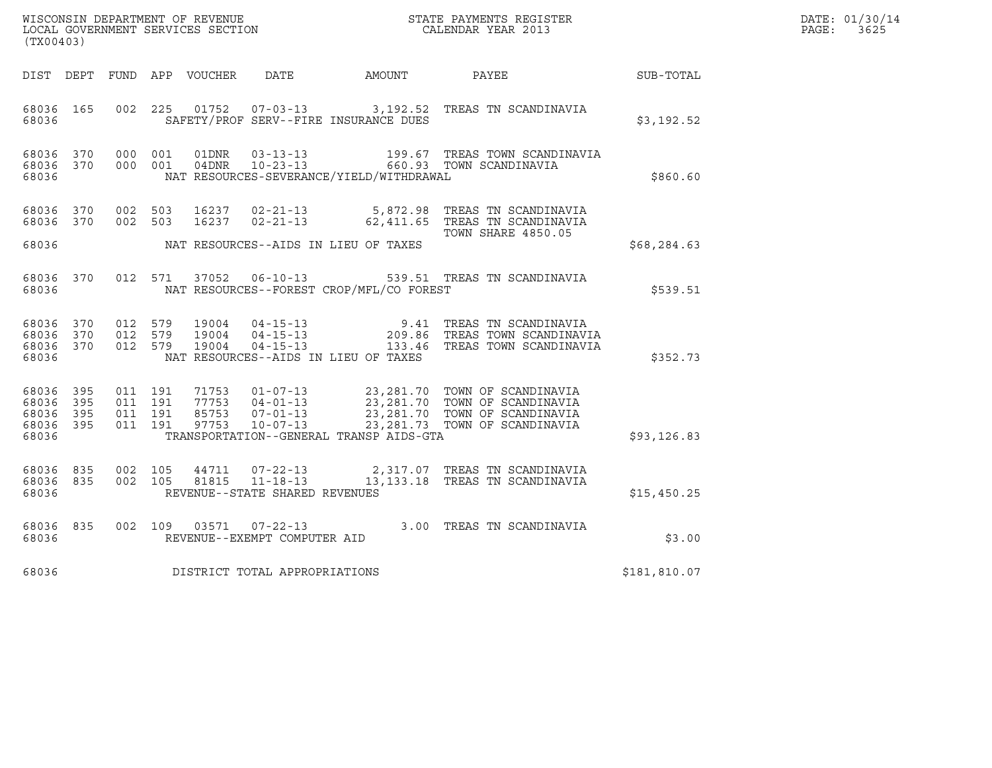| WISCONSIN DEPARTMENT OF REVENUE<br>LOCAL GOVERNMENT SERVICES SECTION | STATE PAYMENTS REGISTER<br>CALENDAR YEAR 2013 | DATE: 01/30/14<br>PAGE:<br>3625 |
|----------------------------------------------------------------------|-----------------------------------------------|---------------------------------|

| WISCONSIN DEPARTMENT OF REVENUE<br>LOCAL GOVERNMENT SERVICES SECTION<br>(TYOO403)<br>(TX00403) |  |  |  |  |                                    |                                                         |                                                                                                                                                                                                                                                                                                                                                                      | $\mathbb{E} \mathbf{R}$ | DATE: 01/30/14<br>$\mathtt{PAGE:}$<br>3625 |
|------------------------------------------------------------------------------------------------|--|--|--|--|------------------------------------|---------------------------------------------------------|----------------------------------------------------------------------------------------------------------------------------------------------------------------------------------------------------------------------------------------------------------------------------------------------------------------------------------------------------------------------|-------------------------|--------------------------------------------|
|                                                                                                |  |  |  |  |                                    |                                                         | DIST DEPT FUND APP VOUCHER DATE AMOUNT PAYEE SUB-TOTAL                                                                                                                                                                                                                                                                                                               |                         |                                            |
|                                                                                                |  |  |  |  |                                    | 68036 105 002 225 SAFETY/PROF SERV--FIRE INSURANCE DUES | 68036 165 002 225 01752 07-03-13 3,192.52 TREAS TN SCANDINAVIA                                                                                                                                                                                                                                                                                                       | \$3,192.52              |                                            |
| 68036                                                                                          |  |  |  |  |                                    | NAT RESOURCES-SEVERANCE/YIELD/WITHDRAWAL                | 68036 370 000 001 01DNR 03-13-13 199.67 TREAS TOWN SCANDINAVIA<br>68036 370 000 001 04DNR 10-23-13 660.93 TOWN SCANDINAVIA                                                                                                                                                                                                                                           | \$860.60                |                                            |
|                                                                                                |  |  |  |  |                                    | 68036 MAT RESOURCES--AIDS IN LIEU OF TAXES              | 68036 370 002 503 16237 02-21-13 5,872.98 TREAS TN SCANDINAVIA<br>68036 370 002 503 16237 02-21-13 62,411.65 TREAS TN SCANDINAVIA<br>TOWN SHARE 4850.05                                                                                                                                                                                                              | \$68,284.63             |                                            |
|                                                                                                |  |  |  |  |                                    |                                                         |                                                                                                                                                                                                                                                                                                                                                                      |                         |                                            |
|                                                                                                |  |  |  |  |                                    | 68036 MAT RESOURCES--FOREST CROP/MFL/CO FOREST          | 68036 370 012 571 37052 06-10-13 539.51 TREAS TN SCANDINAVIA                                                                                                                                                                                                                                                                                                         | \$539.51                |                                            |
| 68036                                                                                          |  |  |  |  |                                    | NAT RESOURCES--AIDS IN LIEU OF TAXES                    | 68036 370 012 579 19004 04-15-13 9.41 TREAS TN SCANDINAVIA<br>68036 370 012 579 19004 04-15-13 209.86 TREAS TOWN SCANDINAVIA<br>68036 370 012 579 19004 04-15-13 133.46 TREAS TOWN SCANDINAVIA                                                                                                                                                                       | \$352.73                |                                            |
| 68036                                                                                          |  |  |  |  |                                    |                                                         | $\begin{array}{cccccc} 68036 & 395 & 011 & 191 & 71753 & 01-07-13 & 23,281.70 & \text{TOWN OF SCANDINAVIA} \\ 68036 & 395 & 011 & 191 & 77753 & 04-01-13 & 23,281.70 & \text{TOWN OF SCANDINAVIA} \\ 68036 & 395 & 011 & 191 & 85753 & 07-01-13 & 23,281.70 & \text{TOWN OF SCANDINAVIA} \\ 68036 & 395 & 011 & 191 & 97$<br>TRANSPORTATION--GENERAL TRANSP AIDS-GTA | \$93,126.83             |                                            |
| 68036                                                                                          |  |  |  |  | REVENUE--STATE SHARED REVENUES     |                                                         | $\begin{array}{cccccc} 68036 & 835 & 002 & 105 & 44711 & 07-22-13 & & 2,317.07 & \text{TREAS TN SCANDINAVIA} \\ 68036 & 835 & 002 & 105 & 81815 & 11-18-13 & & 13,133.18 & \text{TREAS TN SCANDINAVIA} \end{array}$                                                                                                                                                  | \$15,450.25             |                                            |
|                                                                                                |  |  |  |  | 68036 REVENUE--EXEMPT COMPUTER AID |                                                         | 68036 835 002 109 03571 07-22-13 3.00 TREAS TN SCANDINAVIA                                                                                                                                                                                                                                                                                                           | \$3.00                  |                                            |
| 68036                                                                                          |  |  |  |  | DISTRICT TOTAL APPROPRIATIONS      |                                                         |                                                                                                                                                                                                                                                                                                                                                                      | \$181,810.07            |                                            |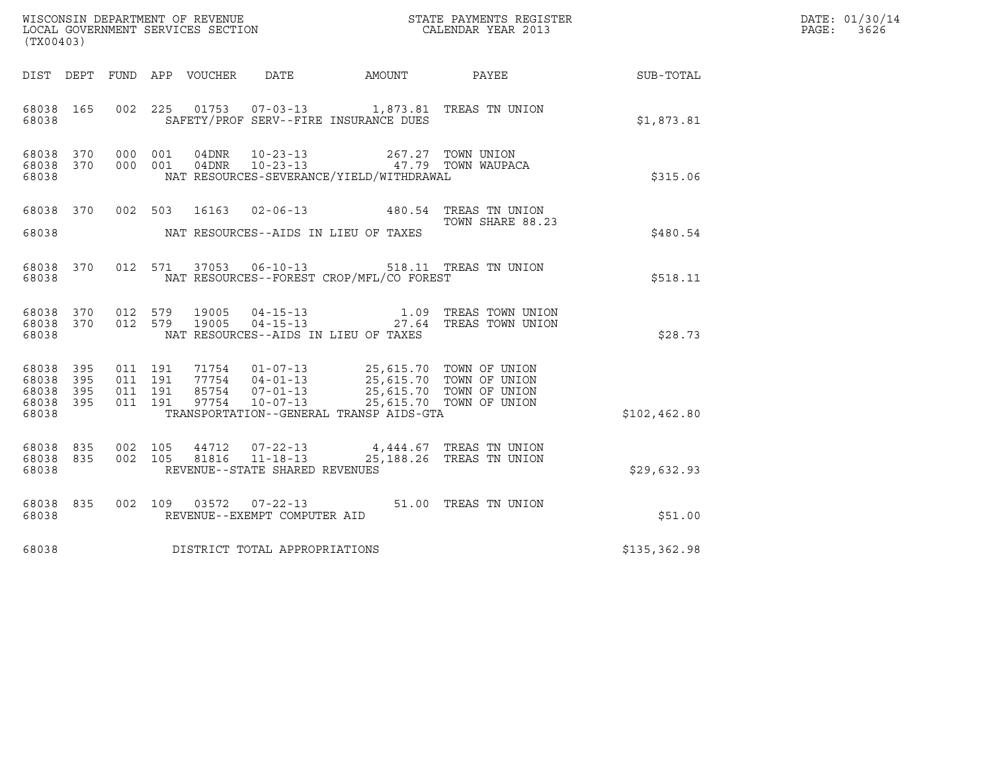| $\tt WISCONSIM DEPARTMENT OF REVENUE$ $\tt WISCONSIN DEPARTMENT SERVICES SECTION$ $\tt SERVICES SECTION$ $\tt CALENDAR YEAR$ $2013$<br>(TX00403)                                                                                                                                  |              |                                                                               |               | DATE: 01/30/14<br>PAGE:<br>3626 |
|-----------------------------------------------------------------------------------------------------------------------------------------------------------------------------------------------------------------------------------------------------------------------------------|--------------|-------------------------------------------------------------------------------|---------------|---------------------------------|
|                                                                                                                                                                                                                                                                                   |              |                                                                               |               |                                 |
| DIST DEPT FUND APP VOUCHER DATE                                                                                                                                                                                                                                                   | AMOUNT PAYEE |                                                                               | SUB-TOTAL     |                                 |
| 68038 165<br>002 225<br>SAFETY/PROF SERV--FIRE INSURANCE DUES<br>68038                                                                                                                                                                                                            |              |                                                                               | \$1,873.81    |                                 |
| 68038 370<br>000 001<br>04DNR<br>$10 - 23 - 13$<br>$10 - 23 - 13$<br>68038 370<br>000 001<br>04DNR<br>NAT RESOURCES-SEVERANCE/YIELD/WITHDRAWAL<br>68038                                                                                                                           |              | 267.27 TOWN UNION<br>47.79 TOWN WAUPACA                                       | \$315.06      |                                 |
| 16163  02-06-13  480.54  TREAS TN UNION<br>68038 370<br>002 503                                                                                                                                                                                                                   |              |                                                                               |               |                                 |
| 68038<br>NAT RESOURCES--AIDS IN LIEU OF TAXES                                                                                                                                                                                                                                     |              | TOWN SHARE 88.23                                                              | \$480.54      |                                 |
| 012 571 37053 06-10-13 518.11 TREAS TN UNION<br>68038 370<br>NAT RESOURCES--FOREST CROP/MFL/CO FOREST<br>68038                                                                                                                                                                    |              |                                                                               | \$518.11      |                                 |
| 68038 370<br>012 579<br>19005<br>012 579<br>68038 370<br>19005<br>$04 - 15 - 13$<br>68038<br>NAT RESOURCES--AIDS IN LIEU OF TAXES                                                                                                                                                 |              | 04-15-13 1.09 TREAS TOWN UNION<br>27.64 TREAS TOWN UNION                      | \$28.73       |                                 |
| 71754  01-07-13  25,615.70  TOWN OF UNION<br>68038 395<br>011 191<br>395<br>011 191<br>$77754$ $04-01-13$<br>68038<br>011 191<br>85754<br>$07 - 01 - 13$<br>68038<br>- 395<br>$10 - 07 - 13$<br>68038 395<br>011 191<br>97754<br>TRANSPORTATION--GENERAL TRANSP AIDS-GTA<br>68038 |              | 25,615.70 TOWN OF UNION<br>25,615.70 TOWN OF UNION<br>25,615.70 TOWN OF UNION | \$102, 462.80 |                                 |
|                                                                                                                                                                                                                                                                                   |              |                                                                               |               |                                 |
| 68038 835<br>002 105<br>44712<br>$07 - 22 - 13$<br>68038 835<br>002 105<br>81816<br>$11 - 18 - 13$<br>REVENUE--STATE SHARED REVENUES<br>68038                                                                                                                                     |              | 4,444.67 TREAS TN UNION<br>25,188.26 TREAS TN UNION                           | \$29,632.93   |                                 |
| 68038 835<br>002 109 03572 07-22-13 51.00 TREAS TN UNION<br>REVENUE--EXEMPT COMPUTER AID<br>68038                                                                                                                                                                                 |              |                                                                               | \$51.00       |                                 |
| DISTRICT TOTAL APPROPRIATIONS<br>68038                                                                                                                                                                                                                                            |              |                                                                               | \$135,362.98  |                                 |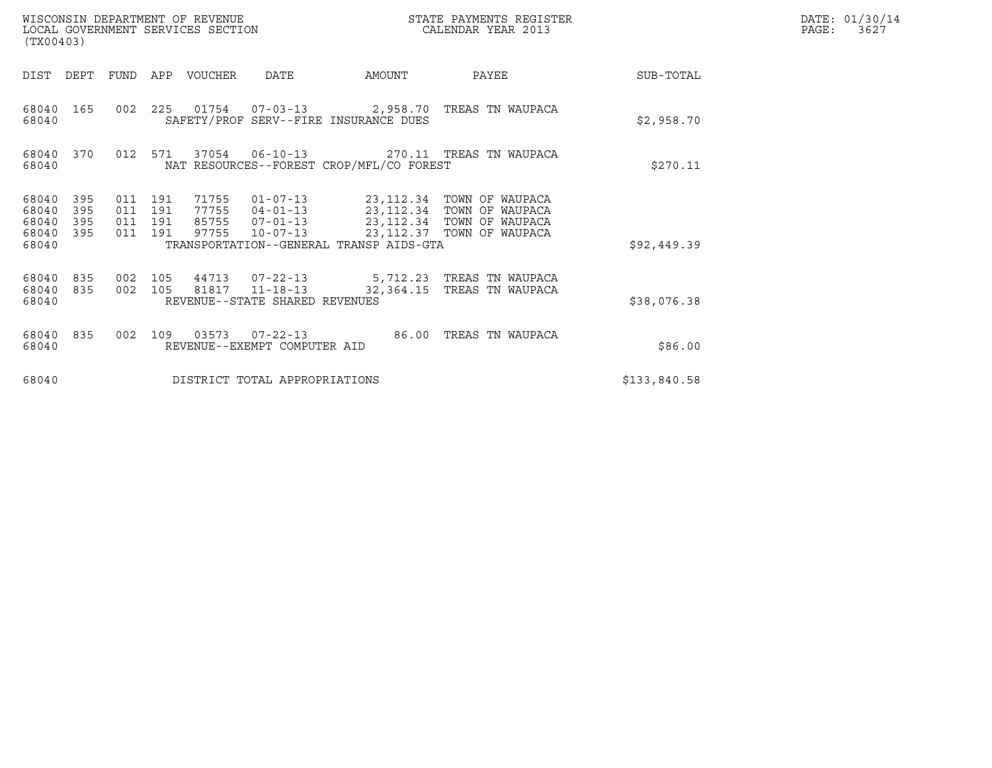| (TX00403)                                                             |                                      | WISCONSIN DEPARTMENT OF REVENUE<br>LOCAL GOVERNMENT SERVICES SECTION |                                                                      |                                          | STATE PAYMENTS REGISTER<br>CALENDAR YEAR 2013                                                                    |              | DATE: 01/30/14<br>PAGE:<br>3627 |
|-----------------------------------------------------------------------|--------------------------------------|----------------------------------------------------------------------|----------------------------------------------------------------------|------------------------------------------|------------------------------------------------------------------------------------------------------------------|--------------|---------------------------------|
| DIST<br>DEPT                                                          | <b>FUND</b>                          | APP<br>VOUCHER                                                       | <b>DATE</b>                                                          | AMOUNT                                   | PAYEE                                                                                                            | SUB-TOTAL    |                                 |
| 68040<br>165<br>68040                                                 |                                      |                                                                      |                                                                      | SAFETY/PROF SERV--FIRE INSURANCE DUES    | 002 225 01754 07-03-13 2,958.70 TREAS TN WAUPACA                                                                 | \$2,958.70   |                                 |
| 68040<br>370<br>68040                                                 | 012                                  | 571                                                                  | 37054 06-10-13                                                       | NAT RESOURCES--FOREST CROP/MFL/CO FOREST | 270.11 TREAS TN WAUPACA                                                                                          | \$270.11     |                                 |
| 68040<br>395<br>68040<br>395<br>395<br>68040<br>395<br>68040<br>68040 | 011 191<br>011<br>011 191<br>011 191 | 71755<br>191<br>77755<br>85755<br>97755                              | $01 - 07 - 13$<br>$04 - 01 - 13$<br>$07 - 01 - 13$<br>$10 - 07 - 13$ | TRANSPORTATION--GENERAL TRANSP AIDS-GTA  | 23,112.34 TOWN OF WAUPACA<br>23,112.34 TOWN OF WAUPACA<br>23,112.34 TOWN OF WAUPACA<br>23,112.37 TOWN OF WAUPACA | \$92,449.39  |                                 |
| 68040<br>835<br>68040<br>835<br>68040                                 | 002 105<br>002 105                   | 44713                                                                | $07 - 22 - 13$<br>81817 11-18-13<br>REVENUE--STATE SHARED REVENUES   | 32,364.15                                | 5,712.23 TREAS TN WAUPACA<br>TREAS TN WAUPACA                                                                    | \$38,076.38  |                                 |
| 68040<br>835<br>68040                                                 | 002                                  | 109<br>REVENUE--EXEMPT COMPUTER AID                                  |                                                                      | 86.00                                    | TREAS TN WAUPACA                                                                                                 | \$86.00      |                                 |
| 68040                                                                 |                                      |                                                                      | DISTRICT TOTAL APPROPRIATIONS                                        |                                          |                                                                                                                  | \$133,840.58 |                                 |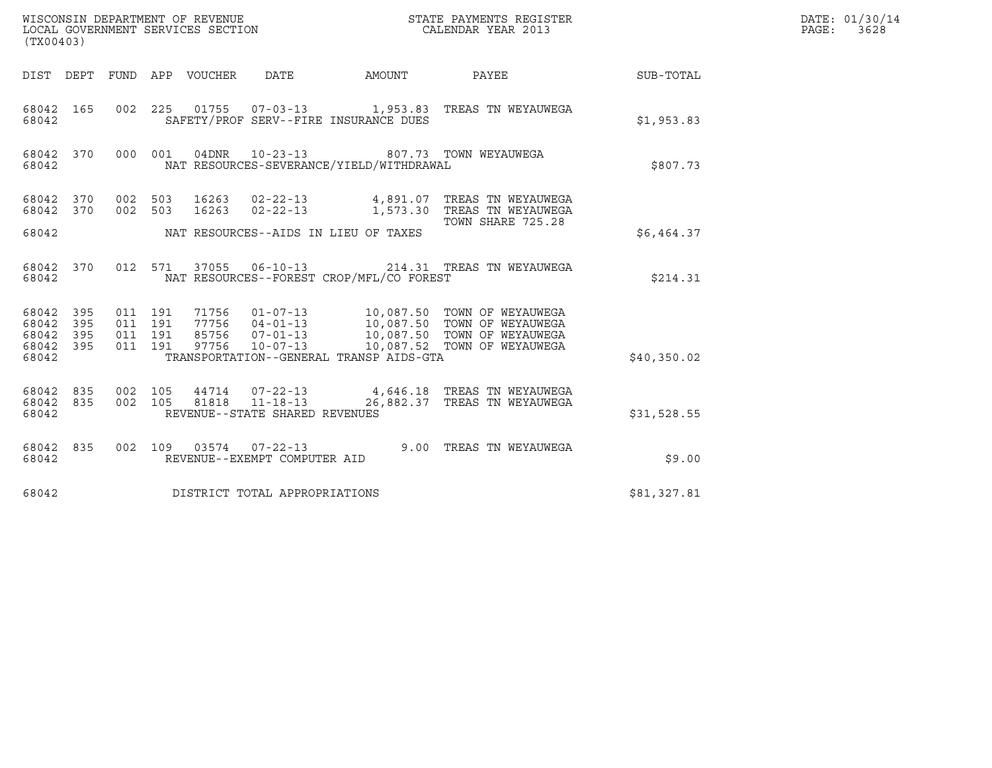| WISCONSIN DEPARTMENT OF REVENUE<br>LOCAL GOVERNMENT SERVICES SECTION<br>STATE PAYMENTS REGISTER<br>CALENDAR YEAR 2013<br>(TX00403) |            |                                          |         |                                 |                                                        |                                                                                     |                                                                                                                                                                                                  | DATE: 01/30/14<br>PAGE: 3628 |  |
|------------------------------------------------------------------------------------------------------------------------------------|------------|------------------------------------------|---------|---------------------------------|--------------------------------------------------------|-------------------------------------------------------------------------------------|--------------------------------------------------------------------------------------------------------------------------------------------------------------------------------------------------|------------------------------|--|
|                                                                                                                                    |            |                                          |         | DIST DEPT FUND APP VOUCHER DATE |                                                        |                                                                                     | AMOUNT PAYEE SUB-TOTAL                                                                                                                                                                           |                              |  |
| 68042 165<br>68042                                                                                                                 |            |                                          |         |                                 |                                                        | SAFETY/PROF SERV--FIRE INSURANCE DUES                                               | 002  225  01755  07-03-13   1,953.83  TREAS TN WEYAUWEGA                                                                                                                                         | \$1,953.83                   |  |
| 68042 370<br>68042                                                                                                                 |            |                                          | 000 001 |                                 |                                                        | 04DNR  10-23-13  807.73  TOWN WEYAUWEGA<br>NAT RESOURCES-SEVERANCE/YIELD/WITHDRAWAL |                                                                                                                                                                                                  | \$807.73                     |  |
| 68042 370                                                                                                                          |            | 68042 370 002 503<br>002 503             |         |                                 |                                                        |                                                                                     | 16263  02-22-13  4,891.07  TREAS TN WEYAUWEGA<br>16263  02-22-13   1,573.30  TREAS TN WEYAUWEGA<br>TOWN SHARE 725.28                                                                             |                              |  |
| 68042                                                                                                                              |            |                                          |         |                                 |                                                        | NAT RESOURCES--AIDS IN LIEU OF TAXES                                                |                                                                                                                                                                                                  | \$6.464.37                   |  |
| 68042 370<br>68042                                                                                                                 |            |                                          | 012 571 |                                 |                                                        | NAT RESOURCES--FOREST CROP/MFL/CO FOREST                                            | 37055  06-10-13  214.31  TREAS TN WEYAUWEGA                                                                                                                                                      | \$214.31                     |  |
| 68042 395<br>68042<br>68042<br>68042 395<br>68042                                                                                  | 395<br>395 | 011 191<br>011 191<br>011 191<br>011 191 |         |                                 |                                                        | TRANSPORTATION--GENERAL TRANSP AIDS-GTA                                             | 71756  01-07-13  10,087.50  TOWN OF WEYAUWEGA<br>77756  04-01-13  10,087.50  TOWN OF WEYAUWEGA<br>85756  07-01-13  10,087.50  TOWN OF WEYAUWEGA<br>97756  10-07-13  10,087.52  TOWN OF WEYAUWEGA | \$40,350.02                  |  |
| 68042<br>68042 835<br>68042                                                                                                        | 835        | 002 105                                  | 002 105 |                                 | 81818 11-18-13<br>REVENUE--STATE SHARED REVENUES       |                                                                                     | 44714  07-22-13  4,646.18  TREAS TN WEYAUWEGA<br>26,882.37 TREAS TN WEYAUWEGA                                                                                                                    | \$31,528.55                  |  |
| 68042 835<br>68042                                                                                                                 |            |                                          |         |                                 | 002 109 03574 07-22-13<br>REVENUE--EXEMPT COMPUTER AID |                                                                                     | 9.00 TREAS TN WEYAUWEGA                                                                                                                                                                          | \$9.00                       |  |
| 68042                                                                                                                              |            |                                          |         |                                 | DISTRICT TOTAL APPROPRIATIONS                          |                                                                                     |                                                                                                                                                                                                  | \$81,327.81                  |  |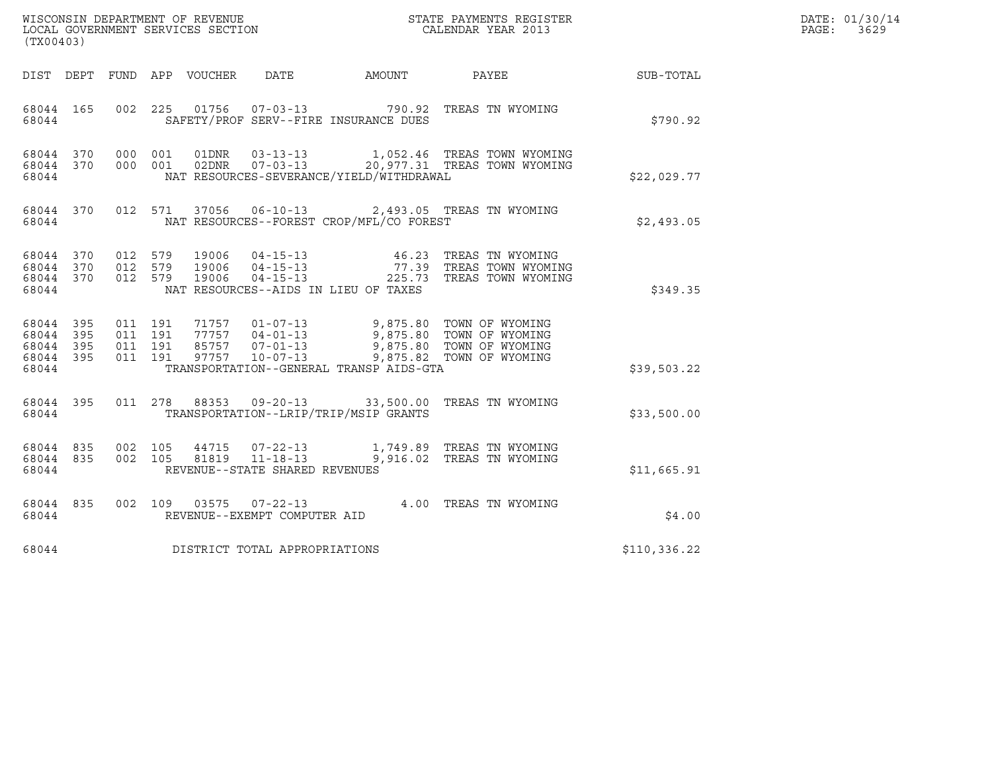| WISCONSIN DEPARTMENT OF REVENUE   | STATE PAYMENTS REGISTER | DATE: 01/30/14 |
|-----------------------------------|-------------------------|----------------|
| LOCAL GOVERNMENT SERVICES SECTION | CALENDAR YEAR 2013      | 3629<br>PAGE:  |

|                                                           | WISCONSIN DEPARTMENT OF REVENUE<br>LOCAL GOVERNMENT SERVICES SECTION<br>(TX00403)<br>(TX00403) |  |  |  |                                |                                          |                                                                                                                                                                                                                                                                                                                     |                                                           | DATE: 01/30/14<br>PAGE: 3629 |
|-----------------------------------------------------------|------------------------------------------------------------------------------------------------|--|--|--|--------------------------------|------------------------------------------|---------------------------------------------------------------------------------------------------------------------------------------------------------------------------------------------------------------------------------------------------------------------------------------------------------------------|-----------------------------------------------------------|------------------------------|
|                                                           |                                                                                                |  |  |  |                                |                                          |                                                                                                                                                                                                                                                                                                                     | DIST DEPT FUND APP VOUCHER DATE AMOUNT PAYEE TO SUB-TOTAL |                              |
| 68044                                                     | 68044 165                                                                                      |  |  |  |                                | SAFETY/PROF SERV--FIRE INSURANCE DUES    | 002 225 01756 07-03-13 790.92 TREAS TN WYOMING                                                                                                                                                                                                                                                                      | \$790.92                                                  |                              |
| 68044                                                     | 68044 370<br>68044 370                                                                         |  |  |  |                                | NAT RESOURCES-SEVERANCE/YIELD/WITHDRAWAL | 000 001 01DNR 03-13-13 1,052.46 TREAS TOWN WYOMING<br>000 001 02DNR 07-03-13 20,977.31 TREAS TOWN WYOMING                                                                                                                                                                                                           | \$22,029.77                                               |                              |
|                                                           | 68044                                                                                          |  |  |  |                                |                                          | 68044 370 012 571 37056 06-10-13 2,493.05 TREAS TN WYOMING<br>NAT RESOURCES--FOREST CROP/MFL/CO FOREST                                                                                                                                                                                                              | \$2,493.05                                                |                              |
| 68044 370<br>68044                                        | 68044 370<br>68044 370                                                                         |  |  |  |                                | NAT RESOURCES--AIDS IN LIEU OF TAXES     | 012 579 19006 04-15-13   46.23 TREAS TN WYOMING<br>012 579 19006 04-15-13   77.39 TREAS TOWN WYOMING<br>012 579 19006 04-15-13   225.73 TREAS TOWN WYOMING                                                                                                                                                          | \$349.35                                                  |                              |
| 68044 395<br>68044 395<br>68044 395<br>68044 395<br>68044 |                                                                                                |  |  |  |                                | TRANSPORTATION--GENERAL TRANSP AIDS-GTA  | $\begin{array}{cccccc} 011 & 191 & 71757 & 01-07-13 & 9,875.80 & \text{TOWN OF WYOMING} \\ 011 & 191 & 77757 & 04-01-13 & 9,875.80 & \text{TOWN OF WYOMING} \\ 011 & 191 & 85757 & 07-01-13 & 9,875.80 & \text{TOWN OF WYOMING} \\ 011 & 191 & 97757 & 10-07-13 & 9,875.82 & \text{TOWN OF WYOMING} \\ \end{array}$ | \$39,503.22                                               |                              |
| 68044                                                     | 68044 395                                                                                      |  |  |  |                                | TRANSPORTATION--LRIP/TRIP/MSIP GRANTS    | 011 278 88353 09-20-13 33,500.00 TREAS TN WYOMING                                                                                                                                                                                                                                                                   | \$33,500.00                                               |                              |
| 68044 835<br>68044                                        | 68044 835                                                                                      |  |  |  | REVENUE--STATE SHARED REVENUES |                                          | 002 105 44715 07-22-13 1,749.89 TREAS TN WYOMING<br>002 105 81819 11-18-13 9,916.02 TREAS TN WYOMING                                                                                                                                                                                                                | \$11,665.91                                               |                              |
| 68044                                                     | 68044 835                                                                                      |  |  |  | REVENUE--EXEMPT COMPUTER AID   |                                          | 002 109 03575 07-22-13 4.00 TREAS TN WYOMING                                                                                                                                                                                                                                                                        | \$4.00                                                    |                              |
| 68044                                                     |                                                                                                |  |  |  | DISTRICT TOTAL APPROPRIATIONS  |                                          |                                                                                                                                                                                                                                                                                                                     | \$110,336.22                                              |                              |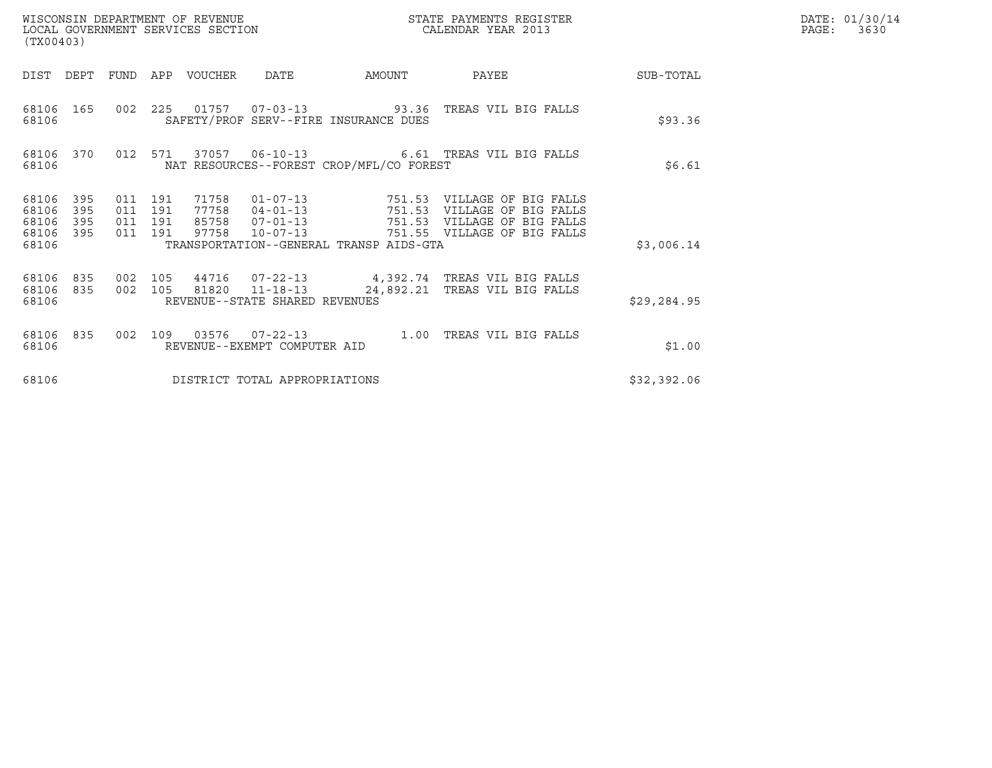| PAGE: | DATE: 01/30/14<br>3630 |
|-------|------------------------|
|       |                        |

| (TX00403)                                                       |                                          | WISCONSIN DEPARTMENT OF REVENUE<br>LOCAL GOVERNMENT SERVICES SECTION                                            |        | STATE PAYMENTS REGISTER<br>CALENDAR YEAR 2013                                                                                |             | DATE: 01/30/14<br>PAGE:<br>3630 |
|-----------------------------------------------------------------|------------------------------------------|-----------------------------------------------------------------------------------------------------------------|--------|------------------------------------------------------------------------------------------------------------------------------|-------------|---------------------------------|
| DIST DEPT FUND                                                  |                                          | APP VOUCHER DATE                                                                                                | AMOUNT | PAYEE                                                                                                                        | SUB-TOTAL   |                                 |
| 68106 165<br>68106                                              |                                          | SAFETY/PROF SERV--FIRE INSURANCE DUES                                                                           |        | 002 225 01757 07-03-13 93.36 TREAS VIL BIG FALLS                                                                             | \$93.36     |                                 |
| 68106                                                           |                                          | NAT RESOURCES--FOREST CROP/MFL/CO FOREST                                                                        |        | 68106 370 012 571 37057 06-10-13 6.61 TREAS VIL BIG FALLS                                                                    | \$6.61      |                                 |
| 68106 395<br>68106<br>395<br>395<br>68106<br>68106 395<br>68106 | 011 191<br>011 191<br>011 191<br>011 191 | 77758  04-01-13  751.53<br>85758 07-01-13<br>97758<br>$10 - 07 - 13$<br>TRANSPORTATION--GENERAL TRANSP AIDS-GTA | 751.53 | 71758  01-07-13  751.53  VILLAGE OF BIG FALLS<br>VILLAGE OF BIG FALLS<br>VILLAGE OF BIG FALLS<br>751.55 VILLAGE OF BIG FALLS | \$3,006.14  |                                 |
| 68106 835 002 105<br>68106 835<br>68106                         |                                          | 002 105 81820 11-18-13<br>REVENUE--STATE SHARED REVENUES                                                        |        | 44716 07-22-13 4,392.74 TREAS VIL BIG FALLS<br>24,892.21 TREAS VIL BIG FALLS                                                 | \$29,284.95 |                                 |
| 68106 835<br>68106                                              |                                          | REVENUE--EXEMPT COMPUTER AID                                                                                    |        | 002 109 03576 07-22-13 1.00 TREAS VIL BIG FALLS                                                                              | \$1.00      |                                 |
| 68106                                                           |                                          | DISTRICT TOTAL APPROPRIATIONS                                                                                   |        |                                                                                                                              | \$32,392.06 |                                 |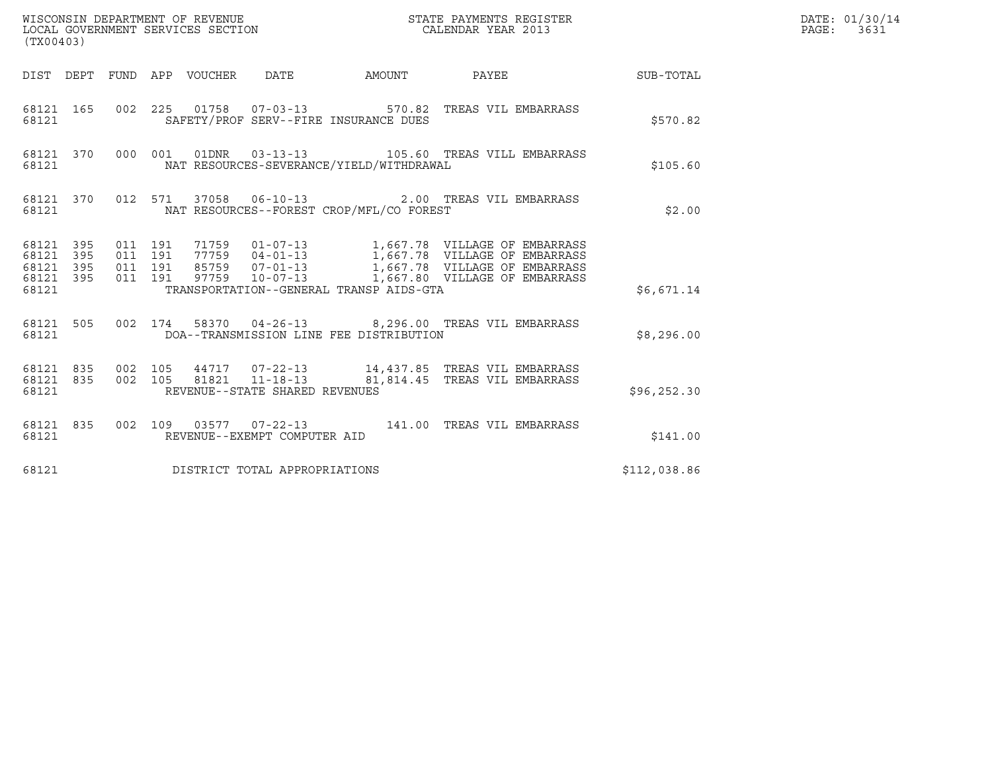| (TX00403)                                    |                        |                               |         |  |                                |                                          |                                                                                                                                                                                                          |              | DATE: 01/30/14<br>PAGE: 3631 |
|----------------------------------------------|------------------------|-------------------------------|---------|--|--------------------------------|------------------------------------------|----------------------------------------------------------------------------------------------------------------------------------------------------------------------------------------------------------|--------------|------------------------------|
|                                              |                        |                               |         |  |                                |                                          | DIST DEPT FUND APP VOUCHER DATE AMOUNT PAYEE THE SUB-TOTAL                                                                                                                                               |              |                              |
| 68121                                        |                        |                               |         |  |                                | SAFETY/PROF SERV--FIRE INSURANCE DUES    | 68121 165 002 225 01758 07-03-13 570.82 TREAS VIL EMBARRASS                                                                                                                                              | \$570.82     |                              |
| 68121                                        |                        |                               |         |  |                                | NAT RESOURCES-SEVERANCE/YIELD/WITHDRAWAL | 68121 370 000 001 01DNR 03-13-13 105.60 TREAS VILL EMBARRASS                                                                                                                                             | \$105.60     |                              |
|                                              | 68121                  |                               |         |  |                                | NAT RESOURCES--FOREST CROP/MFL/CO FOREST | 68121 370 012 571 37058 06-10-13 2.00 TREAS VIL EMBARRASS                                                                                                                                                | \$2.00       |                              |
| 68121 395<br>68121 395<br>68121 395<br>68121 | 68121 395              | 011 191<br>011 191<br>011 191 | 011 191 |  |                                | TRANSPORTATION--GENERAL TRANSP AIDS-GTA  | 71759  01-07-13  1,667.78  VILLAGE OF EMBARRASS<br>77759  04-01-13  1,667.78  VILLAGE OF EMBARRASS<br>85759  07-01-13  1,667.78  VILLAGE OF EMBARRASS<br>97759  10-07-13  1,667.80  VILLAGE OF EMBARRASS | \$6,671.14   |                              |
|                                              | 68121                  |                               |         |  |                                | DOA--TRANSMISSION LINE FEE DISTRIBUTION  | 68121 505 002 174 58370 04-26-13 8,296.00 TREAS VIL EMBARRASS                                                                                                                                            | \$8,296.00   |                              |
| 68121                                        | 68121 835<br>68121 835 |                               |         |  | REVENUE--STATE SHARED REVENUES |                                          | 002 105 44717 07-22-13 14,437.85 TREAS VIL EMBARRASS<br>002 105 81821 11-18-13 81,814.45 TREAS VIL EMBARRASS                                                                                             | \$96, 252.30 |                              |
| 68121                                        |                        |                               |         |  | REVENUE--EXEMPT COMPUTER AID   |                                          | 68121 835 002 109 03577 07-22-13 141.00 TREAS VIL EMBARRASS                                                                                                                                              | \$141.00     |                              |
| 68121                                        |                        |                               |         |  | DISTRICT TOTAL APPROPRIATIONS  |                                          |                                                                                                                                                                                                          | \$112,038.86 |                              |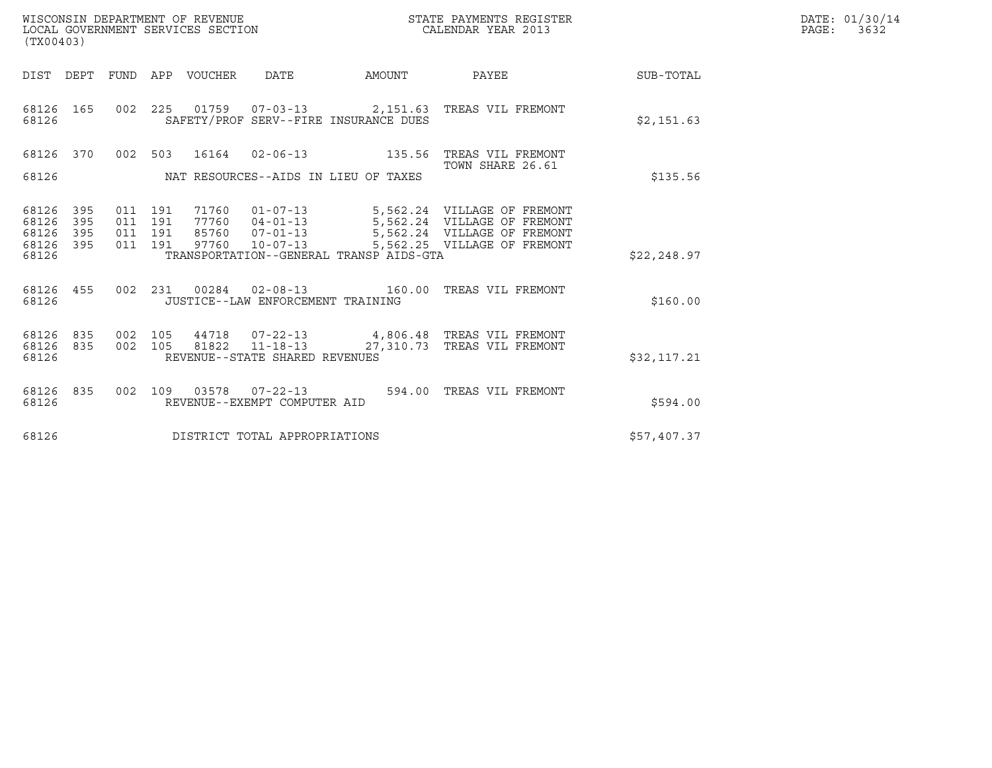| WISCONSIN DEPARTMENT OF REVENUE<br>LOCAL GOVERNMENT SERVICES SECTION<br>(TX00403)                                                                     |                                                                                                                                                    | STATE PAYMENTS REGISTER<br>CALENDAR YEAR 2013              |              | DATE: 01/30/14<br>$\mathtt{PAGE:}$<br>3632 |
|-------------------------------------------------------------------------------------------------------------------------------------------------------|----------------------------------------------------------------------------------------------------------------------------------------------------|------------------------------------------------------------|--------------|--------------------------------------------|
| DIST DEPT<br>FUND APP VOUCHER<br>DATE                                                                                                                 | AMOUNT                                                                                                                                             | <b>PAYEE</b>                                               | SUB-TOTAL    |                                            |
| 68126 165<br>002 225<br>68126<br>SAFETY/PROF SERV--FIRE INSURANCE DUES                                                                                |                                                                                                                                                    |                                                            | \$2,151.63   |                                            |
| 68126 370<br>002 503                                                                                                                                  |                                                                                                                                                    |                                                            |              |                                            |
| 68126<br>NAT RESOURCES--AIDS IN LIEU OF TAXES                                                                                                         |                                                                                                                                                    | TOWN SHARE 26.61                                           | \$135.56     |                                            |
| 68126<br>395<br>011 191<br>71760<br>011 191<br>68126<br>395<br>011 191<br>68126<br>395<br>85760 07-01-13<br>395<br>011 191<br>68126<br>97760<br>68126 | 01-07-13 5,562.24 VILLAGE OF FREMONT<br>77760  04-01-13  5,562.24  VILLAGE OF FREMONT<br>$10 - 07 - 13$<br>TRANSPORTATION--GENERAL TRANSP AIDS-GTA | 5,562.24 VILLAGE OF FREMONT<br>5,562.25 VILLAGE OF FREMONT | \$22, 248.97 |                                            |
| 68126 455<br>002  231  00284  02-08-13  160.00 TREAS VIL FREMONT<br>68126<br>JUSTICE--LAW ENFORCEMENT TRAINING                                        |                                                                                                                                                    |                                                            | \$160.00     |                                            |
| 68126<br>835<br>002 105<br>44718<br>002 105<br>81822<br>68126<br>835<br>REVENUE--STATE SHARED REVENUES<br>68126                                       | 07-22-13 4,806.48 TREAS VIL FREMONT<br>11-18-13 27,310.73 TREAS VIL FREMONT                                                                        |                                                            | \$32,117.21  |                                            |
| 68126<br>835<br>002 109<br>68126<br>REVENUE--EXEMPT COMPUTER AID                                                                                      |                                                                                                                                                    | 594.00 TREAS VIL FREMONT                                   | \$594.00     |                                            |
| 68126<br>DISTRICT TOTAL APPROPRIATIONS                                                                                                                |                                                                                                                                                    |                                                            | \$57,407.37  |                                            |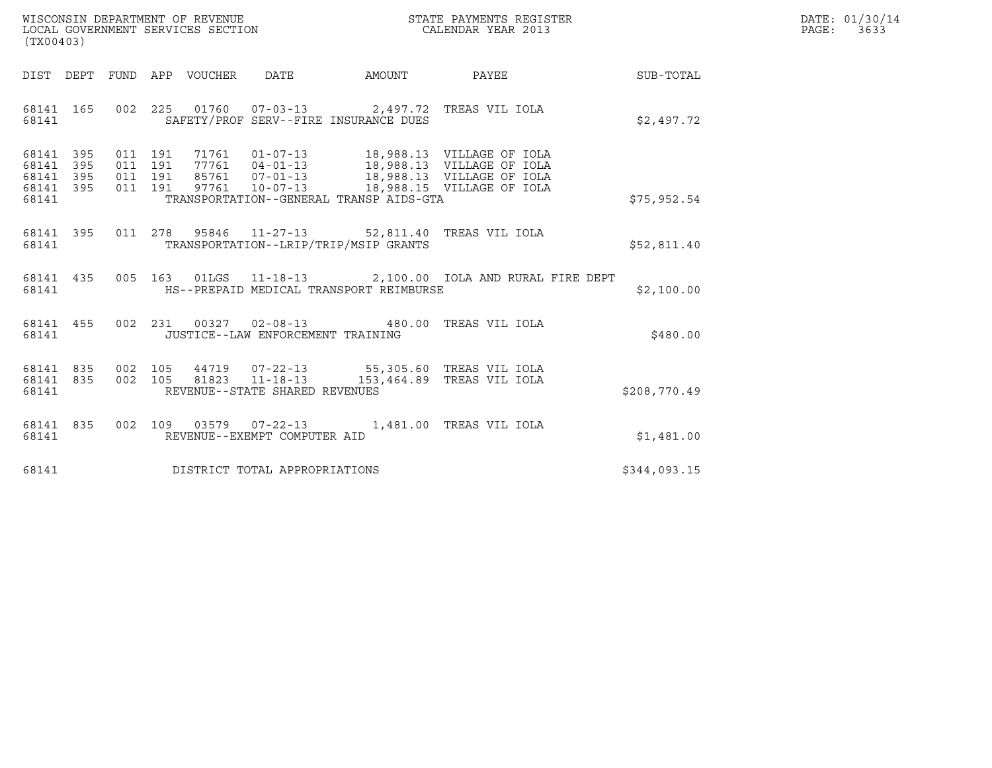| WISCONSIN DEPARTMENT OF REVENUE<br>LOCAL GOVERNMENT SERVICES SECTION | STATE PAYMENTS REGISTER<br>CALENDAR YEAR 2013 | DATE: 01/30/14<br>PAGE:<br>3633 |
|----------------------------------------------------------------------|-----------------------------------------------|---------------------------------|

| (TX00403)                                        |  |  |  |  |                                            |                                                          |                                                                                                                                                                                                      | $\mathcal{R}$ | DATE: 01/30/14<br>$\mathtt{PAGE:}$<br>3633 |
|--------------------------------------------------|--|--|--|--|--------------------------------------------|----------------------------------------------------------|------------------------------------------------------------------------------------------------------------------------------------------------------------------------------------------------------|---------------|--------------------------------------------|
|                                                  |  |  |  |  |                                            |                                                          | DIST DEPT FUND APP VOUCHER DATE AMOUNT PAYEE                                                                                                                                                         | SUB-TOTAL     |                                            |
|                                                  |  |  |  |  |                                            | 68141 SAFETY/PROF SERV--FIRE INSURANCE DUES              | 68141 165 002 225 01760 07-03-13 2,497.72 TREAS VIL IOLA                                                                                                                                             | \$2,497.72    |                                            |
| 68141 395<br>68141 395<br>68141 395<br>68141 395 |  |  |  |  |                                            | 68141 TRANSPORTATION--GENERAL TRANSP AIDS-GTA            | 011 191 71761 01-07-13 18,988.13 VILLAGEOFIOLA<br>011 191 77761 04-01-13 18,988.13 VILLAGEOFIOLA<br>011 191 85761 07-01-13 18,988.13 VILLAGEOFIOLA<br>011 191 97761 10-07-13 18,988.15 VILLAGEOFIOLA | \$75,952.54   |                                            |
| 68141                                            |  |  |  |  |                                            | TRANSPORTATION--LRIP/TRIP/MSIP GRANTS                    | 68141 395 011 278 95846 11-27-13 52,811.40 TREAS VIL IOLA                                                                                                                                            | \$52,811.40   |                                            |
|                                                  |  |  |  |  |                                            | 68141 MS--PREPAID MEDICAL TRANSPORT REIMBURSE            | 68141 435 005 163 01LGS 11-18-13 2,100.00 IOLA AND RURAL FIRE DEPT                                                                                                                                   | \$2,100.00    |                                            |
|                                                  |  |  |  |  | 68141    JUSTICE--LAW ENFORCEMENT TRAINING | 68141 455 002 231 00327 02-08-13 480.00 TREAS VIL IOLA   |                                                                                                                                                                                                      | \$480.00      |                                            |
| 68141 835<br>68141 835<br>68141                  |  |  |  |  | REVENUE--STATE SHARED REVENUES             |                                                          | 002 105 44719 07-22-13 55,305.60 TREAS VIL IOLA<br>002 105 81823 11-18-13 153,464.89 TREAS VIL IOLA                                                                                                  | \$208,770.49  |                                            |
| 68141 7                                          |  |  |  |  | REVENUE--EXEMPT COMPUTER AID               | 68141 835 002 109 03579 07-22-13 1,481.00 TREAS VIL IOLA |                                                                                                                                                                                                      | \$1,481.00    |                                            |
|                                                  |  |  |  |  | 68141 DISTRICT TOTAL APPROPRIATIONS        |                                                          |                                                                                                                                                                                                      | \$344,093.15  |                                            |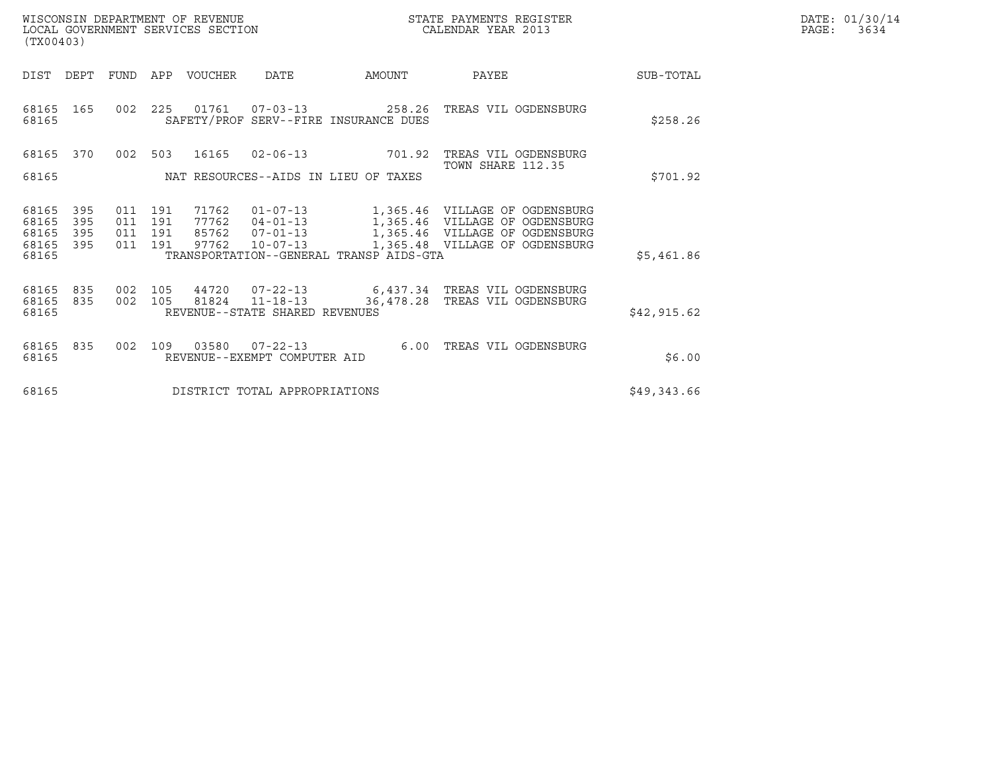| WISCONSIN DEPARTMENT OF REVENUE<br>LOCAL GOVERNMENT SERVICES SECTION<br>(TX00403) | STATE PAYMENTS REGISTER<br>CALENDAR YEAR 2013 | DATE: 01/30/14<br>PAGE:<br>3634 |
|-----------------------------------------------------------------------------------|-----------------------------------------------|---------------------------------|

| (TX00403)                                                      |                                 |                                                      |                                                |                                         |                                                                                                                                                                                                                        |             |
|----------------------------------------------------------------|---------------------------------|------------------------------------------------------|------------------------------------------------|-----------------------------------------|------------------------------------------------------------------------------------------------------------------------------------------------------------------------------------------------------------------------|-------------|
| DIST<br>DEPT                                                   | FUND                            | VOUCHER<br>APP                                       | DATE                                           | AMOUNT                                  | PAYEE                                                                                                                                                                                                                  | SUB-TOTAL   |
| 68165<br>68165                                                 | 165<br>002 225                  |                                                      |                                                | SAFETY/PROF SERV--FIRE INSURANCE DUES   | 01761    07-03-13    258.26 TREAS VIL OGDENSBURG                                                                                                                                                                       | \$258.26    |
| 68165<br>68165                                                 | 370<br>002                      | 503<br>16165<br>NAT RESOURCES--AIDS IN LIEU OF TAXES | $02 - 06 - 13$                                 | 701.92                                  | TREAS VIL OGDENSBURG<br>TOWN SHARE 112.35                                                                                                                                                                              | \$701.92    |
| 68165<br>395<br>68165<br>68165<br>395<br>68165<br>395<br>68165 | 011<br>395<br>011<br>011<br>011 | 191<br>191<br>191<br>191                             |                                                | TRANSPORTATION--GENERAL TRANSP AIDS-GTA | 71762  01-07-13   1,365.46    VILLAGE OF OGDENSBURG<br>77762  04-01-13   1,365.46    VILLAGE OF OGDENSBURG<br>85762  07-01-13   1,365.46    VILLAGE OF OGDENSBURG<br>97762  10-07-13   1,365.48  VILLAGE OF OGDENSBURG | \$5,461.86  |
| 68165<br>68165 835<br>68165                                    | 835 002<br>002                  |                                                      | REVENUE--STATE SHARED REVENUES                 |                                         | 105  44720  07-22-13  6,437.34  TREAS VIL OGDENSBURG<br>105 81824 11-18-13 36,478.28 TREAS VIL OGDENSBURG                                                                                                              | \$42,915.62 |
| 68165<br>835<br>68165                                          | 002                             | 109<br>03580                                         | $07 - 22 - 13$<br>REVENUE--EXEMPT COMPUTER AID | 6.00                                    | TREAS VIL OGDENSBURG                                                                                                                                                                                                   | \$6.00      |
| 68165                                                          |                                 |                                                      | DISTRICT TOTAL APPROPRIATIONS                  |                                         |                                                                                                                                                                                                                        | \$49,343.66 |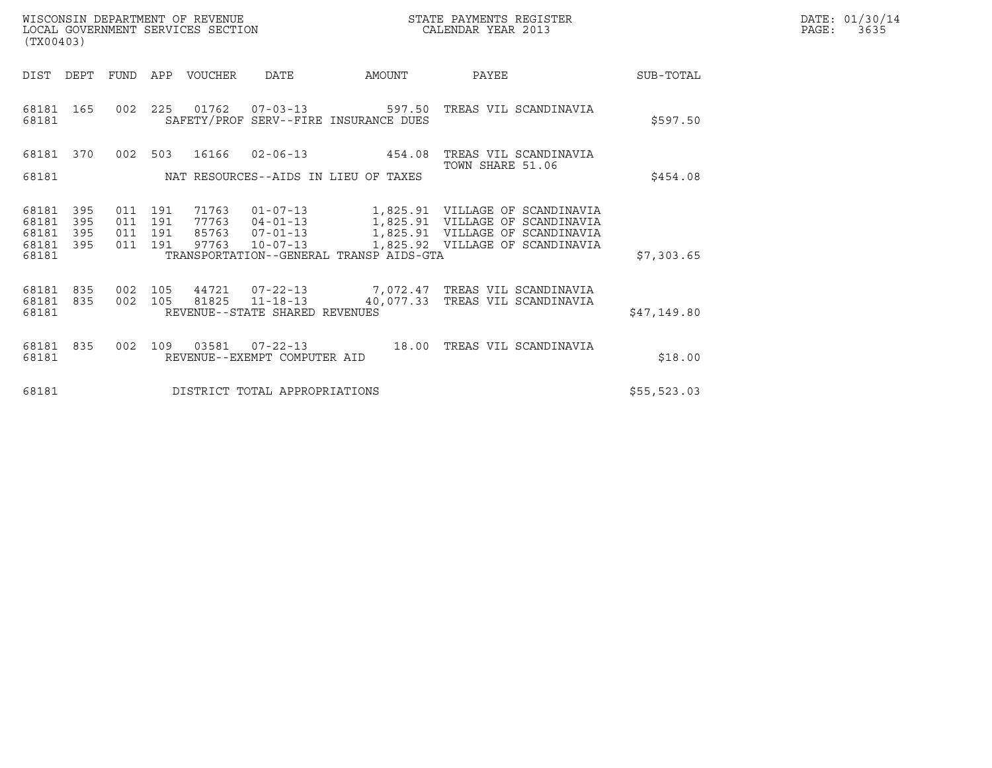| WISCONSIN DEPARTMENT OF REVENUE<br>LOCAL GOVERNMENT SERVICES SECTION<br>(TX00403) | STATE PAYMENTS REGISTER<br>CALENDAR YEAR 2013 | DATE: 01/30/14<br>PAGE:<br>3635 |
|-----------------------------------------------------------------------------------|-----------------------------------------------|---------------------------------|

| (TX00403)                                                             |                          |                                      |                                                |                                         |                                                                                                    |             |
|-----------------------------------------------------------------------|--------------------------|--------------------------------------|------------------------------------------------|-----------------------------------------|----------------------------------------------------------------------------------------------------|-------------|
| <b>DIST</b><br>DEPT                                                   | <b>FUND</b>              | APP<br>VOUCHER                       | DATE                                           | AMOUNT                                  | PAYEE                                                                                              | SUB-TOTAL   |
| 165<br>68181<br>68181                                                 | 002                      | 225                                  |                                                | SAFETY/PROF SERV--FIRE INSURANCE DUES   |                                                                                                    | \$597.50    |
| 68181<br>370                                                          | 002                      | 503<br>16166                         | $02 - 06 - 13$                                 | 454.08                                  | TREAS VIL SCANDINAVIA<br>TOWN SHARE 51.06                                                          |             |
| 68181                                                                 |                          | NAT RESOURCES--AIDS IN LIEU OF TAXES |                                                |                                         |                                                                                                    | \$454.08    |
| 395<br>68181<br>68181<br>395<br>68181<br>395<br>68181<br>395<br>68181 | 011<br>011<br>011<br>011 | 191<br>191<br>191<br>97763<br>191    |                                                | TRANSPORTATION--GENERAL TRANSP AIDS-GTA | 10-07-13 1,825.92 VILLAGE OF SCANDINAVIA                                                           | \$7,303.65  |
| 835<br>68181<br>835<br>68181<br>68181                                 | 002<br>002               | 105<br>105                           | REVENUE--STATE SHARED REVENUES                 |                                         | 44721  07-22-13  7,072.47  TREAS VIL SCANDINAVIA<br>81825 11-18-13 40,077.33 TREAS VIL SCANDINAVIA | \$47,149.80 |
| 68181<br>835<br>68181                                                 | 002                      | 109<br>03581                         | $07 - 22 - 13$<br>REVENUE--EXEMPT COMPUTER AID |                                         | 18.00 TREAS VIL SCANDINAVIA                                                                        | \$18.00     |
| 68181                                                                 |                          |                                      | DISTRICT TOTAL APPROPRIATIONS                  |                                         |                                                                                                    | \$55,523.03 |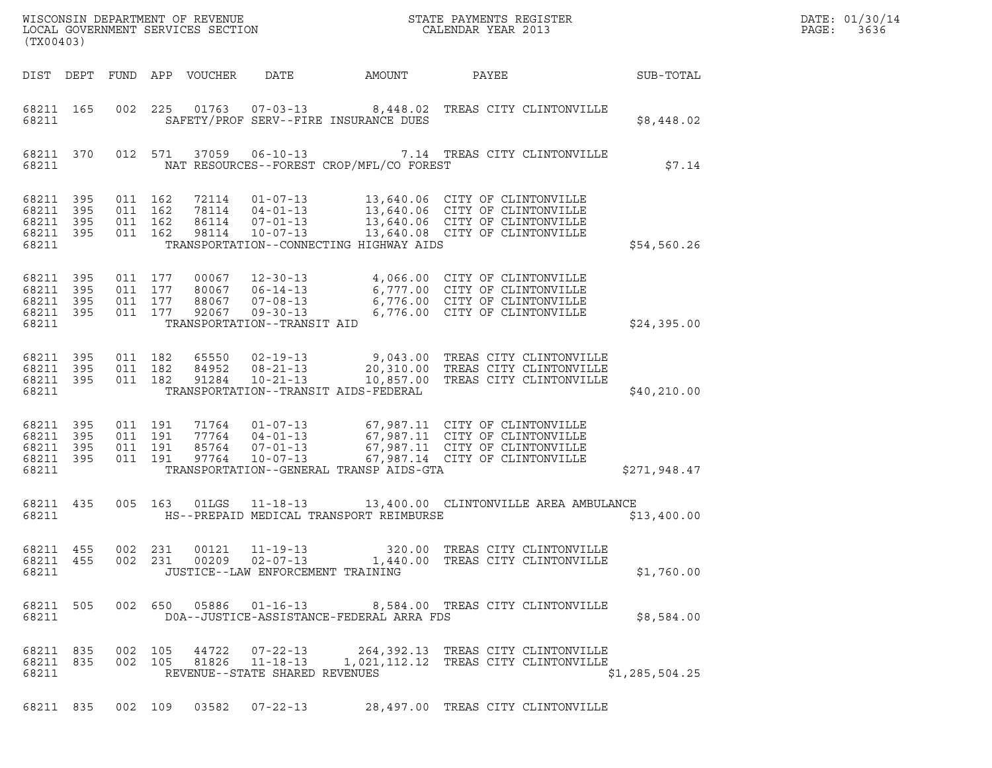| ${\tt WISCO} {\tt NSM} {\tt NEMR} {\tt NEMR} {\tt NEMR} {\tt NEMR} {\tt NEMR} {\tt NEMR} {\tt NEMR} {\tt NEMR} {\tt NEMR} {\tt NEMR} {\tt NEMR} {\tt NEMR} {\tt NEMR} {\tt NEMR} {\tt NEMR} {\tt NEMR} {\tt NEMR} {\tt NEMR} {\tt NEMR} {\tt NEMR} {\tt NEMR} {\tt NEMR} {\tt NEMR} {\tt NEMR} {\tt NEMR} {\tt NEMR} {\tt NEMR} {\tt NEMR} {\tt NEMR} {\tt NEMR} {\tt NEMR} {\tt NEMR} {\tt NEMR} {\tt NEMR} {\tt NEMR}$<br>LOCAL GOVERNMENT SERVICES SECTION<br>(TX00403) |                                          |                               |                                  |                                                     |                                          |                                                                                                                                                                                                                                       |                | DATE: 01/30/14<br>PAGE:<br>3636 |
|----------------------------------------------------------------------------------------------------------------------------------------------------------------------------------------------------------------------------------------------------------------------------------------------------------------------------------------------------------------------------------------------------------------------------------------------------------------------------|------------------------------------------|-------------------------------|----------------------------------|-----------------------------------------------------|------------------------------------------|---------------------------------------------------------------------------------------------------------------------------------------------------------------------------------------------------------------------------------------|----------------|---------------------------------|
| DIST DEPT                                                                                                                                                                                                                                                                                                                                                                                                                                                                  |                                          |                               | FUND APP VOUCHER                 | DATE                                                | AMOUNT                                   | PAYEE                                                                                                                                                                                                                                 | SUB-TOTAL      |                                 |
| 68211 165<br>68211                                                                                                                                                                                                                                                                                                                                                                                                                                                         |                                          |                               |                                  |                                                     | SAFETY/PROF SERV--FIRE INSURANCE DUES    | 002 225 01763 07-03-13 8,448.02 TREAS CITY CLINTONVILLE                                                                                                                                                                               | \$8,448.02     |                                 |
| 68211 370<br>68211                                                                                                                                                                                                                                                                                                                                                                                                                                                         |                                          |                               |                                  |                                                     | NAT RESOURCES--FOREST CROP/MFL/CO FOREST | 012 571 37059 06-10-13 7.14 TREAS CITY CLINTONVILLE                                                                                                                                                                                   | \$7.14         |                                 |
| 68211 395<br>68211<br>395<br>68211 395<br>68211 395<br>68211                                                                                                                                                                                                                                                                                                                                                                                                               | 011 162<br>011 162<br>011 162<br>011 162 |                               | 72114<br>78114<br>86114<br>98114 |                                                     | TRANSPORTATION--CONNECTING HIGHWAY AIDS  | 01-07-13 13,640.06 CITY OF CLINTONVILLE<br>04-01-13<br>04-01-13<br>07-01-13<br>13,640.06 CITY OF CLINTONVILLE<br>10-07-13<br>13,640.08 CITY OF CLINTONVILLE                                                                           | \$54,560.26    |                                 |
| 68211 395<br>68211 395<br>68211 395<br>68211 395<br>68211                                                                                                                                                                                                                                                                                                                                                                                                                  | 011 177                                  | 011 177<br>011 177<br>011 177 | 00067<br>80067<br>88067<br>92067 | TRANSPORTATION--TRANSIT AID                         |                                          | 12-30-13 4,066.00 CITY OF CLINTONVILLE<br>06-14-13 6,777.00 CITY OF CLINTONVILLE<br>07-08-13 6,776.00 CITY OF CLINTONVILLE<br>09-30-13 6,776.00 CITY OF CLINTONVILLE                                                                  | \$24,395.00    |                                 |
| 68211 395<br>68211 395<br>68211 395<br>68211                                                                                                                                                                                                                                                                                                                                                                                                                               | 011 182                                  |                               | 84952<br>011 182 91284           |                                                     | TRANSPORTATION--TRANSIT AIDS-FEDERAL     | 011 182 65550 02-19-13 9,043.00 TREAS CITY CLINTONVILLE<br>08-21-13<br>08-21-13 20,310.00 TREAS CITY CLINTONVILLE<br>10-21-13 10,857.00 TREAS CITY CLINTONVILLE                                                                       | \$40,210.00    |                                 |
| 68211 395<br>68211<br>395<br>68211 395<br>68211 395<br>68211                                                                                                                                                                                                                                                                                                                                                                                                               | 011 191<br>011 191<br>011 191            | 011 191                       |                                  |                                                     | TRANSPORTATION--GENERAL TRANSP AIDS-GTA  | 71764  01-07-13  67,987.11  CITY OF CLINTONVILLE<br>77764 04-01-13 67,987.11 CITY OF CLINTONVILLE<br>85764 07-01-13 67,987.11 CITY OF CLINTONVILLE<br>97764 10-07-13 67,987.14 CITY OF CLINTONVILLE<br>67,987.14 CITY OF CLINTONVILLE | \$271,948.47   |                                 |
| 68211 435<br>68211                                                                                                                                                                                                                                                                                                                                                                                                                                                         |                                          |                               | 005 163 01LGS                    |                                                     | HS--PREPAID MEDICAL TRANSPORT REIMBURSE  | 11-18-13 13,400.00 CLINTONVILLE AREA AMBULANCE                                                                                                                                                                                        | \$13,400.00    |                                 |
| 68211 455<br>68211 455<br>68211                                                                                                                                                                                                                                                                                                                                                                                                                                            |                                          |                               | 002 231 00209                    | $02 - 07 - 13$<br>JUSTICE--LAW ENFORCEMENT TRAINING |                                          | 002 231 00121 11-19-13 320.00 TREAS CITY CLINTONVILLE<br>1,440.00 TREAS CITY CLINTONVILLE                                                                                                                                             | \$1,760.00     |                                 |
| 68211 505<br>68211                                                                                                                                                                                                                                                                                                                                                                                                                                                         |                                          |                               | 002 650 05886                    | $01 - 16 - 13$                                      | DOA--JUSTICE-ASSISTANCE-FEDERAL ARRA FDS | 8,584.00 TREAS CITY CLINTONVILLE                                                                                                                                                                                                      | \$8,584.00     |                                 |
| 68211 835<br>68211 835<br>68211                                                                                                                                                                                                                                                                                                                                                                                                                                            |                                          |                               | 002 105 44722                    | $07 - 22 - 13$<br>REVENUE--STATE SHARED REVENUES    |                                          | 264,392.13 TREAS CITY CLINTONVILLE<br>002 105 81826 11-18-13 1,021,112.12 TREAS CITY CLINTONVILLE                                                                                                                                     | \$1,285,504.25 |                                 |
|                                                                                                                                                                                                                                                                                                                                                                                                                                                                            |                                          |                               |                                  |                                                     |                                          | 68211 835 002 109 03582 07-22-13 28,497.00 TREAS CITY CLINTONVILLE                                                                                                                                                                    |                |                                 |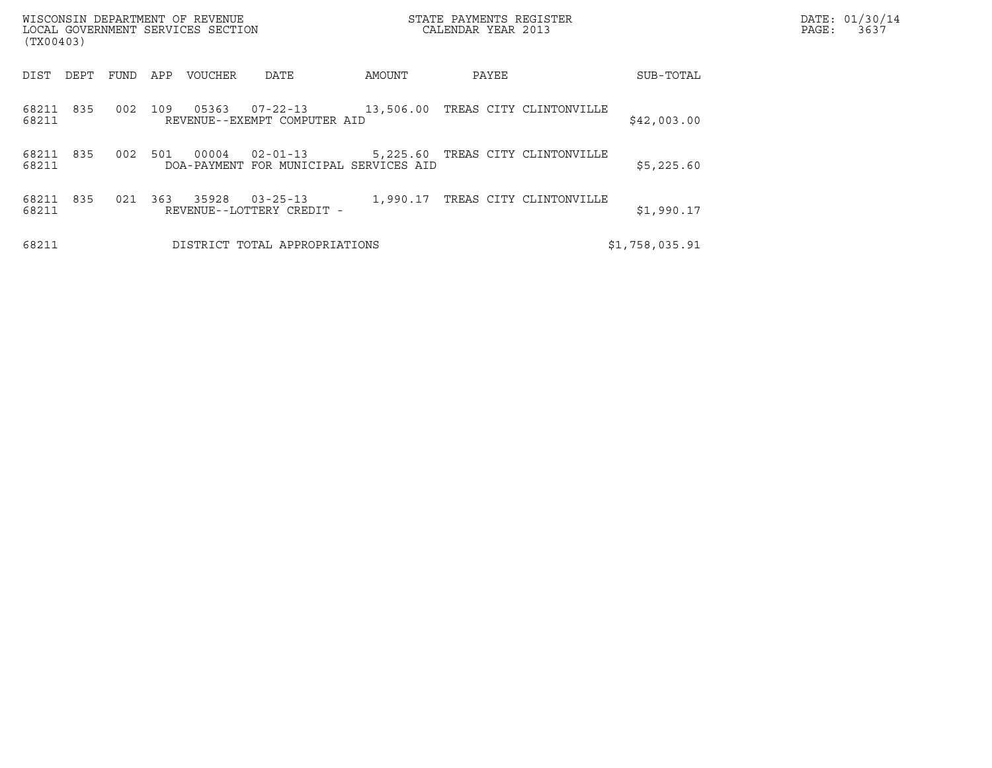| (TX00403)                    | WISCONSIN DEPARTMENT OF REVENUE<br>LOCAL GOVERNMENT SERVICES SECTION     |           | STATE PAYMENTS REGISTER<br>CALENDAR YEAR 2013 |                | DATE: 01/30/14<br>PAGE:<br>3637 |
|------------------------------|--------------------------------------------------------------------------|-----------|-----------------------------------------------|----------------|---------------------------------|
| DIST<br>FUND<br>DEPT         | APP<br>DATE<br>VOUCHER                                                   | AMOUNT    | PAYEE                                         | SUB-TOTAL      |                                 |
| 835<br>002<br>68211<br>68211 | 109<br>05363<br>07-22-13<br>REVENUE--EXEMPT COMPUTER AID                 | 13,506.00 | TREAS CITY CLINTONVILLE                       | \$42,003.00    |                                 |
| 002<br>68211 835<br>68211    | 00004<br>501<br>$02 - 01 - 13$<br>DOA-PAYMENT FOR MUNICIPAL SERVICES AID |           | 5,225.60 TREAS CITY CLINTONVILLE              | \$5,225.60     |                                 |
| 68211<br>835<br>021<br>68211 | 363<br>35928<br>$03 - 25 - 13$<br>REVENUE--LOTTERY CREDIT -              | 1,990.17  | TREAS CITY CLINTONVILLE                       | \$1,990.17     |                                 |
| 68211                        | DISTRICT TOTAL APPROPRIATIONS                                            |           |                                               | \$1,758,035.91 |                                 |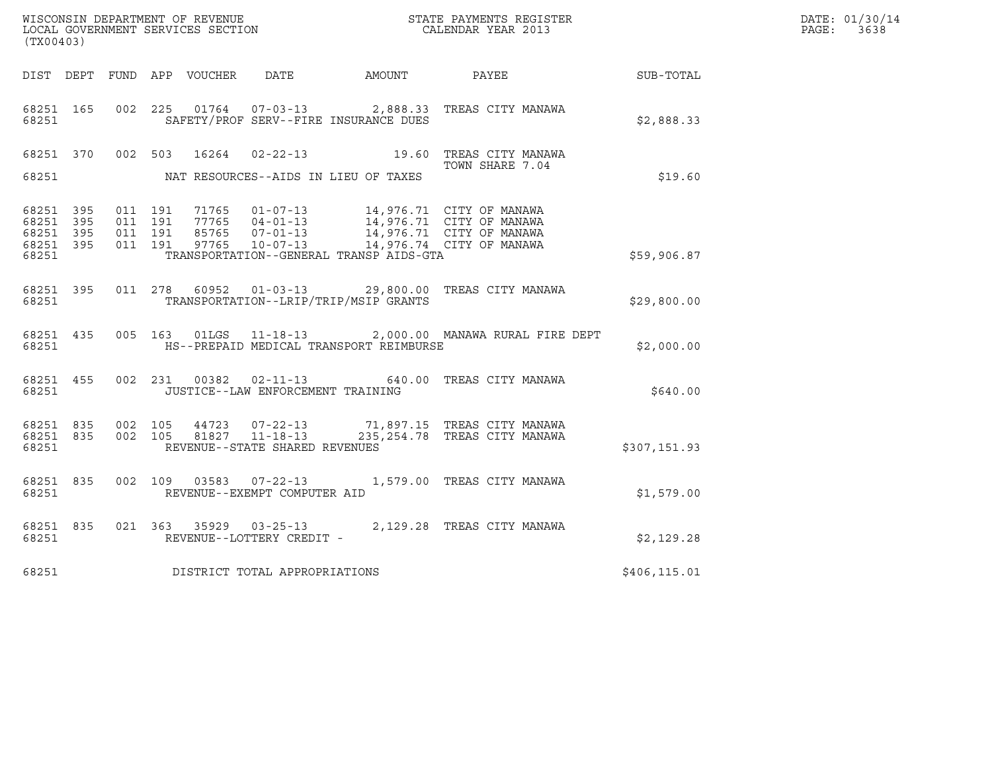| (TX00403)                       |           |  |                                        |                                         |                                                                                                                                                                                                          |              | DATE: 01/30/14<br>PAGE: 3638 |
|---------------------------------|-----------|--|----------------------------------------|-----------------------------------------|----------------------------------------------------------------------------------------------------------------------------------------------------------------------------------------------------------|--------------|------------------------------|
|                                 |           |  | DIST DEPT FUND APP VOUCHER DATE AMOUNT |                                         | <b>PAYEE</b>                                                                                                                                                                                             | SUB-TOTAL    |                              |
| 68251 165<br>68251              |           |  |                                        | SAFETY/PROF SERV--FIRE INSURANCE DUES   | 002 225 01764 07-03-13 2,888.33 TREAS CITY MANAWA                                                                                                                                                        | \$2,888.33   |                              |
|                                 |           |  |                                        |                                         | 68251 370 002 503 16264 02-22-13 19.60 TREAS CITY MANAWA<br>TOWN SHARE 7.04                                                                                                                              |              |                              |
| 68251                           |           |  |                                        | NAT RESOURCES--AIDS IN LIEU OF TAXES    |                                                                                                                                                                                                          | \$19.60      |                              |
| 68251 395<br>68251 395<br>68251 | 395       |  |                                        |                                         | 011 191 71765 01-07-13 14,976.71 CITY OF MANAWA<br>011 191 77765 04-01-13 14,976.71 CITY OF MANAWA<br>011 191 85765 07-01-13 14,976.71 CITY OF MANAWA<br>011 191 97765 10-07-13 14,976.74 CITY OF MANAWA |              |                              |
| 68251 395<br>68251              |           |  |                                        | TRANSPORTATION--GENERAL TRANSP AIDS-GTA |                                                                                                                                                                                                          | \$59,906.87  |                              |
| 68251                           |           |  |                                        | TRANSPORTATION--LRIP/TRIP/MSIP GRANTS   | 68251 395 011 278 60952 01-03-13 29,800.00 TREAS CITY MANAWA                                                                                                                                             | \$29,800.00  |                              |
| 68251                           |           |  |                                        | HS--PREPAID MEDICAL TRANSPORT REIMBURSE | 68251 435 005 163 01LGS 11-18-13 2,000.00 MANAWA RURAL FIRE DEPT                                                                                                                                         | \$2,000.00   |                              |
| 68251                           | 68251 455 |  | JUSTICE--LAW ENFORCEMENT TRAINING      |                                         | 002 231 00382 02-11-13 640.00 TREAS CITY MANAWA                                                                                                                                                          | \$640.00     |                              |
| 68251                           |           |  | REVENUE--STATE SHARED REVENUES         |                                         |                                                                                                                                                                                                          | \$307,151.93 |                              |
| 68251                           |           |  | REVENUE--EXEMPT COMPUTER AID           |                                         | 68251 835 002 109 03583 07-22-13 1,579.00 TREAS CITY MANAWA                                                                                                                                              | \$1,579.00   |                              |
| 68251                           |           |  | REVENUE--LOTTERY CREDIT -              |                                         | 68251 835 021 363 35929 03-25-13 2,129.28 TREAS CITY MANAWA                                                                                                                                              | \$2,129.28   |                              |
| 68251                           |           |  | DISTRICT TOTAL APPROPRIATIONS          |                                         |                                                                                                                                                                                                          | \$406,115.01 |                              |
|                                 |           |  |                                        |                                         |                                                                                                                                                                                                          |              |                              |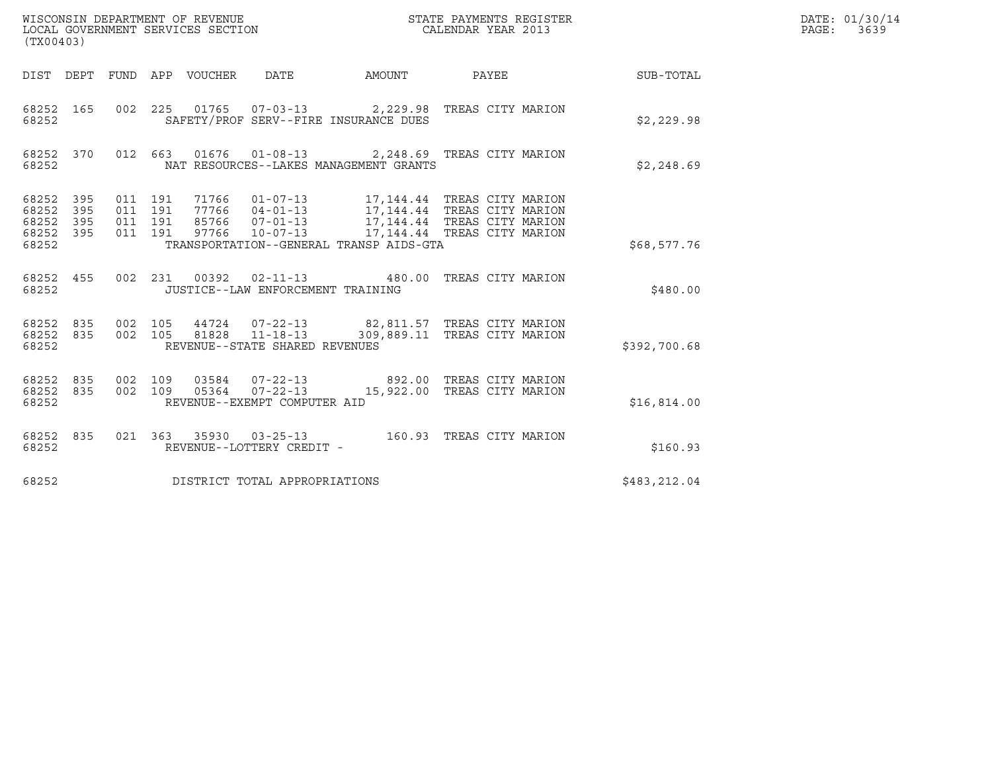| (TX00403)                                         |            |                                          |                                 | WISCONSIN DEPARTMENT OF REVENUE<br>LOCAL GOVERNMENT SERVICES SECTION |                                                                                                                                                                                                                                               | STATE PAYMENTS REGISTER<br>CALENDAR YEAR 2013 |              | DATE: 01/30/14<br>PAGE: 3639 |
|---------------------------------------------------|------------|------------------------------------------|---------------------------------|----------------------------------------------------------------------|-----------------------------------------------------------------------------------------------------------------------------------------------------------------------------------------------------------------------------------------------|-----------------------------------------------|--------------|------------------------------|
|                                                   |            |                                          | DIST DEPT FUND APP VOUCHER DATE |                                                                      | AMOUNT PAYEE                                                                                                                                                                                                                                  |                                               | SUB-TOTAL    |                              |
| 68252 165<br>68252                                |            |                                          |                                 |                                                                      | 002 225 01765 07-03-13 2,229.98 TREAS CITY MARION<br>SAFETY/PROF SERV--FIRE INSURANCE DUES                                                                                                                                                    |                                               | \$2,229.98   |                              |
| 68252 370<br>68252                                |            |                                          |                                 |                                                                      | 012 663 01676 01-08-13 2,248.69 TREAS CITY MARION<br>NAT RESOURCES--LAKES MANAGEMENT GRANTS                                                                                                                                                   |                                               | \$2,248.69   |                              |
| 68252 395<br>68252<br>68252<br>68252 395<br>68252 | 395<br>395 | 011 191<br>011 191<br>011 191<br>011 191 |                                 |                                                                      | 71766  01-07-13   17,144.44   TREAS CITY MARION<br>77766  04-01-13  17,144.44  TREAS CITY MARION<br>85766  07-01-13  17,144.44  TREAS CITY MARION<br>97766  10-07-13  17,144.44  TREAS CITY MARION<br>TRANSPORTATION--GENERAL TRANSP AIDS-GTA |                                               | \$68,577.76  |                              |
| 68252 455<br>68252                                |            |                                          |                                 | JUSTICE--LAW ENFORCEMENT TRAINING                                    | 002 231 00392 02-11-13 480.00 TREAS CITY MARION                                                                                                                                                                                               |                                               | \$480.00     |                              |
| 68252 835<br>68252 835<br>68252                   |            | 002 105<br>002 105                       | 81828                           | 44724 07-22-13<br>$11 - 18 - 13$<br>REVENUE--STATE SHARED REVENUES   | 82,811.57 TREAS CITY MARION                                                                                                                                                                                                                   | 309,889.11 TREAS CITY MARION                  | \$392,700.68 |                              |
| 68252 835<br>68252 835<br>68252                   |            | 002 109<br>002 109                       |                                 | 03584 07-22-13<br>REVENUE--EXEMPT COMPUTER AID                       | 05364  07-22-13  15,922.00 TREAS CITY MARION                                                                                                                                                                                                  | 892.00 TREAS CITY MARION                      | \$16,814.00  |                              |
| 68252 835<br>68252                                |            |                                          |                                 | REVENUE--LOTTERY CREDIT -                                            | 021  363  35930  03-25-13    160.93  TREAS CITY MARION                                                                                                                                                                                        |                                               | \$160.93     |                              |
| 68252                                             |            |                                          |                                 | DISTRICT TOTAL APPROPRIATIONS                                        |                                                                                                                                                                                                                                               |                                               | \$483,212.04 |                              |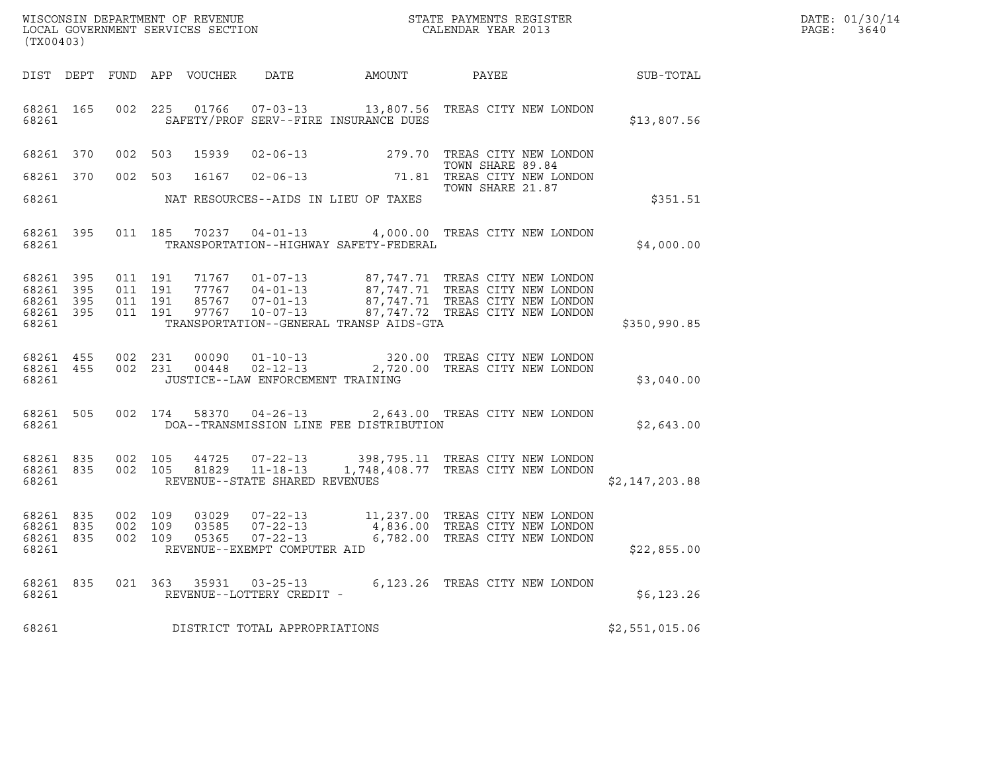| (TX00403)                                             |     |                               |                               |                            | WISCONSIN DEPARTMENT OF REVENUE<br>LOCAL GOVERNMENT SERVICES SECTION  |                                                                                                 | STATE PAYMENTS REGISTER<br>CALENDAR YEAR 2013 |                | DATE: 01/30/14<br>PAGE:<br>3640 |
|-------------------------------------------------------|-----|-------------------------------|-------------------------------|----------------------------|-----------------------------------------------------------------------|-------------------------------------------------------------------------------------------------|-----------------------------------------------|----------------|---------------------------------|
|                                                       |     |                               |                               | DIST DEPT FUND APP VOUCHER | DATE                                                                  | AMOUNT                                                                                          | PAYEE                                         | SUB-TOTAL      |                                 |
| 68261 165<br>68261                                    |     |                               |                               |                            |                                                                       | 002 225 01766 07-03-13 13,807.56 TREAS CITY NEW LONDON<br>SAFETY/PROF SERV--FIRE INSURANCE DUES |                                               | \$13,807.56    |                                 |
| 68261 370                                             |     | 002 503                       |                               | 15939                      |                                                                       | 02-06-13 279.70 TREAS CITY NEW LONDON                                                           |                                               |                |                                 |
| 68261 370                                             |     |                               | 002 503                       |                            |                                                                       | 16167 02-06-13 71.81 TREAS CITY NEW LONDON                                                      | TOWN SHARE 89.84<br>TOWN SHARE 21.87          |                |                                 |
| 68261                                                 |     |                               |                               |                            |                                                                       | NAT RESOURCES--AIDS IN LIEU OF TAXES                                                            |                                               | \$351.51       |                                 |
| 68261 395<br>68261                                    |     |                               |                               |                            |                                                                       | 011 185 70237 04-01-13 4,000.00 TREAS CITY NEW LONDON<br>TRANSPORTATION--HIGHWAY SAFETY-FEDERAL |                                               | \$4,000.00     |                                 |
| 68261 395<br>68261 395<br>68261<br>68261 395<br>68261 | 395 | 011 191                       | 011 191<br>011 191<br>011 191 |                            |                                                                       | TRANSPORTATION--GENERAL TRANSP AIDS-GTA                                                         |                                               | \$350,990.85   |                                 |
| 68261 455<br>68261 455<br>68261                       |     |                               | 002 231<br>002 231            | 00090<br>00448             | $01 - 10 - 13$<br>$02 - 12 - 13$<br>JUSTICE--LAW ENFORCEMENT TRAINING | 320.00 TREAS CITY NEW LONDON                                                                    | 2,720.00 TREAS CITY NEW LONDON                | \$3,040.00     |                                 |
| 68261 505<br>68261                                    |     |                               | 002 174                       |                            | 58370 04-26-13                                                        | DOA--TRANSMISSION LINE FEE DISTRIBUTION                                                         | 2,643.00 TREAS CITY NEW LONDON                | \$2,643.00     |                                 |
| 68261 835<br>68261 835<br>68261                       |     |                               | 002 105                       | 44725<br>002 105 81829     | REVENUE--STATE SHARED REVENUES                                        | 07-22-13 398,795.11 TREAS CITY NEW LONDON<br>11-18-13 1,748,408.77 TREAS CITY NEW LONDON        |                                               | \$2,147,203.88 |                                 |
| 68261 835<br>68261 835<br>68261 835<br>68261          |     | 002 109<br>002 109<br>002 109 |                               | 03029<br>03585<br>05365    | 07-22-13<br>$07 - 22 - 13$<br>REVENUE--EXEMPT COMPUTER AID            | 07-22-13 11,237.00 TREAS CITY NEW LONDON<br>4,836.00 TREAS CITY NEW LONDON                      | 6,782.00 TREAS CITY NEW LONDON                | \$22,855.00    |                                 |
| 68261 835<br>68261                                    |     |                               |                               |                            | 021 363 35931 03-25-13<br>REVENUE--LOTTERY CREDIT -                   |                                                                                                 | 6,123.26 TREAS CITY NEW LONDON                | \$6,123.26     |                                 |
| 68261                                                 |     |                               |                               |                            | DISTRICT TOTAL APPROPRIATIONS                                         |                                                                                                 |                                               | \$2,551,015.06 |                                 |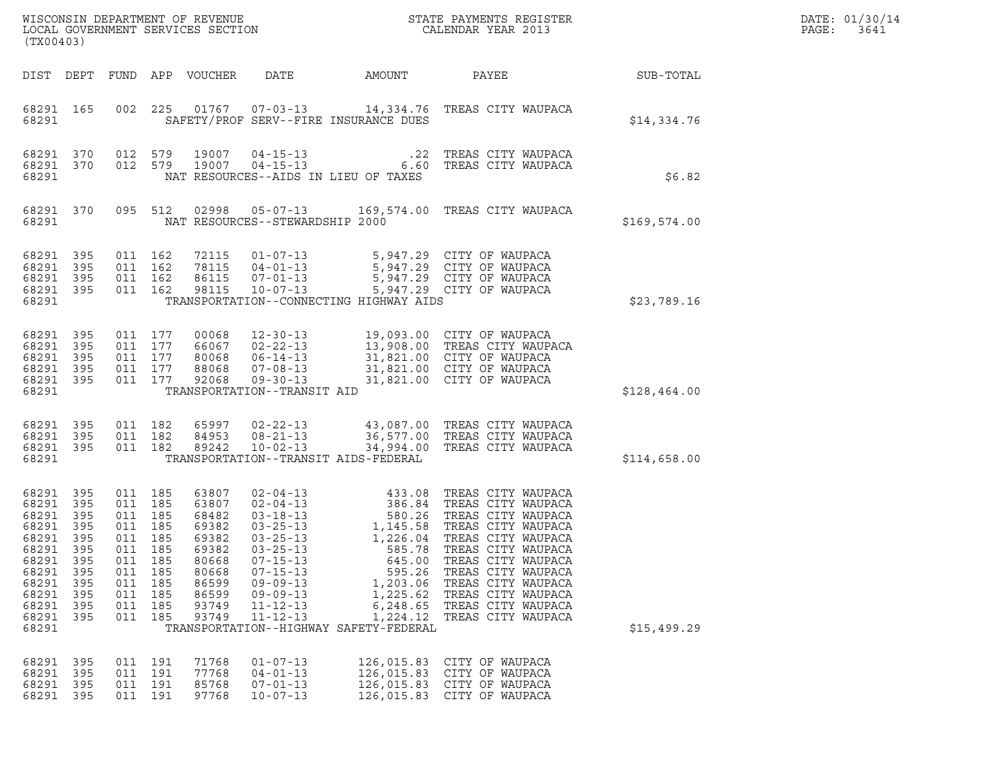| DATE: | 01/30/14 |
|-------|----------|
| PAGE: | 3641     |

| (TX00403)                                                                                                                         |                                                      |                                                                                  |                                                 | WISCONSIN DEPARTMENT OF REVENUE<br>LOCAL GOVERNMENT SERVICES SECTION                                     |                                                                                                                            |                                                                                                                      | STATE PAYMENTS REGISTER<br>CALENDAR YEAR 2013                                                                                                                                                                                                                        |              | DATE: 01/30/14<br>PAGE:<br>3641 |
|-----------------------------------------------------------------------------------------------------------------------------------|------------------------------------------------------|----------------------------------------------------------------------------------|-------------------------------------------------|----------------------------------------------------------------------------------------------------------|----------------------------------------------------------------------------------------------------------------------------|----------------------------------------------------------------------------------------------------------------------|----------------------------------------------------------------------------------------------------------------------------------------------------------------------------------------------------------------------------------------------------------------------|--------------|---------------------------------|
| DIST DEPT                                                                                                                         |                                                      |                                                                                  |                                                 | FUND APP VOUCHER                                                                                         | DATE                                                                                                                       | AMOUNT                                                                                                               | PAYEE                                                                                                                                                                                                                                                                | SUB-TOTAL    |                                 |
| 68291 165<br>68291                                                                                                                |                                                      | 002                                                                              | 225                                             |                                                                                                          |                                                                                                                            | SAFETY/PROF SERV--FIRE INSURANCE DUES                                                                                | 01767  07-03-13  14,334.76  TREAS CITY WAUPACA                                                                                                                                                                                                                       | \$14,334.76  |                                 |
| 68291 370<br>68291 370<br>68291                                                                                                   |                                                      | 012 579<br>012 579                                                               |                                                 | 19007<br>19007                                                                                           | 04-15-13<br>$04 - 15 - 13$                                                                                                 | .22<br>NAT RESOURCES--AIDS IN LIEU OF TAXES                                                                          | TREAS CITY WAUPACA<br>6.60 TREAS CITY WAUPACA                                                                                                                                                                                                                        | \$6.82       |                                 |
| 68291 370<br>68291                                                                                                                |                                                      | 095 512                                                                          |                                                 |                                                                                                          | 02998  05-07-13<br>NAT RESOURCES--STEWARDSHIP 2000                                                                         | 169,574.00                                                                                                           | TREAS CITY WAUPACA                                                                                                                                                                                                                                                   | \$169,574.00 |                                 |
| 68291<br>68291 395<br>68291<br>68291 395<br>68291                                                                                 | 395<br>395                                           | 011 162<br>011 162<br>011 162                                                    | 011 162                                         | 72115<br>78115<br>86115<br>98115                                                                         | $07 - 01 - 13$<br>10-07-13                                                                                                 | TRANSPORTATION--CONNECTING HIGHWAY AIDS                                                                              | 01-07-13 5,947.29 CITY OF WAUPACA<br>04-01-13 5,947.29 CITY OF WAUPACA<br>5,947.29 CITY OF WAUPACA<br>5,947.29 CITY OF WAUPACA                                                                                                                                       | \$23,789.16  |                                 |
| 68291 395<br>68291<br>68291 395<br>68291<br>68291 395<br>68291                                                                    | 395<br>395                                           | 011 177<br>011 177<br>011 177<br>011 177                                         | 011 177                                         | 00068<br>66067<br>80068<br>88068<br>92068                                                                | $12 - 30 - 13$<br>$02 - 22 - 13$<br>$06 - 14 - 13$<br>$07 - 08 - 13$<br>09-30-13<br>TRANSPORTATION--TRANSIT AID            |                                                                                                                      | 19,093.00 CITY OF WAUPACA<br>13,908.00   TREAS CITY WAUPACA<br>31.821.00   CITY OF WAUPACA<br>31,821.00 CITY OF WAUPACA<br>31,821.00 CITY OF WAUPACA<br>31,821.00 CITY OF WAUPACA                                                                                    | \$128,464.00 |                                 |
| 68291 395<br>68291<br>68291 395<br>68291                                                                                          | 395                                                  | 011 182<br>011 182<br>011 182                                                    |                                                 | 65997<br>84953<br>89242                                                                                  | $08 - 21 - 13$<br>$10 - 02 - 13$                                                                                           | TRANSPORTATION--TRANSIT AIDS-FEDERAL                                                                                 | 02-22-13 43,087.00 TREAS CITY WAUPACA<br>36,577.00 TREAS CITY WAUPACA<br>34,994.00 TREAS CITY WAUPACA                                                                                                                                                                | \$114,658.00 |                                 |
| 68291 395<br>68291<br>68291 395<br>68291<br>68291 395<br>68291<br>68291 395<br>68291<br>68291<br>68291<br>68291<br>68291<br>68291 | 395<br>395<br>395<br>395<br>395<br>395<br>395<br>395 | 011 185<br>011 185<br>011 185<br>011<br>011 185<br>011 185<br>011 185<br>011 185 | 011 185<br>011 185<br>185<br>011 185<br>011 185 | 63807<br>63807<br>68482<br>69382<br>69382<br>69382<br>80668<br>80668<br>86599<br>86599<br>93749<br>93749 | $03 - 25 - 13$<br>$07 - 15 - 13$<br>$07 - 15 - 13$<br>$09 - 09 - 13$<br>$09 - 09 - 13$<br>$11 - 12 - 13$<br>$11 - 12 - 13$ | 585.78<br>645.00<br>595.26<br>1,203.06<br>1,225.62<br>6,248.65<br>1,224.12<br>TRANSPORTATION--HIGHWAY SAFETY-FEDERAL | 02-04-13<br>02-04-13<br>03-18-13<br>03-25-13<br>1,145.58 TREAS CITY WAUPACA<br>1.226.04 TREAS CITY WAUPACA<br>TREAS CITY WAUPACA<br>TREAS CITY WAUPACA<br>TREAS CITY WAUPACA<br>TREAS CITY WAUPACA<br>TREAS CITY WAUPACA<br>TREAS CITY WAUPACA<br>TREAS CITY WAUPACA | \$15,499.29  |                                 |
| 68291 395<br>68291 395<br>68291<br>68291 395                                                                                      | 395                                                  | 011 191<br>011 191<br>011 191<br>011 191                                         |                                                 | 71768<br>77768<br>85768<br>97768                                                                         | $01 - 07 - 13$<br>$04 - 01 - 13$<br>$07 - 01 - 13$<br>$10 - 07 - 13$                                                       | 126,015.83<br>126,015.83<br>126,015.83                                                                               | CITY OF WAUPACA<br>CITY OF WAUPACA<br>CITY OF WAUPACA<br>126,015.83 CITY OF WAUPACA                                                                                                                                                                                  |              |                                 |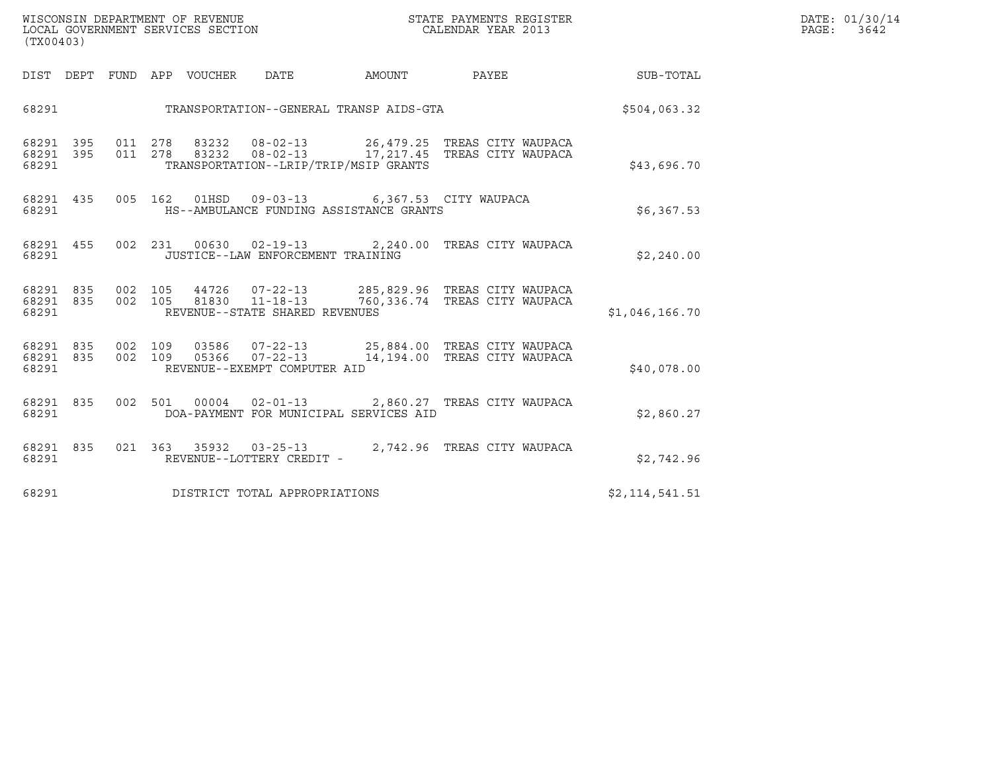| WISCONSIN DEPARTMENT OF REVENUE   | STATE PAYMENTS REGISTER | DATE: 01/30/14 |
|-----------------------------------|-------------------------|----------------|
| LOCAL GOVERNMENT SERVICES SECTION | CALENDAR YEAR 2013      | PAGE:<br>3642  |

| ${\tt WISCONSIM\ DEPARTMENT\ OF\ REVENUE}\qquad \qquad {\tt STATE\ PAYMENTS\ REGISTER} \\ {\tt LOCAL\ GOVERNMENT\ SERVICES\ SECTION}\qquad \qquad {\tt CALENDAR\ YEAR\ 2013}$<br>(TX00403) |  |  |  |  |                                             |                                               |                                                                                                                                                                       | DATE: 01/30/14<br>PAGE:<br>3642                           |  |
|--------------------------------------------------------------------------------------------------------------------------------------------------------------------------------------------|--|--|--|--|---------------------------------------------|-----------------------------------------------|-----------------------------------------------------------------------------------------------------------------------------------------------------------------------|-----------------------------------------------------------|--|
|                                                                                                                                                                                            |  |  |  |  |                                             |                                               |                                                                                                                                                                       | DIST DEPT FUND APP VOUCHER DATE AMOUNT PAYEE TO SUB-TOTAL |  |
|                                                                                                                                                                                            |  |  |  |  |                                             | 68291 TRANSPORTATION--GENERAL TRANSP AIDS-GTA |                                                                                                                                                                       | \$504,063.32                                              |  |
|                                                                                                                                                                                            |  |  |  |  | 68291 TRANSPORTATION--LRIP/TRIP/MSIP GRANTS |                                               | 68291 395 011 278 83232 08-02-13 26,479.25 TREAS CITY WAUPACA<br>68291 395 011 278 83232 08-02-13 17,217.45 TREAS CITY WAUPACA                                        | \$43,696.70                                               |  |
| 68291                                                                                                                                                                                      |  |  |  |  |                                             | HS--AMBULANCE FUNDING ASSISTANCE GRANTS       | 68291 435 005 162 01HSD 09-03-13 6,367.53 CITY WAUPACA                                                                                                                | \$6,367.53                                                |  |
|                                                                                                                                                                                            |  |  |  |  | 68291 JUSTICE--LAW ENFORCEMENT TRAINING     |                                               | 68291 455 002 231 00630 02-19-13 2,240.00 TREAS CITY WAUPACA                                                                                                          | \$2,240.00                                                |  |
| 68291                                                                                                                                                                                      |  |  |  |  | REVENUE--STATE SHARED REVENUES              |                                               | 68291 835 002 105 44726 07-22-13 285,829.96 TREAS CITY WAUPACA<br>68291 835 002 105 81830 11-18-13 760,336.74 TREAS CITY WAUPACA                                      | \$1,046,166.70                                            |  |
| 68291                                                                                                                                                                                      |  |  |  |  | REVENUE--EXEMPT COMPUTER AID                |                                               | 68291 835 002 109 03586 07-22-13 25,884.00 TREAS CITY WAUPACA<br>68291 835 002 109 05366 07-22-13 14,194.00 TREAS CITY WAUPACA                                        | \$40,078.00                                               |  |
| 68291 000                                                                                                                                                                                  |  |  |  |  |                                             | DOA-PAYMENT FOR MUNICIPAL SERVICES AID        | 68291 835 002 501 00004 02-01-13 2,860.27 TREAS CITY WAUPACA                                                                                                          | \$2,860.27                                                |  |
|                                                                                                                                                                                            |  |  |  |  |                                             |                                               | $\begin{array}{cccccc} 68291 & 835 & 021 & 363 & 35932 & 03-25-13 & 2,742.96 & \text{TREAS CITY WAUPACA} \\ 68291 & & & \text{REVENUE--LOTTERY CREDIT--} \end{array}$ | \$2,742.96                                                |  |
|                                                                                                                                                                                            |  |  |  |  | 68291 DISTRICT TOTAL APPROPRIATIONS         |                                               |                                                                                                                                                                       | \$2,114,541.51                                            |  |